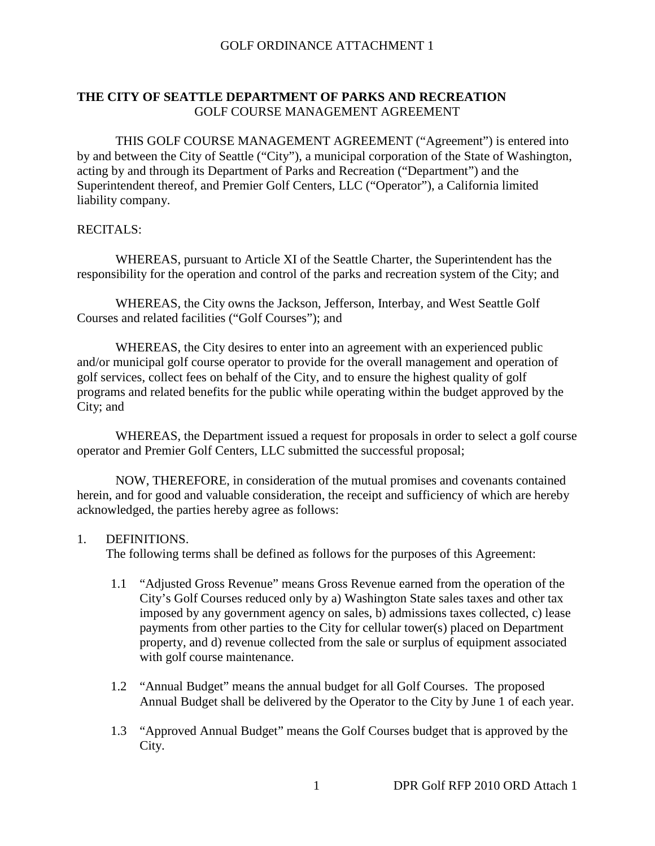#### **THE CITY OF SEATTLE DEPARTMENT OF PARKS AND RECREATION** GOLF COURSE MANAGEMENT AGREEMENT

THIS GOLF COURSE MANAGEMENT AGREEMENT ("Agreement") is entered into by and between the City of Seattle ("City"), a municipal corporation of the State of Washington, acting by and through its Department of Parks and Recreation ("Department") and the Superintendent thereof, and Premier Golf Centers, LLC ("Operator"), a California limited liability company.

#### RECITALS:

WHEREAS, pursuant to Article XI of the Seattle Charter, the Superintendent has the responsibility for the operation and control of the parks and recreation system of the City; and

WHEREAS, the City owns the Jackson, Jefferson, Interbay, and West Seattle Golf Courses and related facilities ("Golf Courses"); and

WHEREAS, the City desires to enter into an agreement with an experienced public and/or municipal golf course operator to provide for the overall management and operation of golf services, collect fees on behalf of the City, and to ensure the highest quality of golf programs and related benefits for the public while operating within the budget approved by the City; and

WHEREAS, the Department issued a request for proposals in order to select a golf course operator and Premier Golf Centers, LLC submitted the successful proposal;

NOW, THEREFORE, in consideration of the mutual promises and covenants contained herein, and for good and valuable consideration, the receipt and sufficiency of which are hereby acknowledged, the parties hereby agree as follows:

#### 1. DEFINITIONS.

The following terms shall be defined as follows for the purposes of this Agreement:

- 1.1 "Adjusted Gross Revenue" means Gross Revenue earned from the operation of the City's Golf Courses reduced only by a) Washington State sales taxes and other tax imposed by any government agency on sales, b) admissions taxes collected, c) lease payments from other parties to the City for cellular tower(s) placed on Department property, and d) revenue collected from the sale or surplus of equipment associated with golf course maintenance.
- 1.2 "Annual Budget" means the annual budget for all Golf Courses. The proposed Annual Budget shall be delivered by the Operator to the City by June 1 of each year.
- 1.3 "Approved Annual Budget" means the Golf Courses budget that is approved by the City.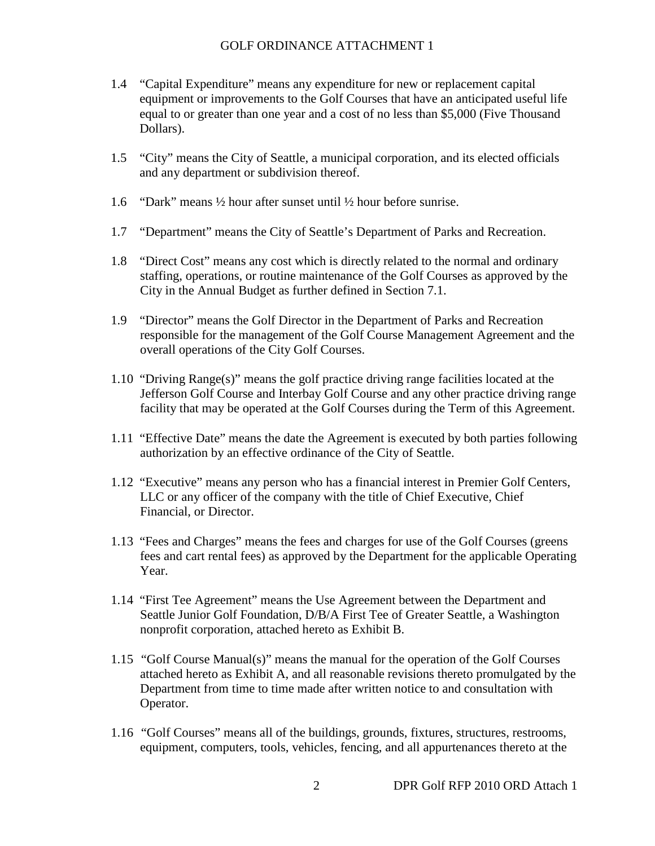- 1.4 "Capital Expenditure" means any expenditure for new or replacement capital equipment or improvements to the Golf Courses that have an anticipated useful life equal to or greater than one year and a cost of no less than \$5,000 (Five Thousand Dollars).
- 1.5 "City" means the City of Seattle, a municipal corporation, and its elected officials and any department or subdivision thereof.
- 1.6 "Dark" means ½ hour after sunset until ½ hour before sunrise.
- 1.7 "Department" means the City of Seattle's Department of Parks and Recreation.
- 1.8 "Direct Cost" means any cost which is directly related to the normal and ordinary staffing, operations, or routine maintenance of the Golf Courses as approved by the City in the Annual Budget as further defined in Section 7.1.
- 1.9 "Director" means the Golf Director in the Department of Parks and Recreation responsible for the management of the Golf Course Management Agreement and the overall operations of the City Golf Courses.
- 1.10 "Driving Range(s)" means the golf practice driving range facilities located at the Jefferson Golf Course and Interbay Golf Course and any other practice driving range facility that may be operated at the Golf Courses during the Term of this Agreement.
- 1.11 "Effective Date" means the date the Agreement is executed by both parties following authorization by an effective ordinance of the City of Seattle.
- 1.12 "Executive" means any person who has a financial interest in Premier Golf Centers, LLC or any officer of the company with the title of Chief Executive, Chief Financial, or Director.
- 1.13 "Fees and Charges" means the fees and charges for use of the Golf Courses (greens fees and cart rental fees) as approved by the Department for the applicable Operating Year.
- 1.14 "First Tee Agreement" means the Use Agreement between the Department and Seattle Junior Golf Foundation, D/B/A First Tee of Greater Seattle, a Washington nonprofit corporation, attached hereto as Exhibit B.
- 1.15 "Golf Course Manual(s)" means the manual for the operation of the Golf Courses attached hereto as Exhibit A, and all reasonable revisions thereto promulgated by the Department from time to time made after written notice to and consultation with Operator.
- 1.16 "Golf Courses" means all of the buildings, grounds, fixtures, structures, restrooms, equipment, computers, tools, vehicles, fencing, and all appurtenances thereto at the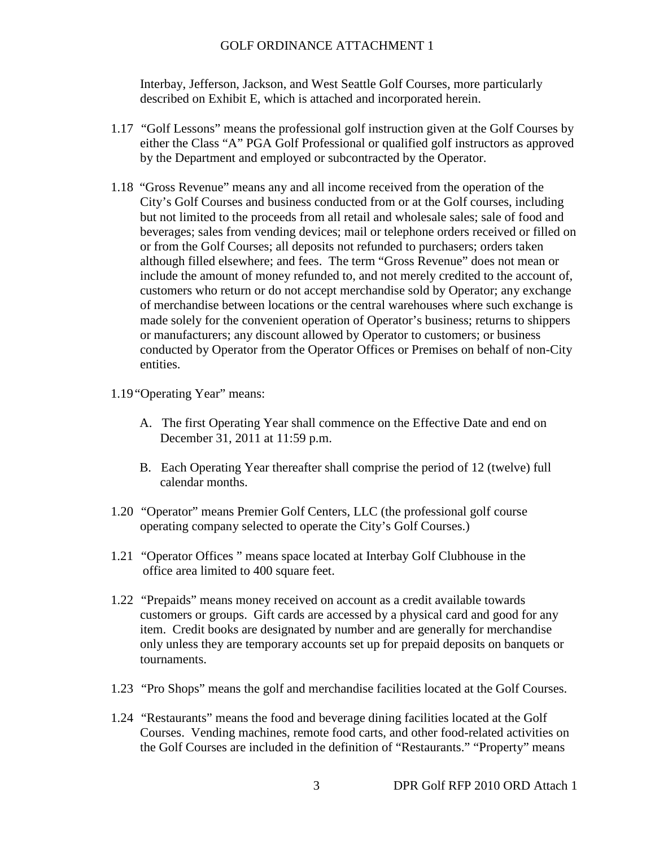Interbay, Jefferson, Jackson, and West Seattle Golf Courses, more particularly described on Exhibit E, which is attached and incorporated herein.

- 1.17 "Golf Lessons" means the professional golf instruction given at the Golf Courses by either the Class "A" PGA Golf Professional or qualified golf instructors as approved by the Department and employed or subcontracted by the Operator.
- 1.18 "Gross Revenue" means any and all income received from the operation of the City's Golf Courses and business conducted from or at the Golf courses, including but not limited to the proceeds from all retail and wholesale sales; sale of food and beverages; sales from vending devices; mail or telephone orders received or filled on or from the Golf Courses; all deposits not refunded to purchasers; orders taken although filled elsewhere; and fees. The term "Gross Revenue" does not mean or include the amount of money refunded to, and not merely credited to the account of, customers who return or do not accept merchandise sold by Operator; any exchange of merchandise between locations or the central warehouses where such exchange is made solely for the convenient operation of Operator's business; returns to shippers or manufacturers; any discount allowed by Operator to customers; or business conducted by Operator from the Operator Offices or Premises on behalf of non-City entities.
- 1.19"Operating Year" means:
	- A. The first Operating Year shall commence on the Effective Date and end on December 31, 2011 at 11:59 p.m.
	- B. Each Operating Year thereafter shall comprise the period of 12 (twelve) full calendar months.
- 1.20 "Operator" means Premier Golf Centers, LLC (the professional golf course operating company selected to operate the City's Golf Courses.)
- 1.21 "Operator Offices " means space located at Interbay Golf Clubhouse in the office area limited to 400 square feet.
- 1.22 "Prepaids" means money received on account as a credit available towards customers or groups. Gift cards are accessed by a physical card and good for any item. Credit books are designated by number and are generally for merchandise only unless they are temporary accounts set up for prepaid deposits on banquets or tournaments.
- 1.23 "Pro Shops" means the golf and merchandise facilities located at the Golf Courses.
- 1.24 "Restaurants" means the food and beverage dining facilities located at the Golf Courses. Vending machines, remote food carts, and other food-related activities on the Golf Courses are included in the definition of "Restaurants." "Property" means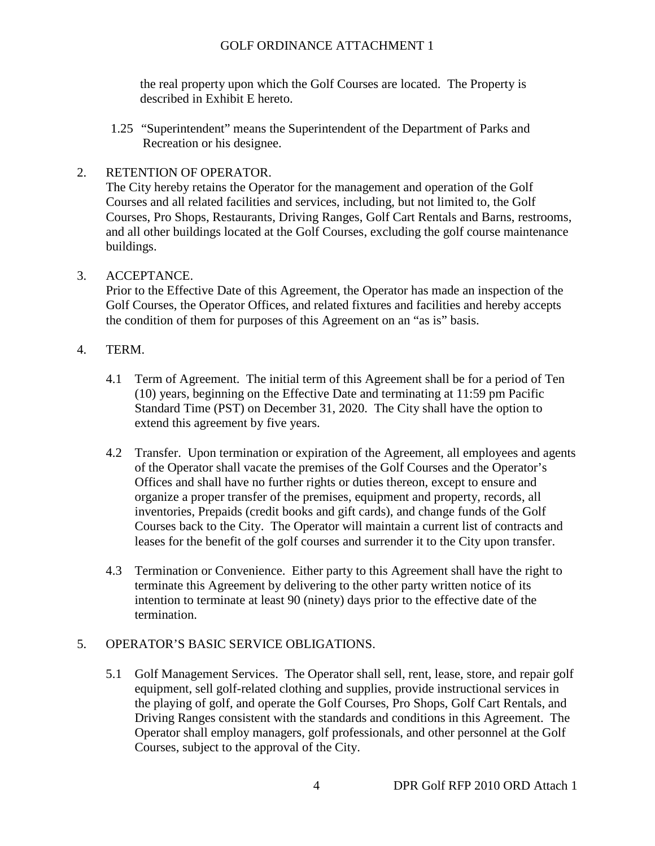the real property upon which the Golf Courses are located. The Property is described in Exhibit E hereto.

1.25 "Superintendent" means the Superintendent of the Department of Parks and Recreation or his designee.

## 2. RETENTION OF OPERATOR.

The City hereby retains the Operator for the management and operation of the Golf Courses and all related facilities and services, including, but not limited to, the Golf Courses, Pro Shops, Restaurants, Driving Ranges, Golf Cart Rentals and Barns, restrooms, and all other buildings located at the Golf Courses, excluding the golf course maintenance buildings.

## 3. ACCEPTANCE.

Prior to the Effective Date of this Agreement, the Operator has made an inspection of the Golf Courses, the Operator Offices, and related fixtures and facilities and hereby accepts the condition of them for purposes of this Agreement on an "as is" basis.

## 4. TERM.

- 4.1 Term of Agreement. The initial term of this Agreement shall be for a period of Ten (10) years, beginning on the Effective Date and terminating at 11:59 pm Pacific Standard Time (PST) on December 31, 2020. The City shall have the option to extend this agreement by five years.
- 4.2 Transfer. Upon termination or expiration of the Agreement, all employees and agents of the Operator shall vacate the premises of the Golf Courses and the Operator's Offices and shall have no further rights or duties thereon, except to ensure and organize a proper transfer of the premises, equipment and property, records, all inventories, Prepaids (credit books and gift cards), and change funds of the Golf Courses back to the City. The Operator will maintain a current list of contracts and leases for the benefit of the golf courses and surrender it to the City upon transfer.
- 4.3 Termination or Convenience. Either party to this Agreement shall have the right to terminate this Agreement by delivering to the other party written notice of its intention to terminate at least 90 (ninety) days prior to the effective date of the termination.

## 5. OPERATOR'S BASIC SERVICE OBLIGATIONS.

5.1 Golf Management Services. The Operator shall sell, rent, lease, store, and repair golf equipment, sell golf-related clothing and supplies, provide instructional services in the playing of golf, and operate the Golf Courses, Pro Shops, Golf Cart Rentals, and Driving Ranges consistent with the standards and conditions in this Agreement. The Operator shall employ managers, golf professionals, and other personnel at the Golf Courses, subject to the approval of the City.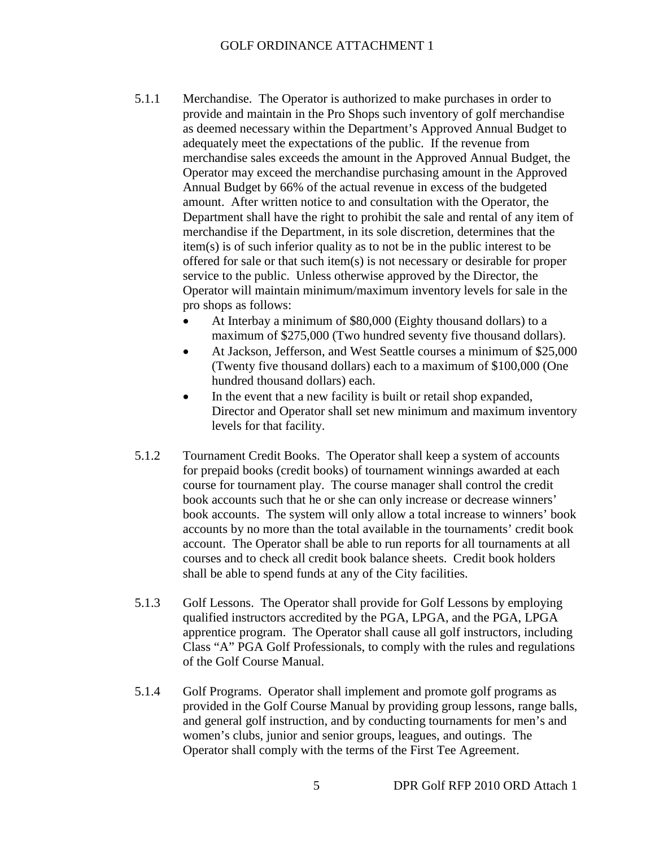- 5.1.1 Merchandise. The Operator is authorized to make purchases in order to provide and maintain in the Pro Shops such inventory of golf merchandise as deemed necessary within the Department's Approved Annual Budget to adequately meet the expectations of the public. If the revenue from merchandise sales exceeds the amount in the Approved Annual Budget, the Operator may exceed the merchandise purchasing amount in the Approved Annual Budget by 66% of the actual revenue in excess of the budgeted amount. After written notice to and consultation with the Operator, the Department shall have the right to prohibit the sale and rental of any item of merchandise if the Department, in its sole discretion, determines that the item(s) is of such inferior quality as to not be in the public interest to be offered for sale or that such item(s) is not necessary or desirable for proper service to the public. Unless otherwise approved by the Director, the Operator will maintain minimum/maximum inventory levels for sale in the pro shops as follows:
	- At Interbay a minimum of \$80,000 (Eighty thousand dollars) to a maximum of \$275,000 (Two hundred seventy five thousand dollars).
	- At Jackson, Jefferson, and West Seattle courses a minimum of \$25,000 (Twenty five thousand dollars) each to a maximum of \$100,000 (One hundred thousand dollars) each.
	- In the event that a new facility is built or retail shop expanded, Director and Operator shall set new minimum and maximum inventory levels for that facility.
- 5.1.2 Tournament Credit Books. The Operator shall keep a system of accounts for prepaid books (credit books) of tournament winnings awarded at each course for tournament play. The course manager shall control the credit book accounts such that he or she can only increase or decrease winners' book accounts. The system will only allow a total increase to winners' book accounts by no more than the total available in the tournaments' credit book account. The Operator shall be able to run reports for all tournaments at all courses and to check all credit book balance sheets. Credit book holders shall be able to spend funds at any of the City facilities.
- 5.1.3 Golf Lessons. The Operator shall provide for Golf Lessons by employing qualified instructors accredited by the PGA, LPGA, and the PGA, LPGA apprentice program. The Operator shall cause all golf instructors, including Class "A" PGA Golf Professionals, to comply with the rules and regulations of the Golf Course Manual.
- 5.1.4 Golf Programs. Operator shall implement and promote golf programs as provided in the Golf Course Manual by providing group lessons, range balls, and general golf instruction, and by conducting tournaments for men's and women's clubs, junior and senior groups, leagues, and outings. The Operator shall comply with the terms of the First Tee Agreement.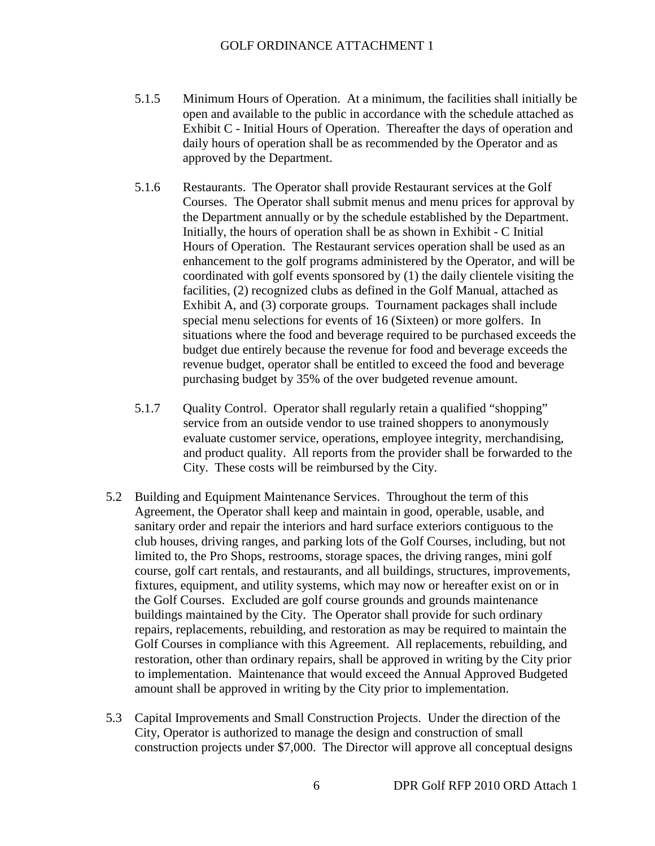- 5.1.5 Minimum Hours of Operation. At a minimum, the facilities shall initially be open and available to the public in accordance with the schedule attached as Exhibit C - Initial Hours of Operation. Thereafter the days of operation and daily hours of operation shall be as recommended by the Operator and as approved by the Department.
- 5.1.6 Restaurants. The Operator shall provide Restaurant services at the Golf Courses. The Operator shall submit menus and menu prices for approval by the Department annually or by the schedule established by the Department. Initially, the hours of operation shall be as shown in Exhibit - C Initial Hours of Operation. The Restaurant services operation shall be used as an enhancement to the golf programs administered by the Operator, and will be coordinated with golf events sponsored by (1) the daily clientele visiting the facilities, (2) recognized clubs as defined in the Golf Manual, attached as Exhibit A, and (3) corporate groups. Tournament packages shall include special menu selections for events of 16 (Sixteen) or more golfers. In situations where the food and beverage required to be purchased exceeds the budget due entirely because the revenue for food and beverage exceeds the revenue budget, operator shall be entitled to exceed the food and beverage purchasing budget by 35% of the over budgeted revenue amount.
- 5.1.7 Quality Control. Operator shall regularly retain a qualified "shopping" service from an outside vendor to use trained shoppers to anonymously evaluate customer service, operations, employee integrity, merchandising, and product quality. All reports from the provider shall be forwarded to the City. These costs will be reimbursed by the City.
- 5.2 Building and Equipment Maintenance Services. Throughout the term of this Agreement, the Operator shall keep and maintain in good, operable, usable, and sanitary order and repair the interiors and hard surface exteriors contiguous to the club houses, driving ranges, and parking lots of the Golf Courses, including, but not limited to, the Pro Shops, restrooms, storage spaces, the driving ranges, mini golf course, golf cart rentals, and restaurants, and all buildings, structures, improvements, fixtures, equipment, and utility systems, which may now or hereafter exist on or in the Golf Courses. Excluded are golf course grounds and grounds maintenance buildings maintained by the City. The Operator shall provide for such ordinary repairs, replacements, rebuilding, and restoration as may be required to maintain the Golf Courses in compliance with this Agreement. All replacements, rebuilding, and restoration, other than ordinary repairs, shall be approved in writing by the City prior to implementation. Maintenance that would exceed the Annual Approved Budgeted amount shall be approved in writing by the City prior to implementation.
- 5.3 Capital Improvements and Small Construction Projects. Under the direction of the City, Operator is authorized to manage the design and construction of small construction projects under \$7,000. The Director will approve all conceptual designs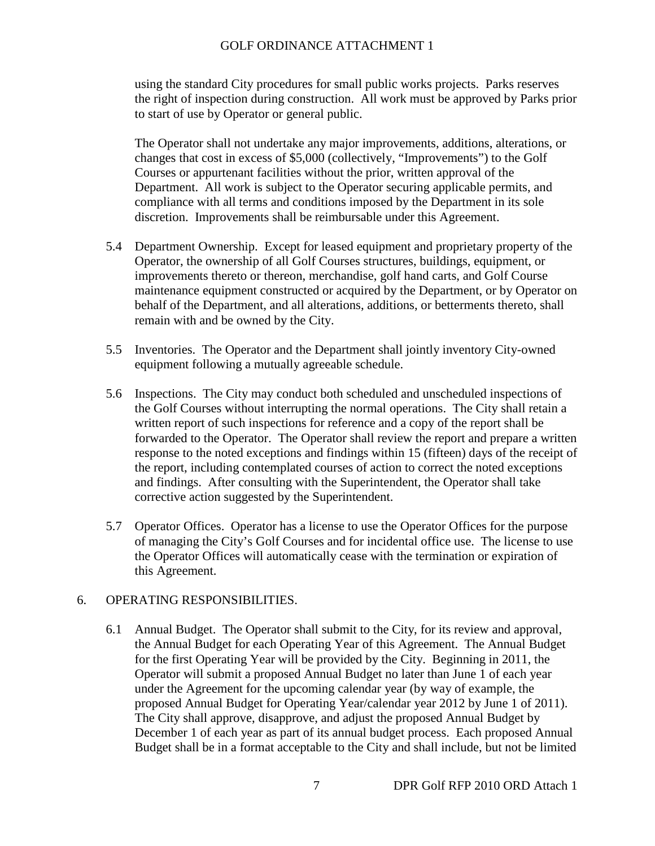using the standard City procedures for small public works projects. Parks reserves the right of inspection during construction. All work must be approved by Parks prior to start of use by Operator or general public.

The Operator shall not undertake any major improvements, additions, alterations, or changes that cost in excess of \$5,000 (collectively, "Improvements") to the Golf Courses or appurtenant facilities without the prior, written approval of the Department. All work is subject to the Operator securing applicable permits, and compliance with all terms and conditions imposed by the Department in its sole discretion. Improvements shall be reimbursable under this Agreement.

- 5.4 Department Ownership. Except for leased equipment and proprietary property of the Operator, the ownership of all Golf Courses structures, buildings, equipment, or improvements thereto or thereon, merchandise, golf hand carts, and Golf Course maintenance equipment constructed or acquired by the Department, or by Operator on behalf of the Department, and all alterations, additions, or betterments thereto, shall remain with and be owned by the City.
- 5.5 Inventories. The Operator and the Department shall jointly inventory City-owned equipment following a mutually agreeable schedule.
- 5.6 Inspections. The City may conduct both scheduled and unscheduled inspections of the Golf Courses without interrupting the normal operations. The City shall retain a written report of such inspections for reference and a copy of the report shall be forwarded to the Operator. The Operator shall review the report and prepare a written response to the noted exceptions and findings within 15 (fifteen) days of the receipt of the report, including contemplated courses of action to correct the noted exceptions and findings. After consulting with the Superintendent, the Operator shall take corrective action suggested by the Superintendent.
- 5.7 Operator Offices. Operator has a license to use the Operator Offices for the purpose of managing the City's Golf Courses and for incidental office use. The license to use the Operator Offices will automatically cease with the termination or expiration of this Agreement.

### 6. OPERATING RESPONSIBILITIES.

6.1 Annual Budget. The Operator shall submit to the City, for its review and approval, the Annual Budget for each Operating Year of this Agreement. The Annual Budget for the first Operating Year will be provided by the City. Beginning in 2011, the Operator will submit a proposed Annual Budget no later than June 1 of each year under the Agreement for the upcoming calendar year (by way of example, the proposed Annual Budget for Operating Year/calendar year 2012 by June 1 of 2011). The City shall approve, disapprove, and adjust the proposed Annual Budget by December 1 of each year as part of its annual budget process. Each proposed Annual Budget shall be in a format acceptable to the City and shall include, but not be limited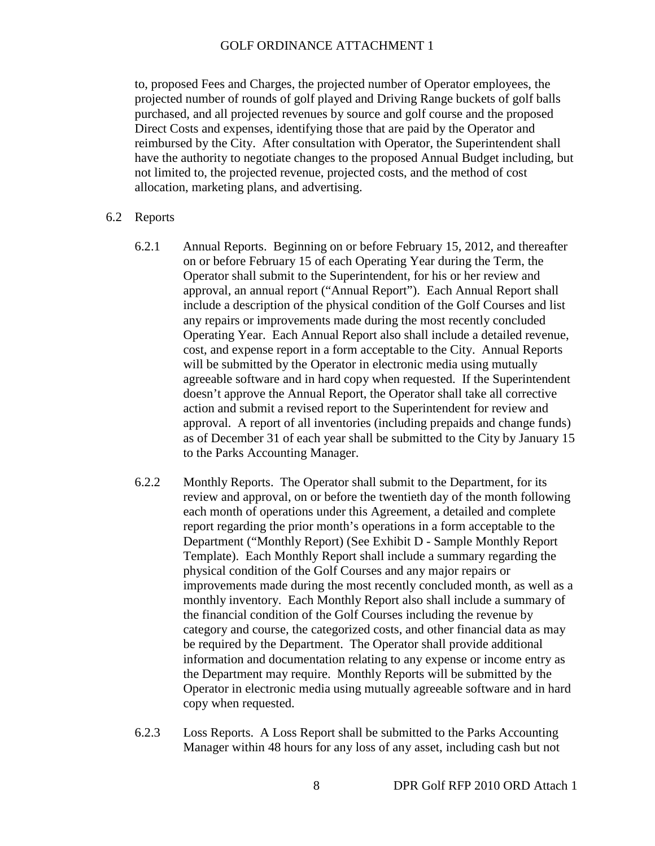to, proposed Fees and Charges, the projected number of Operator employees, the projected number of rounds of golf played and Driving Range buckets of golf balls purchased, and all projected revenues by source and golf course and the proposed Direct Costs and expenses, identifying those that are paid by the Operator and reimbursed by the City. After consultation with Operator, the Superintendent shall have the authority to negotiate changes to the proposed Annual Budget including, but not limited to, the projected revenue, projected costs, and the method of cost allocation, marketing plans, and advertising.

- 6.2 Reports
	- 6.2.1 Annual Reports. Beginning on or before February 15, 2012, and thereafter on or before February 15 of each Operating Year during the Term, the Operator shall submit to the Superintendent, for his or her review and approval, an annual report ("Annual Report"). Each Annual Report shall include a description of the physical condition of the Golf Courses and list any repairs or improvements made during the most recently concluded Operating Year. Each Annual Report also shall include a detailed revenue, cost, and expense report in a form acceptable to the City. Annual Reports will be submitted by the Operator in electronic media using mutually agreeable software and in hard copy when requested. If the Superintendent doesn't approve the Annual Report, the Operator shall take all corrective action and submit a revised report to the Superintendent for review and approval. A report of all inventories (including prepaids and change funds) as of December 31 of each year shall be submitted to the City by January 15 to the Parks Accounting Manager.
	- 6.2.2 Monthly Reports. The Operator shall submit to the Department, for its review and approval, on or before the twentieth day of the month following each month of operations under this Agreement, a detailed and complete report regarding the prior month's operations in a form acceptable to the Department ("Monthly Report) (See Exhibit D - Sample Monthly Report Template). Each Monthly Report shall include a summary regarding the physical condition of the Golf Courses and any major repairs or improvements made during the most recently concluded month, as well as a monthly inventory. Each Monthly Report also shall include a summary of the financial condition of the Golf Courses including the revenue by category and course, the categorized costs, and other financial data as may be required by the Department. The Operator shall provide additional information and documentation relating to any expense or income entry as the Department may require. Monthly Reports will be submitted by the Operator in electronic media using mutually agreeable software and in hard copy when requested.
	- 6.2.3 Loss Reports. A Loss Report shall be submitted to the Parks Accounting Manager within 48 hours for any loss of any asset, including cash but not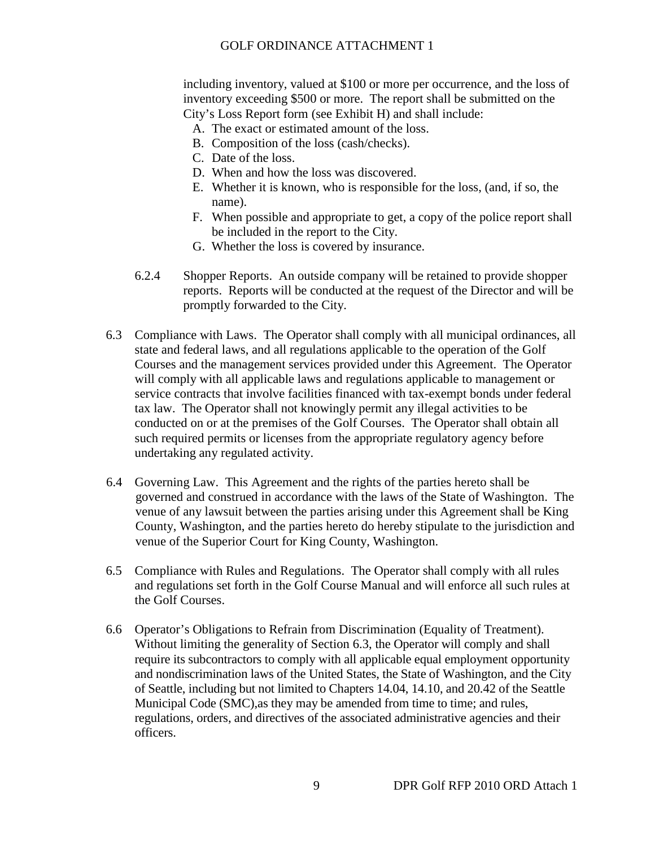including inventory, valued at \$100 or more per occurrence, and the loss of inventory exceeding \$500 or more. The report shall be submitted on the City's Loss Report form (see Exhibit H) and shall include:

- A. The exact or estimated amount of the loss.
- B. Composition of the loss (cash/checks).
- C. Date of the loss.
- D. When and how the loss was discovered.
- E. Whether it is known, who is responsible for the loss, (and, if so, the name).
- F. When possible and appropriate to get, a copy of the police report shall be included in the report to the City.
- G. Whether the loss is covered by insurance.
- 6.2.4 Shopper Reports. An outside company will be retained to provide shopper reports. Reports will be conducted at the request of the Director and will be promptly forwarded to the City.
- 6.3 Compliance with Laws. The Operator shall comply with all municipal ordinances, all state and federal laws, and all regulations applicable to the operation of the Golf Courses and the management services provided under this Agreement. The Operator will comply with all applicable laws and regulations applicable to management or service contracts that involve facilities financed with tax-exempt bonds under federal tax law. The Operator shall not knowingly permit any illegal activities to be conducted on or at the premises of the Golf Courses. The Operator shall obtain all such required permits or licenses from the appropriate regulatory agency before undertaking any regulated activity.
- 6.4 Governing Law. This Agreement and the rights of the parties hereto shall be governed and construed in accordance with the laws of the State of Washington. The venue of any lawsuit between the parties arising under this Agreement shall be King County, Washington, and the parties hereto do hereby stipulate to the jurisdiction and venue of the Superior Court for King County, Washington.
- 6.5 Compliance with Rules and Regulations. The Operator shall comply with all rules and regulations set forth in the Golf Course Manual and will enforce all such rules at the Golf Courses.
- 6.6 Operator's Obligations to Refrain from Discrimination (Equality of Treatment). Without limiting the generality of Section 6.3, the Operator will comply and shall require its subcontractors to comply with all applicable equal employment opportunity and nondiscrimination laws of the United States, the State of Washington, and the City of Seattle, including but not limited to Chapters 14.04, 14.10, and 20.42 of the Seattle Municipal Code (SMC),as they may be amended from time to time; and rules, regulations, orders, and directives of the associated administrative agencies and their officers.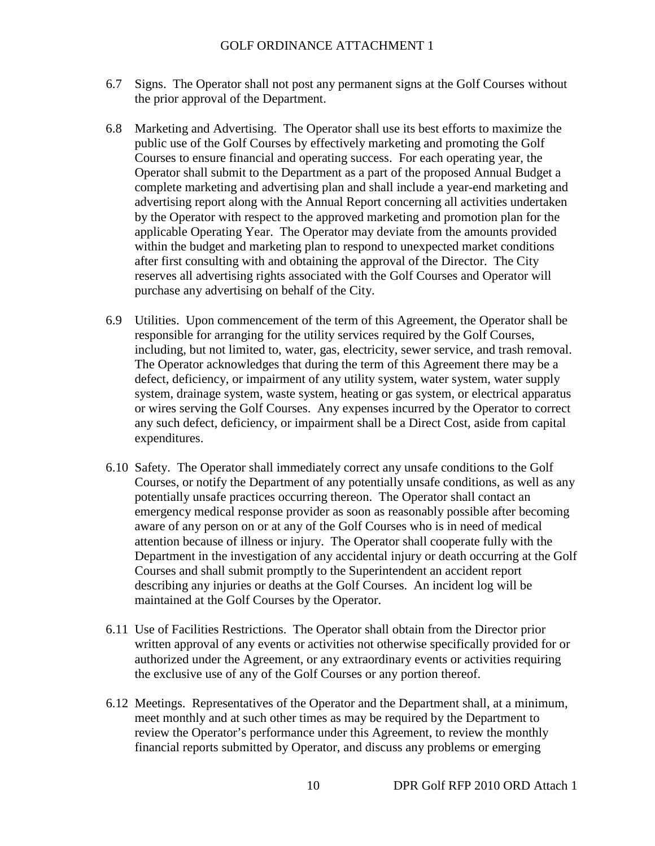- 6.7 Signs. The Operator shall not post any permanent signs at the Golf Courses without the prior approval of the Department.
- 6.8 Marketing and Advertising. The Operator shall use its best efforts to maximize the public use of the Golf Courses by effectively marketing and promoting the Golf Courses to ensure financial and operating success. For each operating year, the Operator shall submit to the Department as a part of the proposed Annual Budget a complete marketing and advertising plan and shall include a year-end marketing and advertising report along with the Annual Report concerning all activities undertaken by the Operator with respect to the approved marketing and promotion plan for the applicable Operating Year. The Operator may deviate from the amounts provided within the budget and marketing plan to respond to unexpected market conditions after first consulting with and obtaining the approval of the Director. The City reserves all advertising rights associated with the Golf Courses and Operator will purchase any advertising on behalf of the City.
- 6.9 Utilities. Upon commencement of the term of this Agreement, the Operator shall be responsible for arranging for the utility services required by the Golf Courses, including, but not limited to, water, gas, electricity, sewer service, and trash removal. The Operator acknowledges that during the term of this Agreement there may be a defect, deficiency, or impairment of any utility system, water system, water supply system, drainage system, waste system, heating or gas system, or electrical apparatus or wires serving the Golf Courses. Any expenses incurred by the Operator to correct any such defect, deficiency, or impairment shall be a Direct Cost, aside from capital expenditures.
- 6.10 Safety. The Operator shall immediately correct any unsafe conditions to the Golf Courses, or notify the Department of any potentially unsafe conditions, as well as any potentially unsafe practices occurring thereon. The Operator shall contact an emergency medical response provider as soon as reasonably possible after becoming aware of any person on or at any of the Golf Courses who is in need of medical attention because of illness or injury. The Operator shall cooperate fully with the Department in the investigation of any accidental injury or death occurring at the Golf Courses and shall submit promptly to the Superintendent an accident report describing any injuries or deaths at the Golf Courses. An incident log will be maintained at the Golf Courses by the Operator.
- 6.11 Use of Facilities Restrictions. The Operator shall obtain from the Director prior written approval of any events or activities not otherwise specifically provided for or authorized under the Agreement, or any extraordinary events or activities requiring the exclusive use of any of the Golf Courses or any portion thereof.
- 6.12 Meetings. Representatives of the Operator and the Department shall, at a minimum, meet monthly and at such other times as may be required by the Department to review the Operator's performance under this Agreement, to review the monthly financial reports submitted by Operator, and discuss any problems or emerging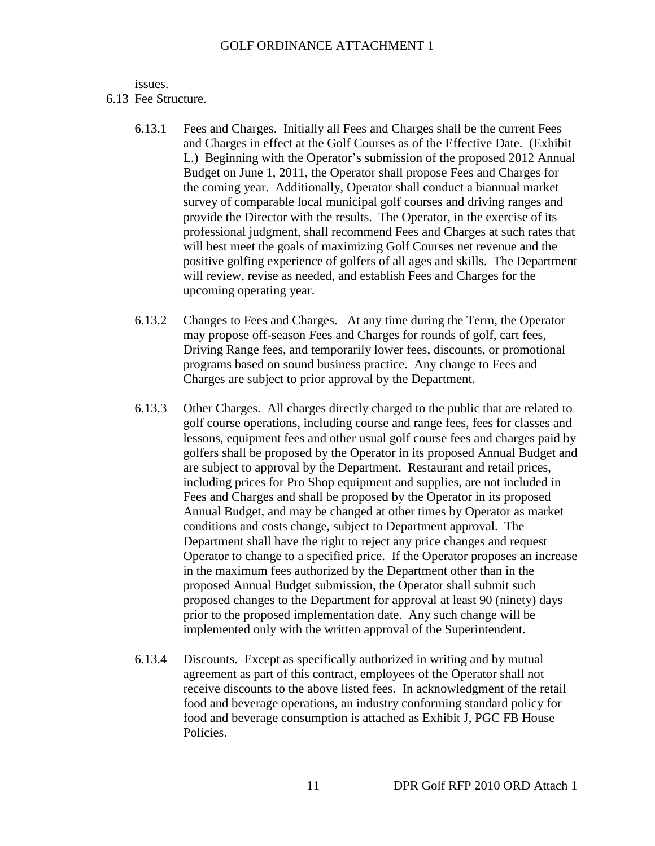#### issues.

6.13 Fee Structure.

- 6.13.1 Fees and Charges. Initially all Fees and Charges shall be the current Fees and Charges in effect at the Golf Courses as of the Effective Date. (Exhibit L.) Beginning with the Operator's submission of the proposed 2012 Annual Budget on June 1, 2011, the Operator shall propose Fees and Charges for the coming year. Additionally, Operator shall conduct a biannual market survey of comparable local municipal golf courses and driving ranges and provide the Director with the results. The Operator, in the exercise of its professional judgment, shall recommend Fees and Charges at such rates that will best meet the goals of maximizing Golf Courses net revenue and the positive golfing experience of golfers of all ages and skills. The Department will review, revise as needed, and establish Fees and Charges for the upcoming operating year.
- 6.13.2 Changes to Fees and Charges. At any time during the Term, the Operator may propose off-season Fees and Charges for rounds of golf, cart fees, Driving Range fees, and temporarily lower fees, discounts, or promotional programs based on sound business practice. Any change to Fees and Charges are subject to prior approval by the Department.
- 6.13.3 Other Charges. All charges directly charged to the public that are related to golf course operations, including course and range fees, fees for classes and lessons, equipment fees and other usual golf course fees and charges paid by golfers shall be proposed by the Operator in its proposed Annual Budget and are subject to approval by the Department. Restaurant and retail prices, including prices for Pro Shop equipment and supplies, are not included in Fees and Charges and shall be proposed by the Operator in its proposed Annual Budget, and may be changed at other times by Operator as market conditions and costs change, subject to Department approval. The Department shall have the right to reject any price changes and request Operator to change to a specified price. If the Operator proposes an increase in the maximum fees authorized by the Department other than in the proposed Annual Budget submission, the Operator shall submit such proposed changes to the Department for approval at least 90 (ninety) days prior to the proposed implementation date. Any such change will be implemented only with the written approval of the Superintendent.
- 6.13.4 Discounts. Except as specifically authorized in writing and by mutual agreement as part of this contract, employees of the Operator shall not receive discounts to the above listed fees. In acknowledgment of the retail food and beverage operations, an industry conforming standard policy for food and beverage consumption is attached as Exhibit J, PGC FB House Policies.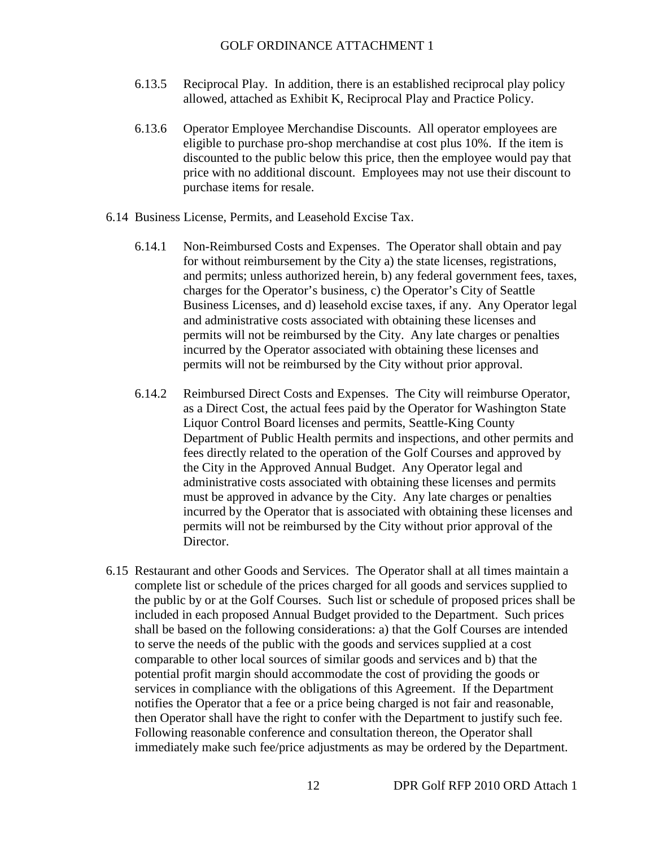- 6.13.5 Reciprocal Play. In addition, there is an established reciprocal play policy allowed, attached as Exhibit K, Reciprocal Play and Practice Policy.
- 6.13.6 Operator Employee Merchandise Discounts. All operator employees are eligible to purchase pro-shop merchandise at cost plus 10%. If the item is discounted to the public below this price, then the employee would pay that price with no additional discount. Employees may not use their discount to purchase items for resale.
- 6.14 Business License, Permits, and Leasehold Excise Tax.
	- 6.14.1 Non-Reimbursed Costs and Expenses. The Operator shall obtain and pay for without reimbursement by the City a) the state licenses, registrations, and permits; unless authorized herein, b) any federal government fees, taxes, charges for the Operator's business, c) the Operator's City of Seattle Business Licenses, and d) leasehold excise taxes, if any. Any Operator legal and administrative costs associated with obtaining these licenses and permits will not be reimbursed by the City. Any late charges or penalties incurred by the Operator associated with obtaining these licenses and permits will not be reimbursed by the City without prior approval.
	- 6.14.2 Reimbursed Direct Costs and Expenses. The City will reimburse Operator, as a Direct Cost, the actual fees paid by the Operator for Washington State Liquor Control Board licenses and permits, Seattle-King County Department of Public Health permits and inspections, and other permits and fees directly related to the operation of the Golf Courses and approved by the City in the Approved Annual Budget. Any Operator legal and administrative costs associated with obtaining these licenses and permits must be approved in advance by the City. Any late charges or penalties incurred by the Operator that is associated with obtaining these licenses and permits will not be reimbursed by the City without prior approval of the Director.
- 6.15 Restaurant and other Goods and Services. The Operator shall at all times maintain a complete list or schedule of the prices charged for all goods and services supplied to the public by or at the Golf Courses. Such list or schedule of proposed prices shall be included in each proposed Annual Budget provided to the Department. Such prices shall be based on the following considerations: a) that the Golf Courses are intended to serve the needs of the public with the goods and services supplied at a cost comparable to other local sources of similar goods and services and b) that the potential profit margin should accommodate the cost of providing the goods or services in compliance with the obligations of this Agreement. If the Department notifies the Operator that a fee or a price being charged is not fair and reasonable, then Operator shall have the right to confer with the Department to justify such fee. Following reasonable conference and consultation thereon, the Operator shall immediately make such fee/price adjustments as may be ordered by the Department.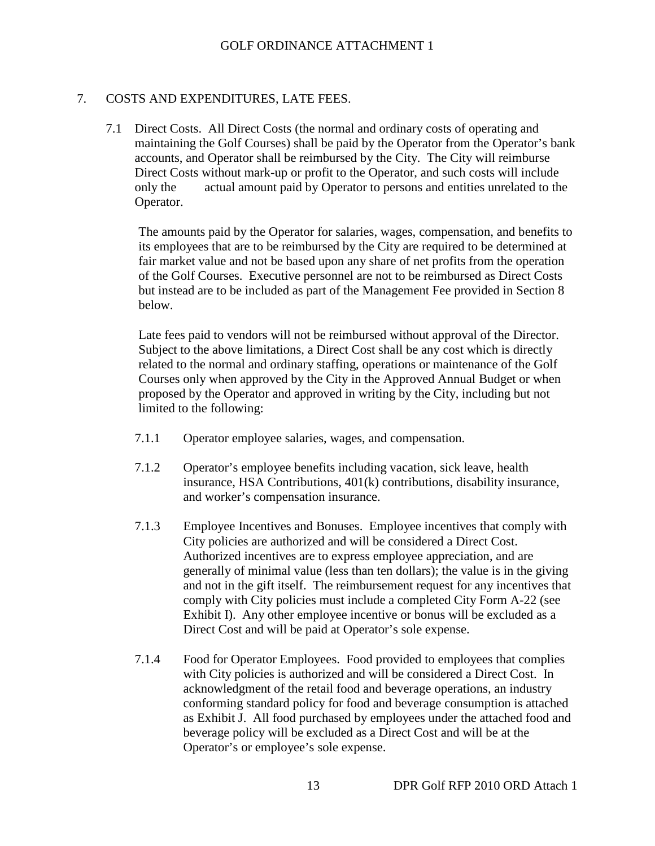### 7. COSTS AND EXPENDITURES, LATE FEES.

7.1 Direct Costs. All Direct Costs (the normal and ordinary costs of operating and maintaining the Golf Courses) shall be paid by the Operator from the Operator's bank accounts, and Operator shall be reimbursed by the City. The City will reimburse Direct Costs without mark-up or profit to the Operator, and such costs will include only the actual amount paid by Operator to persons and entities unrelated to the Operator.

The amounts paid by the Operator for salaries, wages, compensation, and benefits to its employees that are to be reimbursed by the City are required to be determined at fair market value and not be based upon any share of net profits from the operation of the Golf Courses. Executive personnel are not to be reimbursed as Direct Costs but instead are to be included as part of the Management Fee provided in Section 8 below.

Late fees paid to vendors will not be reimbursed without approval of the Director. Subject to the above limitations, a Direct Cost shall be any cost which is directly related to the normal and ordinary staffing, operations or maintenance of the Golf Courses only when approved by the City in the Approved Annual Budget or when proposed by the Operator and approved in writing by the City, including but not limited to the following:

- 7.1.1 Operator employee salaries, wages, and compensation.
- 7.1.2 Operator's employee benefits including vacation, sick leave, health insurance, HSA Contributions, 401(k) contributions, disability insurance, and worker's compensation insurance.
- 7.1.3 Employee Incentives and Bonuses. Employee incentives that comply with City policies are authorized and will be considered a Direct Cost. Authorized incentives are to express employee appreciation, and are generally of minimal value (less than ten dollars); the value is in the giving and not in the gift itself. The reimbursement request for any incentives that comply with City policies must include a completed City Form A-22 (see Exhibit I). Any other employee incentive or bonus will be excluded as a Direct Cost and will be paid at Operator's sole expense.
- 7.1.4 Food for Operator Employees. Food provided to employees that complies with City policies is authorized and will be considered a Direct Cost. In acknowledgment of the retail food and beverage operations, an industry conforming standard policy for food and beverage consumption is attached as Exhibit J. All food purchased by employees under the attached food and beverage policy will be excluded as a Direct Cost and will be at the Operator's or employee's sole expense.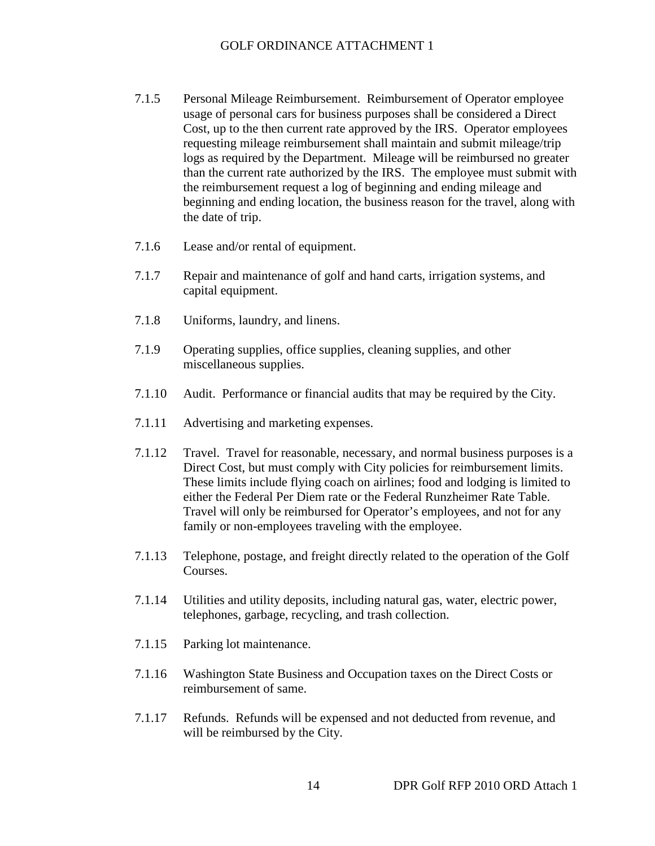- 7.1.5 Personal Mileage Reimbursement. Reimbursement of Operator employee usage of personal cars for business purposes shall be considered a Direct Cost, up to the then current rate approved by the IRS. Operator employees requesting mileage reimbursement shall maintain and submit mileage/trip logs as required by the Department. Mileage will be reimbursed no greater than the current rate authorized by the IRS. The employee must submit with the reimbursement request a log of beginning and ending mileage and beginning and ending location, the business reason for the travel, along with the date of trip.
- 7.1.6 Lease and/or rental of equipment.
- 7.1.7 Repair and maintenance of golf and hand carts, irrigation systems, and capital equipment.
- 7.1.8 Uniforms, laundry, and linens.
- 7.1.9 Operating supplies, office supplies, cleaning supplies, and other miscellaneous supplies.
- 7.1.10 Audit. Performance or financial audits that may be required by the City.
- 7.1.11 Advertising and marketing expenses.
- 7.1.12 Travel. Travel for reasonable, necessary, and normal business purposes is a Direct Cost, but must comply with City policies for reimbursement limits. These limits include flying coach on airlines; food and lodging is limited to either the Federal Per Diem rate or the Federal Runzheimer Rate Table. Travel will only be reimbursed for Operator's employees, and not for any family or non-employees traveling with the employee.
- 7.1.13 Telephone, postage, and freight directly related to the operation of the Golf Courses.
- 7.1.14 Utilities and utility deposits, including natural gas, water, electric power, telephones, garbage, recycling, and trash collection.
- 7.1.15 Parking lot maintenance.
- 7.1.16 Washington State Business and Occupation taxes on the Direct Costs or reimbursement of same.
- 7.1.17 Refunds. Refunds will be expensed and not deducted from revenue, and will be reimbursed by the City.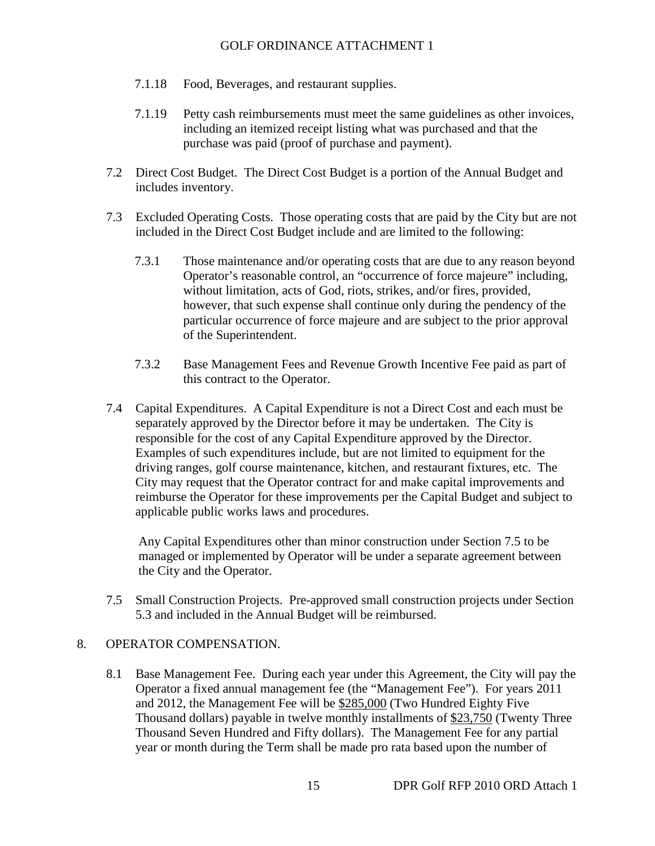- 7.1.18 Food, Beverages, and restaurant supplies.
- 7.1.19 Petty cash reimbursements must meet the same guidelines as other invoices, including an itemized receipt listing what was purchased and that the purchase was paid (proof of purchase and payment).
- 7.2 Direct Cost Budget. The Direct Cost Budget is a portion of the Annual Budget and includes inventory.
- 7.3 Excluded Operating Costs. Those operating costs that are paid by the City but are not included in the Direct Cost Budget include and are limited to the following:
	- 7.3.1 Those maintenance and/or operating costs that are due to any reason beyond Operator's reasonable control, an "occurrence of force majeure" including, without limitation, acts of God, riots, strikes, and/or fires, provided, however, that such expense shall continue only during the pendency of the particular occurrence of force majeure and are subject to the prior approval of the Superintendent.
	- 7.3.2 Base Management Fees and Revenue Growth Incentive Fee paid as part of this contract to the Operator.
- 7.4 Capital Expenditures. A Capital Expenditure is not a Direct Cost and each must be separately approved by the Director before it may be undertaken. The City is responsible for the cost of any Capital Expenditure approved by the Director. Examples of such expenditures include, but are not limited to equipment for the driving ranges, golf course maintenance, kitchen, and restaurant fixtures, etc. The City may request that the Operator contract for and make capital improvements and reimburse the Operator for these improvements per the Capital Budget and subject to applicable public works laws and procedures.

Any Capital Expenditures other than minor construction under Section 7.5 to be managed or implemented by Operator will be under a separate agreement between the City and the Operator.

7.5 Small Construction Projects. Pre-approved small construction projects under Section 5.3 and included in the Annual Budget will be reimbursed.

### 8. OPERATOR COMPENSATION.

8.1 Base Management Fee. During each year under this Agreement, the City will pay the Operator a fixed annual management fee (the "Management Fee"). For years 2011 and 2012, the Management Fee will be \$285,000 (Two Hundred Eighty Five Thousand dollars) payable in twelve monthly installments of \$23,750 (Twenty Three Thousand Seven Hundred and Fifty dollars). The Management Fee for any partial year or month during the Term shall be made pro rata based upon the number of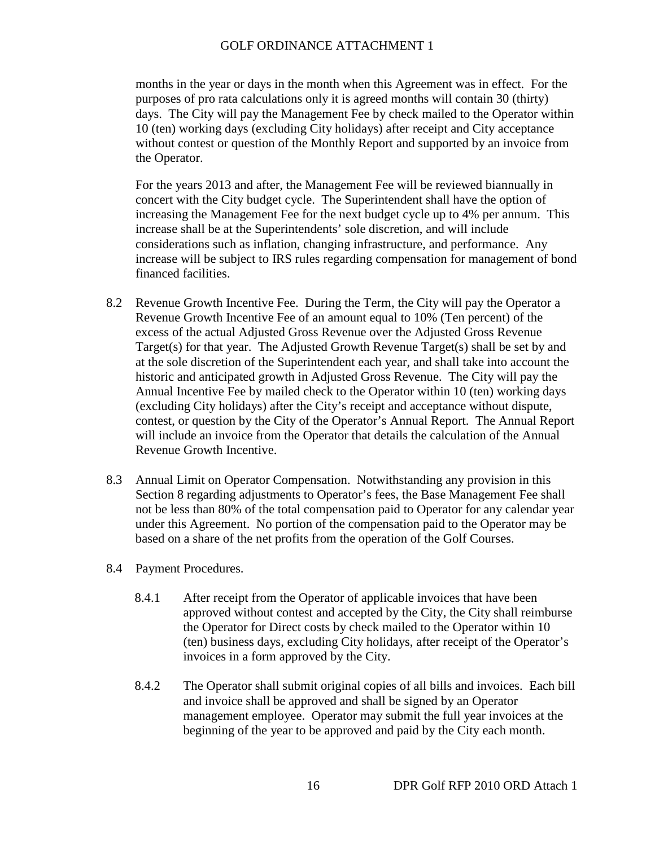months in the year or days in the month when this Agreement was in effect. For the purposes of pro rata calculations only it is agreed months will contain 30 (thirty) days. The City will pay the Management Fee by check mailed to the Operator within 10 (ten) working days (excluding City holidays) after receipt and City acceptance without contest or question of the Monthly Report and supported by an invoice from the Operator.

For the years 2013 and after, the Management Fee will be reviewed biannually in concert with the City budget cycle. The Superintendent shall have the option of increasing the Management Fee for the next budget cycle up to 4% per annum. This increase shall be at the Superintendents' sole discretion, and will include considerations such as inflation, changing infrastructure, and performance. Any increase will be subject to IRS rules regarding compensation for management of bond financed facilities.

- 8.2 Revenue Growth Incentive Fee. During the Term, the City will pay the Operator a Revenue Growth Incentive Fee of an amount equal to 10% (Ten percent) of the excess of the actual Adjusted Gross Revenue over the Adjusted Gross Revenue Target(s) for that year. The Adjusted Growth Revenue Target(s) shall be set by and at the sole discretion of the Superintendent each year, and shall take into account the historic and anticipated growth in Adjusted Gross Revenue. The City will pay the Annual Incentive Fee by mailed check to the Operator within 10 (ten) working days (excluding City holidays) after the City's receipt and acceptance without dispute, contest, or question by the City of the Operator's Annual Report. The Annual Report will include an invoice from the Operator that details the calculation of the Annual Revenue Growth Incentive.
- 8.3 Annual Limit on Operator Compensation. Notwithstanding any provision in this Section 8 regarding adjustments to Operator's fees, the Base Management Fee shall not be less than 80% of the total compensation paid to Operator for any calendar year under this Agreement. No portion of the compensation paid to the Operator may be based on a share of the net profits from the operation of the Golf Courses.
- 8.4 Payment Procedures.
	- 8.4.1 After receipt from the Operator of applicable invoices that have been approved without contest and accepted by the City, the City shall reimburse the Operator for Direct costs by check mailed to the Operator within 10 (ten) business days, excluding City holidays, after receipt of the Operator's invoices in a form approved by the City.
	- 8.4.2 The Operator shall submit original copies of all bills and invoices. Each bill and invoice shall be approved and shall be signed by an Operator management employee. Operator may submit the full year invoices at the beginning of the year to be approved and paid by the City each month.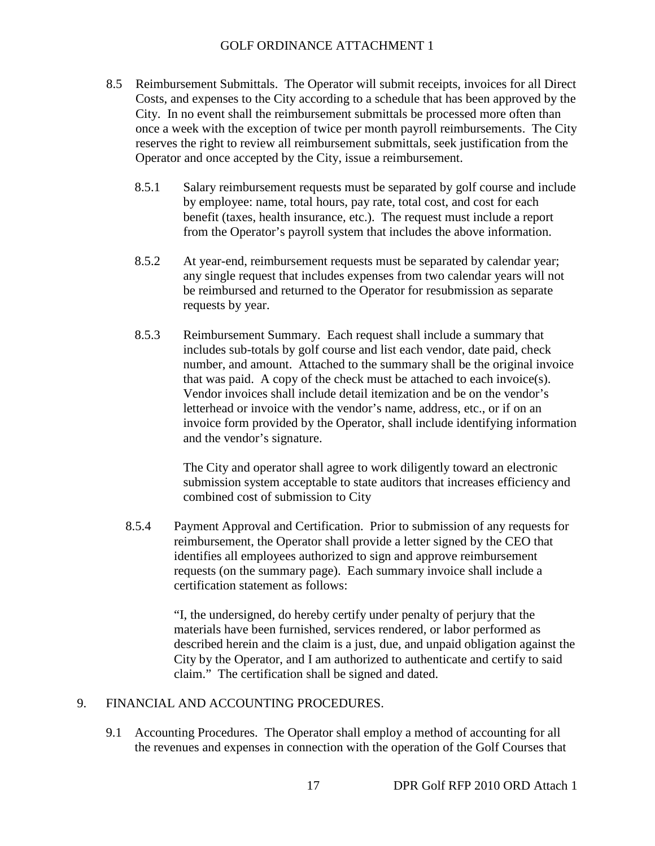- 8.5 Reimbursement Submittals. The Operator will submit receipts, invoices for all Direct Costs, and expenses to the City according to a schedule that has been approved by the City. In no event shall the reimbursement submittals be processed more often than once a week with the exception of twice per month payroll reimbursements. The City reserves the right to review all reimbursement submittals, seek justification from the Operator and once accepted by the City, issue a reimbursement.
	- 8.5.1 Salary reimbursement requests must be separated by golf course and include by employee: name, total hours, pay rate, total cost, and cost for each benefit (taxes, health insurance, etc.). The request must include a report from the Operator's payroll system that includes the above information.
	- 8.5.2 At year-end, reimbursement requests must be separated by calendar year; any single request that includes expenses from two calendar years will not be reimbursed and returned to the Operator for resubmission as separate requests by year.
	- 8.5.3 Reimbursement Summary. Each request shall include a summary that includes sub-totals by golf course and list each vendor, date paid, check number, and amount. Attached to the summary shall be the original invoice that was paid. A copy of the check must be attached to each invoice(s). Vendor invoices shall include detail itemization and be on the vendor's letterhead or invoice with the vendor's name, address, etc., or if on an invoice form provided by the Operator, shall include identifying information and the vendor's signature.

The City and operator shall agree to work diligently toward an electronic submission system acceptable to state auditors that increases efficiency and combined cost of submission to City

8.5.4 Payment Approval and Certification. Prior to submission of any requests for reimbursement, the Operator shall provide a letter signed by the CEO that identifies all employees authorized to sign and approve reimbursement requests (on the summary page). Each summary invoice shall include a certification statement as follows:

> "I, the undersigned, do hereby certify under penalty of perjury that the materials have been furnished, services rendered, or labor performed as described herein and the claim is a just, due, and unpaid obligation against the City by the Operator, and I am authorized to authenticate and certify to said claim." The certification shall be signed and dated.

## 9. FINANCIAL AND ACCOUNTING PROCEDURES.

9.1 Accounting Procedures. The Operator shall employ a method of accounting for all the revenues and expenses in connection with the operation of the Golf Courses that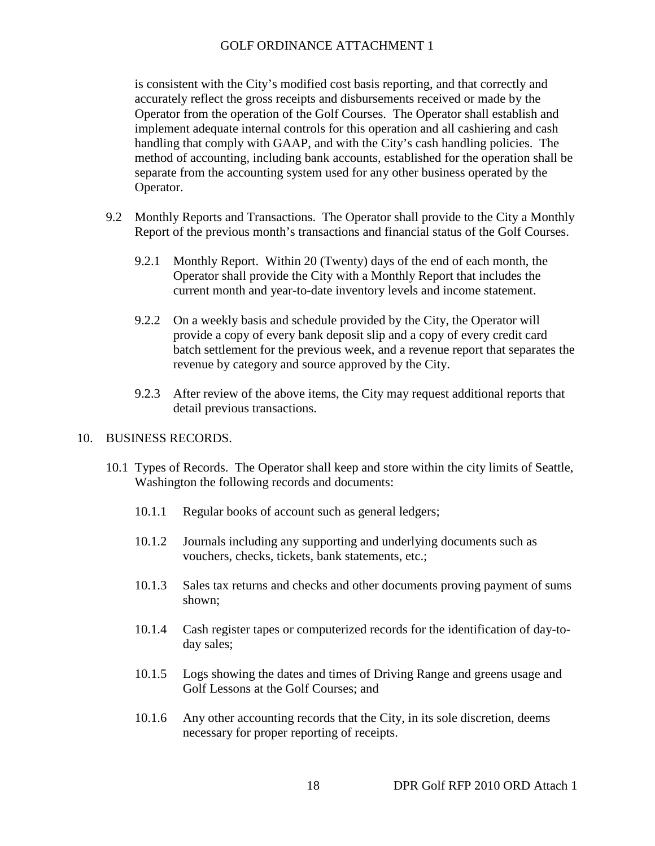is consistent with the City's modified cost basis reporting, and that correctly and accurately reflect the gross receipts and disbursements received or made by the Operator from the operation of the Golf Courses. The Operator shall establish and implement adequate internal controls for this operation and all cashiering and cash handling that comply with GAAP, and with the City's cash handling policies. The method of accounting, including bank accounts, established for the operation shall be separate from the accounting system used for any other business operated by the Operator.

- 9.2 Monthly Reports and Transactions. The Operator shall provide to the City a Monthly Report of the previous month's transactions and financial status of the Golf Courses.
	- 9.2.1 Monthly Report. Within 20 (Twenty) days of the end of each month, the Operator shall provide the City with a Monthly Report that includes the current month and year-to-date inventory levels and income statement.
	- 9.2.2 On a weekly basis and schedule provided by the City, the Operator will provide a copy of every bank deposit slip and a copy of every credit card batch settlement for the previous week, and a revenue report that separates the revenue by category and source approved by the City.
	- 9.2.3 After review of the above items, the City may request additional reports that detail previous transactions.

### 10. BUSINESS RECORDS.

- 10.1 Types of Records. The Operator shall keep and store within the city limits of Seattle, Washington the following records and documents:
	- 10.1.1 Regular books of account such as general ledgers;
	- 10.1.2 Journals including any supporting and underlying documents such as vouchers, checks, tickets, bank statements, etc.;
	- 10.1.3 Sales tax returns and checks and other documents proving payment of sums shown;
	- 10.1.4 Cash register tapes or computerized records for the identification of day-today sales;
	- 10.1.5 Logs showing the dates and times of Driving Range and greens usage and Golf Lessons at the Golf Courses; and
	- 10.1.6 Any other accounting records that the City, in its sole discretion, deems necessary for proper reporting of receipts.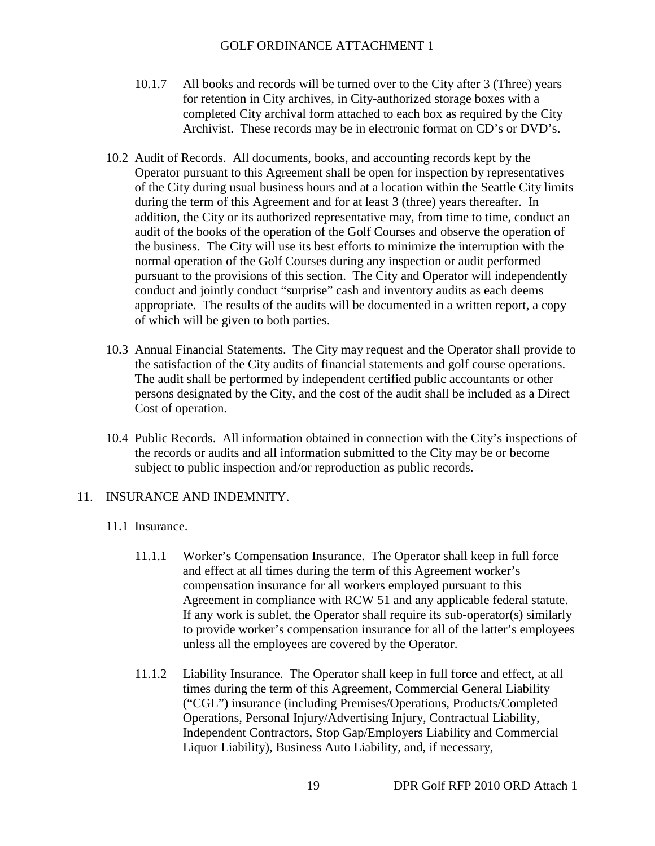- 10.1.7 All books and records will be turned over to the City after 3 (Three) years for retention in City archives, in City-authorized storage boxes with a completed City archival form attached to each box as required by the City Archivist. These records may be in electronic format on CD's or DVD's.
- 10.2 Audit of Records. All documents, books, and accounting records kept by the Operator pursuant to this Agreement shall be open for inspection by representatives of the City during usual business hours and at a location within the Seattle City limits during the term of this Agreement and for at least 3 (three) years thereafter. In addition, the City or its authorized representative may, from time to time, conduct an audit of the books of the operation of the Golf Courses and observe the operation of the business. The City will use its best efforts to minimize the interruption with the normal operation of the Golf Courses during any inspection or audit performed pursuant to the provisions of this section. The City and Operator will independently conduct and jointly conduct "surprise" cash and inventory audits as each deems appropriate. The results of the audits will be documented in a written report, a copy of which will be given to both parties.
- 10.3 Annual Financial Statements. The City may request and the Operator shall provide to the satisfaction of the City audits of financial statements and golf course operations. The audit shall be performed by independent certified public accountants or other persons designated by the City, and the cost of the audit shall be included as a Direct Cost of operation.
- 10.4 Public Records. All information obtained in connection with the City's inspections of the records or audits and all information submitted to the City may be or become subject to public inspection and/or reproduction as public records.

### 11. INSURANCE AND INDEMNITY.

- 11.1 Insurance.
	- 11.1.1 Worker's Compensation Insurance. The Operator shall keep in full force and effect at all times during the term of this Agreement worker's compensation insurance for all workers employed pursuant to this Agreement in compliance with RCW 51 and any applicable federal statute. If any work is sublet, the Operator shall require its sub-operator(s) similarly to provide worker's compensation insurance for all of the latter's employees unless all the employees are covered by the Operator.
	- 11.1.2 Liability Insurance. The Operator shall keep in full force and effect, at all times during the term of this Agreement, Commercial General Liability ("CGL") insurance (including Premises/Operations, Products/Completed Operations, Personal Injury/Advertising Injury, Contractual Liability, Independent Contractors, Stop Gap/Employers Liability and Commercial Liquor Liability), Business Auto Liability, and, if necessary,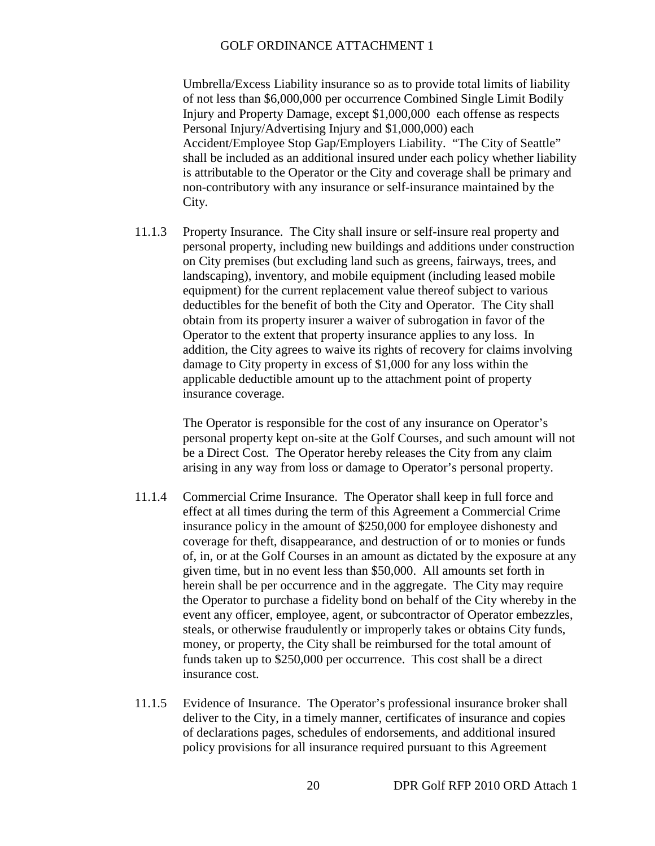Umbrella/Excess Liability insurance so as to provide total limits of liability of not less than \$6,000,000 per occurrence Combined Single Limit Bodily Injury and Property Damage, except \$1,000,000 each offense as respects Personal Injury/Advertising Injury and \$1,000,000) each Accident/Employee Stop Gap/Employers Liability. "The City of Seattle" shall be included as an additional insured under each policy whether liability is attributable to the Operator or the City and coverage shall be primary and non-contributory with any insurance or self-insurance maintained by the City.

11.1.3 Property Insurance. The City shall insure or self-insure real property and personal property, including new buildings and additions under construction on City premises (but excluding land such as greens, fairways, trees, and landscaping), inventory, and mobile equipment (including leased mobile equipment) for the current replacement value thereof subject to various deductibles for the benefit of both the City and Operator. The City shall obtain from its property insurer a waiver of subrogation in favor of the Operator to the extent that property insurance applies to any loss. In addition, the City agrees to waive its rights of recovery for claims involving damage to City property in excess of \$1,000 for any loss within the applicable deductible amount up to the attachment point of property insurance coverage.

> The Operator is responsible for the cost of any insurance on Operator's personal property kept on-site at the Golf Courses, and such amount will not be a Direct Cost. The Operator hereby releases the City from any claim arising in any way from loss or damage to Operator's personal property.

- 11.1.4 Commercial Crime Insurance. The Operator shall keep in full force and effect at all times during the term of this Agreement a Commercial Crime insurance policy in the amount of \$250,000 for employee dishonesty and coverage for theft, disappearance, and destruction of or to monies or funds of, in, or at the Golf Courses in an amount as dictated by the exposure at any given time, but in no event less than \$50,000. All amounts set forth in herein shall be per occurrence and in the aggregate. The City may require the Operator to purchase a fidelity bond on behalf of the City whereby in the event any officer, employee, agent, or subcontractor of Operator embezzles, steals, or otherwise fraudulently or improperly takes or obtains City funds, money, or property, the City shall be reimbursed for the total amount of funds taken up to \$250,000 per occurrence. This cost shall be a direct insurance cost.
- 11.1.5 Evidence of Insurance. The Operator's professional insurance broker shall deliver to the City, in a timely manner, certificates of insurance and copies of declarations pages, schedules of endorsements, and additional insured policy provisions for all insurance required pursuant to this Agreement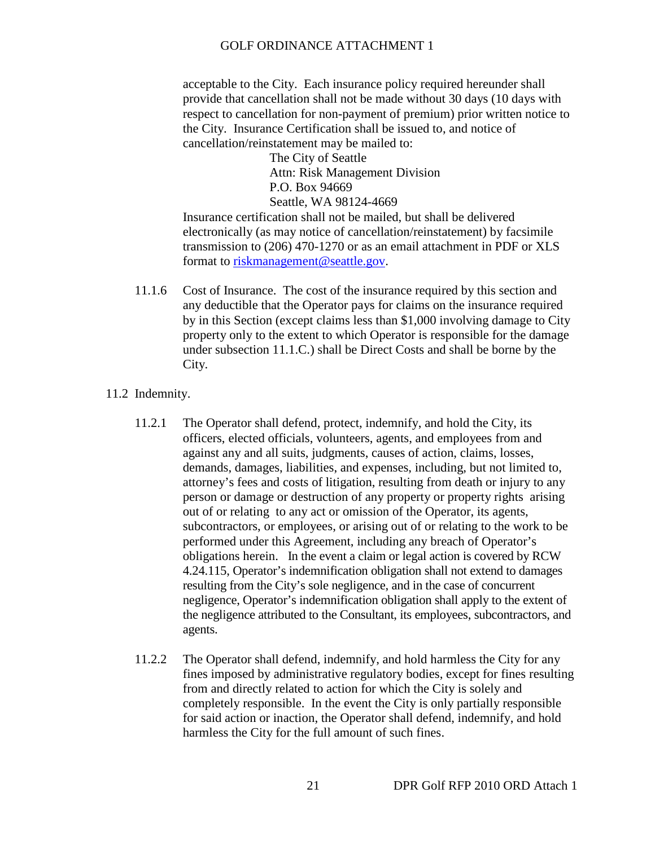acceptable to the City. Each insurance policy required hereunder shall provide that cancellation shall not be made without 30 days (10 days with respect to cancellation for non-payment of premium) prior written notice to the City. Insurance Certification shall be issued to, and notice of cancellation/reinstatement may be mailed to:

> The City of Seattle Attn: Risk Management Division P.O. Box 94669 Seattle, WA 98124-4669

Insurance certification shall not be mailed, but shall be delivered electronically (as may notice of cancellation/reinstatement) by facsimile transmission to (206) 470-1270 or as an email attachment in PDF or XLS format to [riskmanagement@seattle.gov.](mailto:riskmanagement@seattle.gov)

11.1.6 Cost of Insurance. The cost of the insurance required by this section and any deductible that the Operator pays for claims on the insurance required by in this Section (except claims less than \$1,000 involving damage to City property only to the extent to which Operator is responsible for the damage under subsection 11.1.C.) shall be Direct Costs and shall be borne by the City.

## 11.2 Indemnity.

- 11.2.1 The Operator shall defend, protect, indemnify, and hold the City, its officers, elected officials, volunteers, agents, and employees from and against any and all suits, judgments, causes of action, claims, losses, demands, damages, liabilities, and expenses, including, but not limited to, attorney's fees and costs of litigation, resulting from death or injury to any person or damage or destruction of any property or property rights arising out of or relating to any act or omission of the Operator, its agents, subcontractors, or employees, or arising out of or relating to the work to be performed under this Agreement, including any breach of Operator's obligations herein. In the event a claim or legal action is covered by RCW 4.24.115, Operator's indemnification obligation shall not extend to damages resulting from the City's sole negligence, and in the case of concurrent negligence, Operator's indemnification obligation shall apply to the extent of the negligence attributed to the Consultant, its employees, subcontractors, and agents.
- 11.2.2 The Operator shall defend, indemnify, and hold harmless the City for any fines imposed by administrative regulatory bodies, except for fines resulting from and directly related to action for which the City is solely and completely responsible. In the event the City is only partially responsible for said action or inaction, the Operator shall defend, indemnify, and hold harmless the City for the full amount of such fines.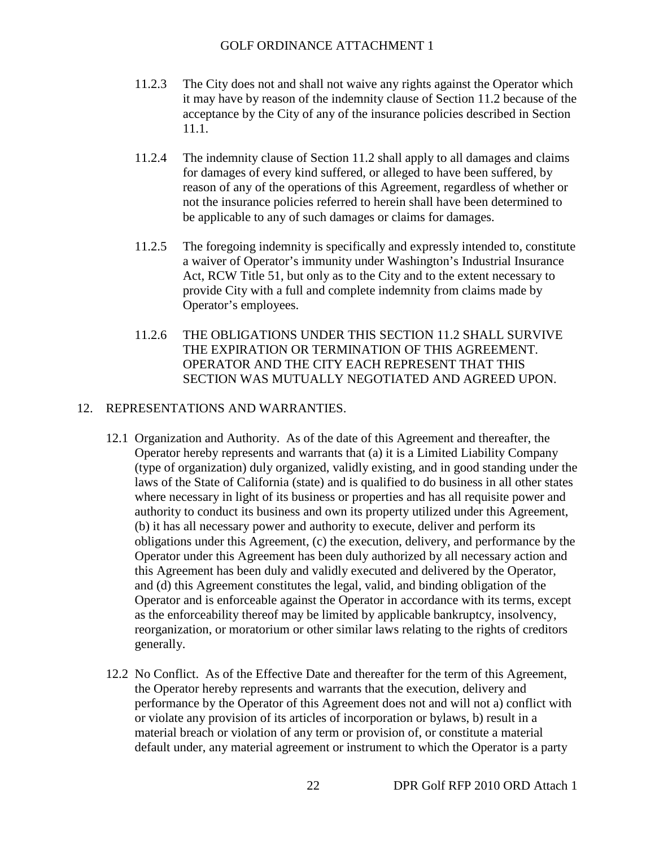- 11.2.3 The City does not and shall not waive any rights against the Operator which it may have by reason of the indemnity clause of Section 11.2 because of the acceptance by the City of any of the insurance policies described in Section 11.1.
- 11.2.4 The indemnity clause of Section 11.2 shall apply to all damages and claims for damages of every kind suffered, or alleged to have been suffered, by reason of any of the operations of this Agreement, regardless of whether or not the insurance policies referred to herein shall have been determined to be applicable to any of such damages or claims for damages.
- 11.2.5 The foregoing indemnity is specifically and expressly intended to, constitute a waiver of Operator's immunity under Washington's Industrial Insurance Act, RCW Title 51, but only as to the City and to the extent necessary to provide City with a full and complete indemnity from claims made by Operator's employees.
- 11.2.6 THE OBLIGATIONS UNDER THIS SECTION 11.2 SHALL SURVIVE THE EXPIRATION OR TERMINATION OF THIS AGREEMENT. OPERATOR AND THE CITY EACH REPRESENT THAT THIS SECTION WAS MUTUALLY NEGOTIATED AND AGREED UPON.

## 12. REPRESENTATIONS AND WARRANTIES.

- 12.1 Organization and Authority. As of the date of this Agreement and thereafter, the Operator hereby represents and warrants that (a) it is a Limited Liability Company (type of organization) duly organized, validly existing, and in good standing under the laws of the State of California (state) and is qualified to do business in all other states where necessary in light of its business or properties and has all requisite power and authority to conduct its business and own its property utilized under this Agreement, (b) it has all necessary power and authority to execute, deliver and perform its obligations under this Agreement, (c) the execution, delivery, and performance by the Operator under this Agreement has been duly authorized by all necessary action and this Agreement has been duly and validly executed and delivered by the Operator, and (d) this Agreement constitutes the legal, valid, and binding obligation of the Operator and is enforceable against the Operator in accordance with its terms, except as the enforceability thereof may be limited by applicable bankruptcy, insolvency, reorganization, or moratorium or other similar laws relating to the rights of creditors generally.
- 12.2 No Conflict. As of the Effective Date and thereafter for the term of this Agreement, the Operator hereby represents and warrants that the execution, delivery and performance by the Operator of this Agreement does not and will not a) conflict with or violate any provision of its articles of incorporation or bylaws, b) result in a material breach or violation of any term or provision of, or constitute a material default under, any material agreement or instrument to which the Operator is a party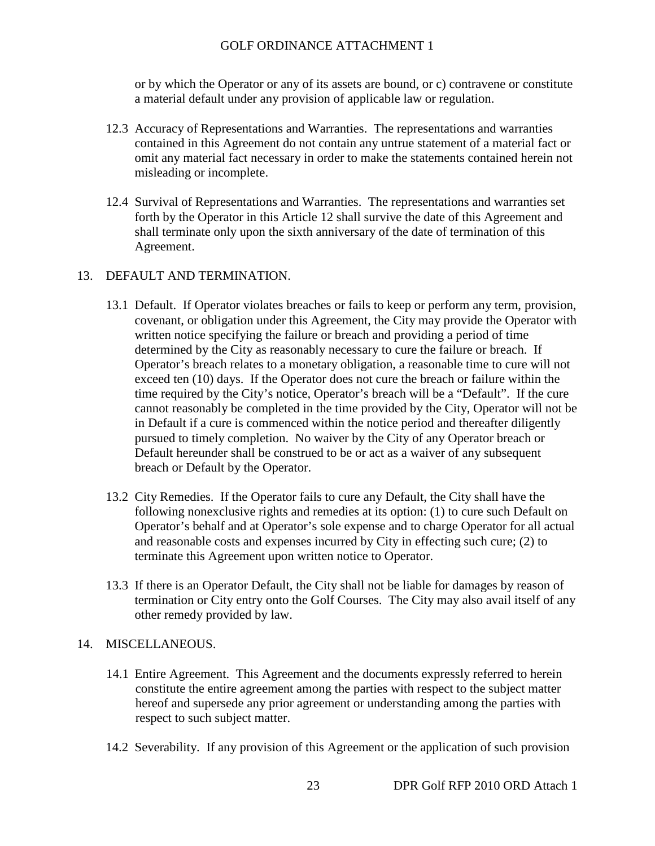or by which the Operator or any of its assets are bound, or c) contravene or constitute a material default under any provision of applicable law or regulation.

- 12.3 Accuracy of Representations and Warranties. The representations and warranties contained in this Agreement do not contain any untrue statement of a material fact or omit any material fact necessary in order to make the statements contained herein not misleading or incomplete.
- 12.4 Survival of Representations and Warranties. The representations and warranties set forth by the Operator in this Article 12 shall survive the date of this Agreement and shall terminate only upon the sixth anniversary of the date of termination of this Agreement.

## 13. DEFAULT AND TERMINATION.

- 13.1 Default. If Operator violates breaches or fails to keep or perform any term, provision, covenant, or obligation under this Agreement, the City may provide the Operator with written notice specifying the failure or breach and providing a period of time determined by the City as reasonably necessary to cure the failure or breach. If Operator's breach relates to a monetary obligation, a reasonable time to cure will not exceed ten (10) days. If the Operator does not cure the breach or failure within the time required by the City's notice, Operator's breach will be a "Default". If the cure cannot reasonably be completed in the time provided by the City, Operator will not be in Default if a cure is commenced within the notice period and thereafter diligently pursued to timely completion. No waiver by the City of any Operator breach or Default hereunder shall be construed to be or act as a waiver of any subsequent breach or Default by the Operator.
- 13.2 City Remedies. If the Operator fails to cure any Default, the City shall have the following nonexclusive rights and remedies at its option: (1) to cure such Default on Operator's behalf and at Operator's sole expense and to charge Operator for all actual and reasonable costs and expenses incurred by City in effecting such cure; (2) to terminate this Agreement upon written notice to Operator.
- 13.3 If there is an Operator Default, the City shall not be liable for damages by reason of termination or City entry onto the Golf Courses. The City may also avail itself of any other remedy provided by law.

### 14. MISCELLANEOUS.

- 14.1 Entire Agreement. This Agreement and the documents expressly referred to herein constitute the entire agreement among the parties with respect to the subject matter hereof and supersede any prior agreement or understanding among the parties with respect to such subject matter.
- 14.2 Severability. If any provision of this Agreement or the application of such provision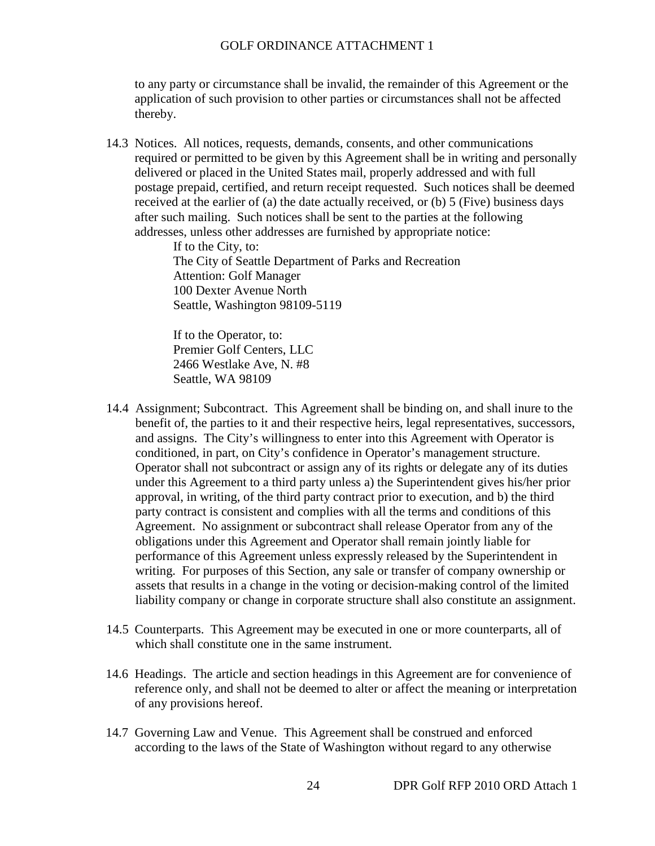to any party or circumstance shall be invalid, the remainder of this Agreement or the application of such provision to other parties or circumstances shall not be affected thereby.

14.3 Notices. All notices, requests, demands, consents, and other communications required or permitted to be given by this Agreement shall be in writing and personally delivered or placed in the United States mail, properly addressed and with full postage prepaid, certified, and return receipt requested. Such notices shall be deemed received at the earlier of (a) the date actually received, or (b) 5 (Five) business days after such mailing. Such notices shall be sent to the parties at the following addresses, unless other addresses are furnished by appropriate notice:

> If to the City, to: The City of Seattle Department of Parks and Recreation Attention: Golf Manager 100 Dexter Avenue North Seattle, Washington 98109-5119

If to the Operator, to: Premier Golf Centers, LLC 2466 Westlake Ave, N. #8 Seattle, WA 98109

- 14.4 Assignment; Subcontract. This Agreement shall be binding on, and shall inure to the benefit of, the parties to it and their respective heirs, legal representatives, successors, and assigns. The City's willingness to enter into this Agreement with Operator is conditioned, in part, on City's confidence in Operator's management structure. Operator shall not subcontract or assign any of its rights or delegate any of its duties under this Agreement to a third party unless a) the Superintendent gives his/her prior approval, in writing, of the third party contract prior to execution, and b) the third party contract is consistent and complies with all the terms and conditions of this Agreement. No assignment or subcontract shall release Operator from any of the obligations under this Agreement and Operator shall remain jointly liable for performance of this Agreement unless expressly released by the Superintendent in writing. For purposes of this Section, any sale or transfer of company ownership or assets that results in a change in the voting or decision-making control of the limited liability company or change in corporate structure shall also constitute an assignment.
- 14.5 Counterparts. This Agreement may be executed in one or more counterparts, all of which shall constitute one in the same instrument.
- 14.6 Headings. The article and section headings in this Agreement are for convenience of reference only, and shall not be deemed to alter or affect the meaning or interpretation of any provisions hereof.
- 14.7 Governing Law and Venue. This Agreement shall be construed and enforced according to the laws of the State of Washington without regard to any otherwise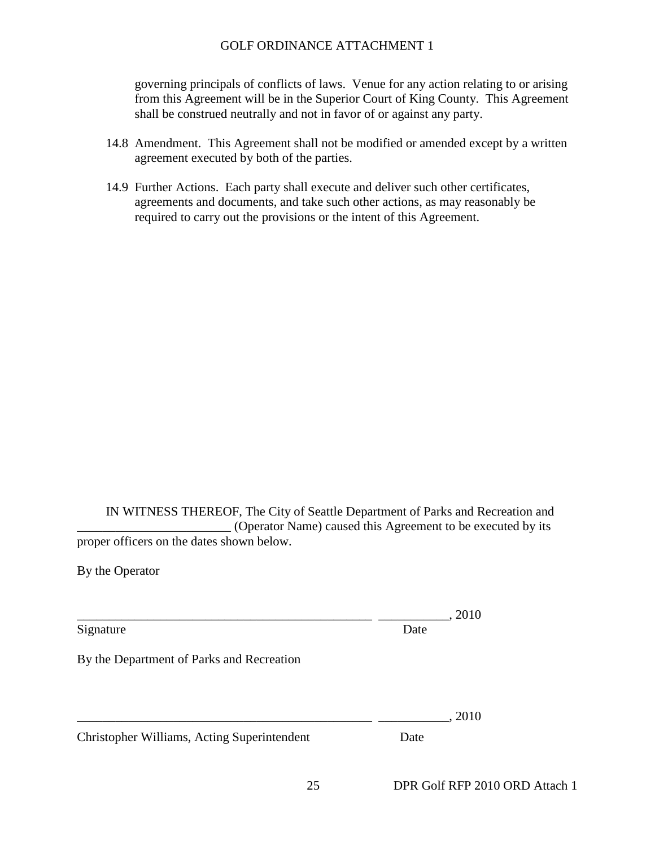governing principals of conflicts of laws. Venue for any action relating to or arising from this Agreement will be in the Superior Court of King County. This Agreement shall be construed neutrally and not in favor of or against any party.

- 14.8 Amendment. This Agreement shall not be modified or amended except by a written agreement executed by both of the parties.
- 14.9 Further Actions. Each party shall execute and deliver such other certificates, agreements and documents, and take such other actions, as may reasonably be required to carry out the provisions or the intent of this Agreement.

IN WITNESS THEREOF, The City of Seattle Department of Parks and Recreation and \_\_\_\_\_\_\_\_\_\_\_\_\_\_\_\_\_\_\_\_\_\_\_\_ (Operator Name) caused this Agreement to be executed by its proper officers on the dates shown below.

By the Operator

|                                             | 2010 |
|---------------------------------------------|------|
| Signature                                   | Date |
| By the Department of Parks and Recreation   |      |
|                                             | 2010 |
| Christopher Williams, Acting Superintendent | Date |
|                                             |      |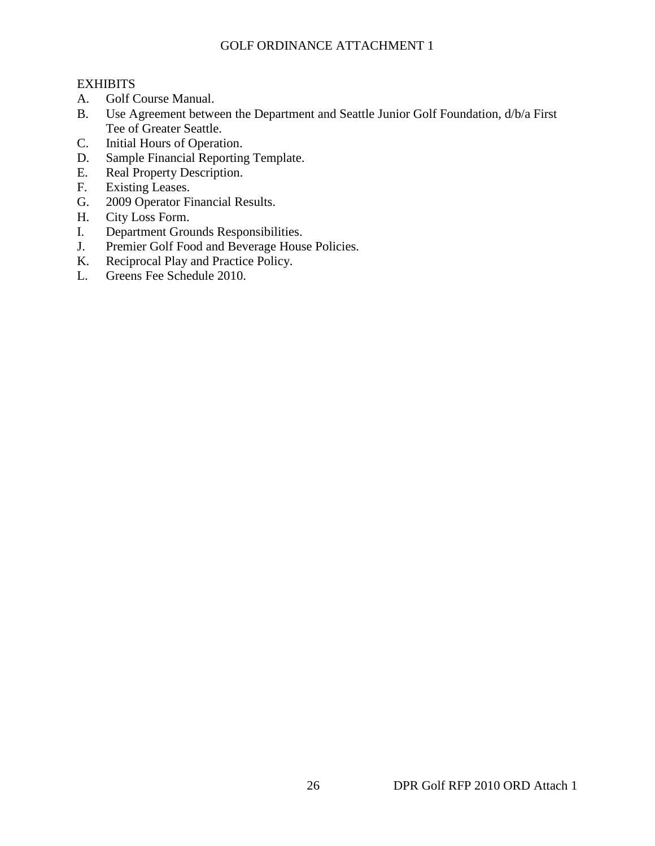## **EXHIBITS**

- A. Golf Course Manual.
- B. Use Agreement between the Department and Seattle Junior Golf Foundation, d/b/a First Tee of Greater Seattle.
- C. Initial Hours of Operation.
- D. Sample Financial Reporting Template.
- E. Real Property Description.
- F. Existing Leases.
- G. 2009 Operator Financial Results.
- H. City Loss Form.
- I. Department Grounds Responsibilities.
- J. Premier Golf Food and Beverage House Policies.
- K. Reciprocal Play and Practice Policy.
- L. Greens Fee Schedule 2010.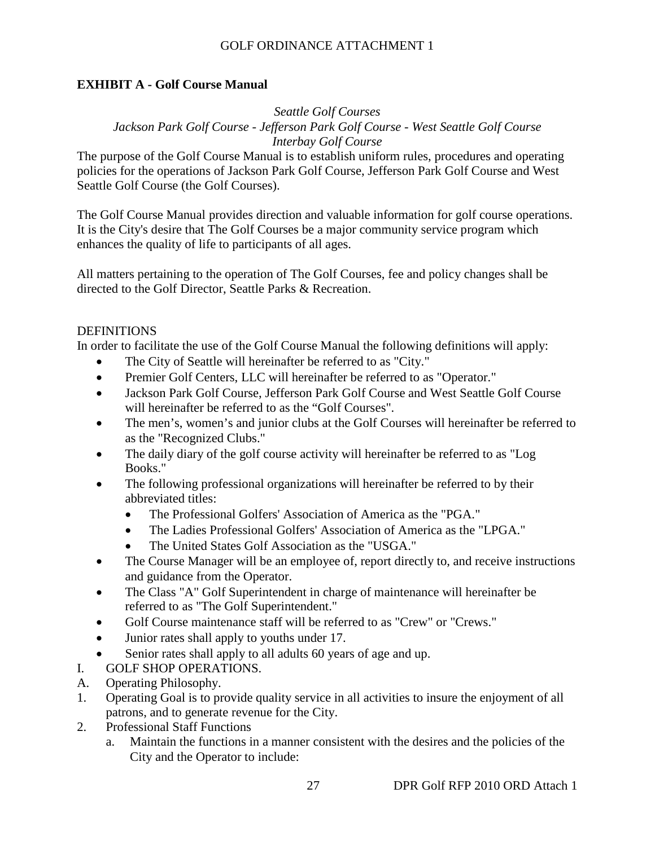## **EXHIBIT A - Golf Course Manual**

### *Seattle Golf Courses Jackson Park Golf Course - Jefferson Park Golf Course - West Seattle Golf Course Interbay Golf Course*

The purpose of the Golf Course Manual is to establish uniform rules, procedures and operating policies for the operations of Jackson Park Golf Course, Jefferson Park Golf Course and West Seattle Golf Course (the Golf Courses).

The Golf Course Manual provides direction and valuable information for golf course operations. It is the City's desire that The Golf Courses be a major community service program which enhances the quality of life to participants of all ages.

All matters pertaining to the operation of The Golf Courses, fee and policy changes shall be directed to the Golf Director, Seattle Parks & Recreation.

## **DEFINITIONS**

In order to facilitate the use of the Golf Course Manual the following definitions will apply:

- The City of Seattle will hereinafter be referred to as "City."
- Premier Golf Centers, LLC will hereinafter be referred to as "Operator."
- Jackson Park Golf Course, Jefferson Park Golf Course and West Seattle Golf Course will hereinafter be referred to as the "Golf Courses".
- The men's, women's and junior clubs at the Golf Courses will hereinafter be referred to as the "Recognized Clubs."
- The daily diary of the golf course activity will hereinafter be referred to as "Log" Books."
- The following professional organizations will hereinafter be referred to by their abbreviated titles:
	- The Professional Golfers' Association of America as the "PGA."
	- The Ladies Professional Golfers' Association of America as the "LPGA."
	- The United States Golf Association as the "USGA."
- The Course Manager will be an employee of, report directly to, and receive instructions and guidance from the Operator.
- The Class "A" Golf Superintendent in charge of maintenance will hereinafter be referred to as "The Golf Superintendent."
- Golf Course maintenance staff will be referred to as "Crew" or "Crews."
- Junior rates shall apply to youths under 17.
- Senior rates shall apply to all adults 60 years of age and up.
- I. GOLF SHOP OPERATIONS.
- A. Operating Philosophy.
- 1. Operating Goal is to provide quality service in all activities to insure the enjoyment of all patrons, and to generate revenue for the City.
- 2. Professional Staff Functions
	- a. Maintain the functions in a manner consistent with the desires and the policies of the City and the Operator to include: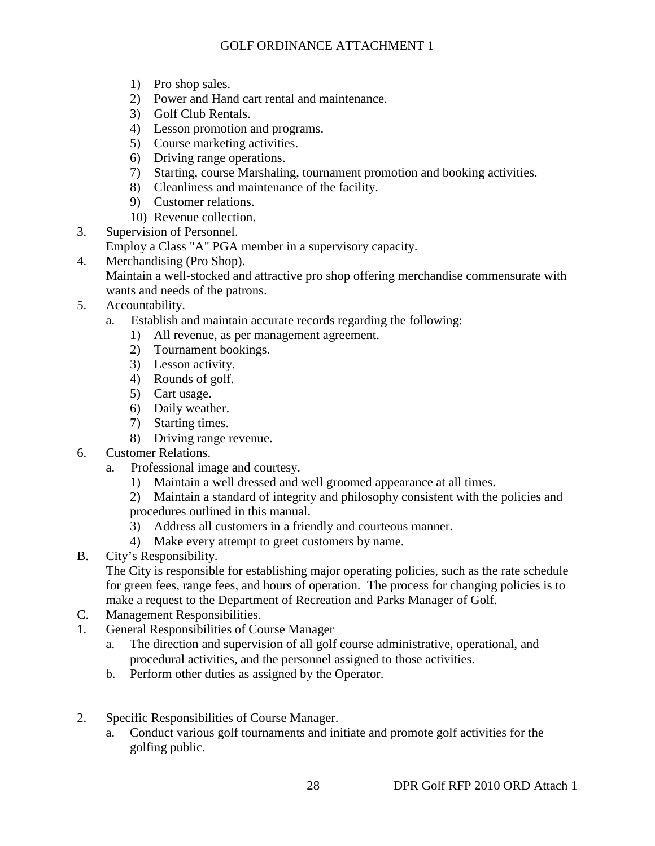- 1) Pro shop sales.
- 2) Power and Hand cart rental and maintenance.
- 3) Golf Club Rentals.
- 4) Lesson promotion and programs.
- 5) Course marketing activities.
- 6) Driving range operations.
- 7) Starting, course Marshaling, tournament promotion and booking activities.
- 8) Cleanliness and maintenance of the facility.
- 9) Customer relations.
- 10) Revenue collection.
- 3. Supervision of Personnel.

Employ a Class "A" PGA member in a supervisory capacity.

- 4. Merchandising (Pro Shop).
	- Maintain a well-stocked and attractive pro shop offering merchandise commensurate with wants and needs of the patrons.
- 5. Accountability.
	- a. Establish and maintain accurate records regarding the following:
		- 1) All revenue, as per management agreement.
		- 2) Tournament bookings.
		- 3) Lesson activity.
		- 4) Rounds of golf.
		- 5) Cart usage.
		- 6) Daily weather.
		- 7) Starting times.
		- 8) Driving range revenue.
- 6. Customer Relations.
	- a. Professional image and courtesy.
		- 1) Maintain a well dressed and well groomed appearance at all times.
		- 2) Maintain a standard of integrity and philosophy consistent with the policies and procedures outlined in this manual.
		- 3) Address all customers in a friendly and courteous manner.
		- 4) Make every attempt to greet customers by name.
- B. City's Responsibility.

The City is responsible for establishing major operating policies, such as the rate schedule for green fees, range fees, and hours of operation. The process for changing policies is to make a request to the Department of Recreation and Parks Manager of Golf.

- C. Management Responsibilities.
- 1. General Responsibilities of Course Manager
	- a. The direction and supervision of all golf course administrative, operational, and procedural activities, and the personnel assigned to those activities.
	- b. Perform other duties as assigned by the Operator.
- 2. Specific Responsibilities of Course Manager.
	- a. Conduct various golf tournaments and initiate and promote golf activities for the golfing public.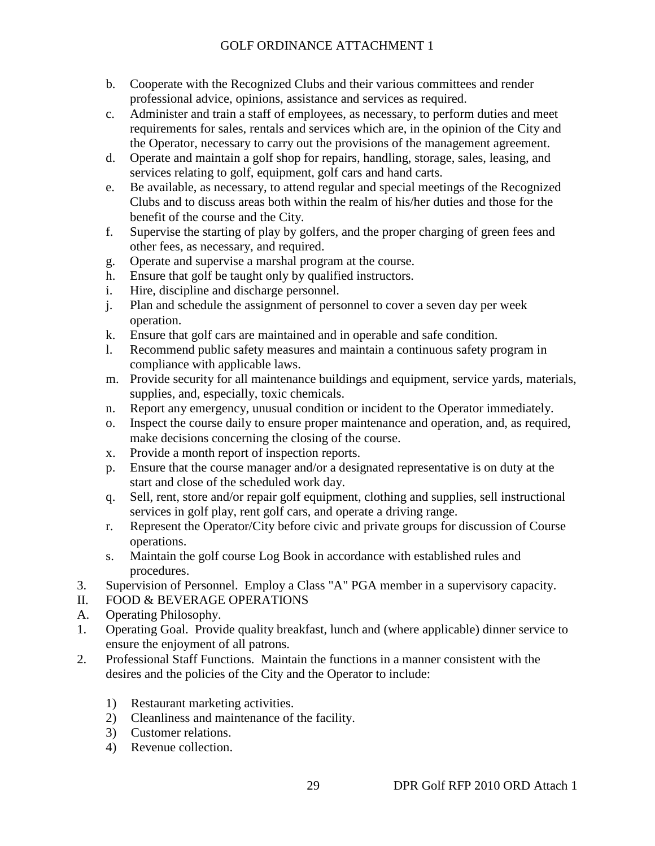- b. Cooperate with the Recognized Clubs and their various committees and render professional advice, opinions, assistance and services as required.
- c. Administer and train a staff of employees, as necessary, to perform duties and meet requirements for sales, rentals and services which are, in the opinion of the City and the Operator, necessary to carry out the provisions of the management agreement.
- d. Operate and maintain a golf shop for repairs, handling, storage, sales, leasing, and services relating to golf, equipment, golf cars and hand carts.
- e. Be available, as necessary, to attend regular and special meetings of the Recognized Clubs and to discuss areas both within the realm of his/her duties and those for the benefit of the course and the City.
- f. Supervise the starting of play by golfers, and the proper charging of green fees and other fees, as necessary, and required.
- g. Operate and supervise a marshal program at the course.
- h. Ensure that golf be taught only by qualified instructors.
- i. Hire, discipline and discharge personnel.
- j. Plan and schedule the assignment of personnel to cover a seven day per week operation.
- k. Ensure that golf cars are maintained and in operable and safe condition.
- l. Recommend public safety measures and maintain a continuous safety program in compliance with applicable laws.
- m. Provide security for all maintenance buildings and equipment, service yards, materials, supplies, and, especially, toxic chemicals.
- n. Report any emergency, unusual condition or incident to the Operator immediately.
- o. Inspect the course daily to ensure proper maintenance and operation, and, as required, make decisions concerning the closing of the course.
- x. Provide a month report of inspection reports.
- p. Ensure that the course manager and/or a designated representative is on duty at the start and close of the scheduled work day.
- q. Sell, rent, store and/or repair golf equipment, clothing and supplies, sell instructional services in golf play, rent golf cars, and operate a driving range.
- r. Represent the Operator/City before civic and private groups for discussion of Course operations.
- s. Maintain the golf course Log Book in accordance with established rules and procedures.
- 3. Supervision of Personnel. Employ a Class "A" PGA member in a supervisory capacity.
- II. FOOD & BEVERAGE OPERATIONS
- A. Operating Philosophy.
- 1. Operating Goal. Provide quality breakfast, lunch and (where applicable) dinner service to ensure the enjoyment of all patrons.
- 2. Professional Staff Functions. Maintain the functions in a manner consistent with the desires and the policies of the City and the Operator to include:
	- 1) Restaurant marketing activities.
	- 2) Cleanliness and maintenance of the facility.
	- 3) Customer relations.
	- 4) Revenue collection.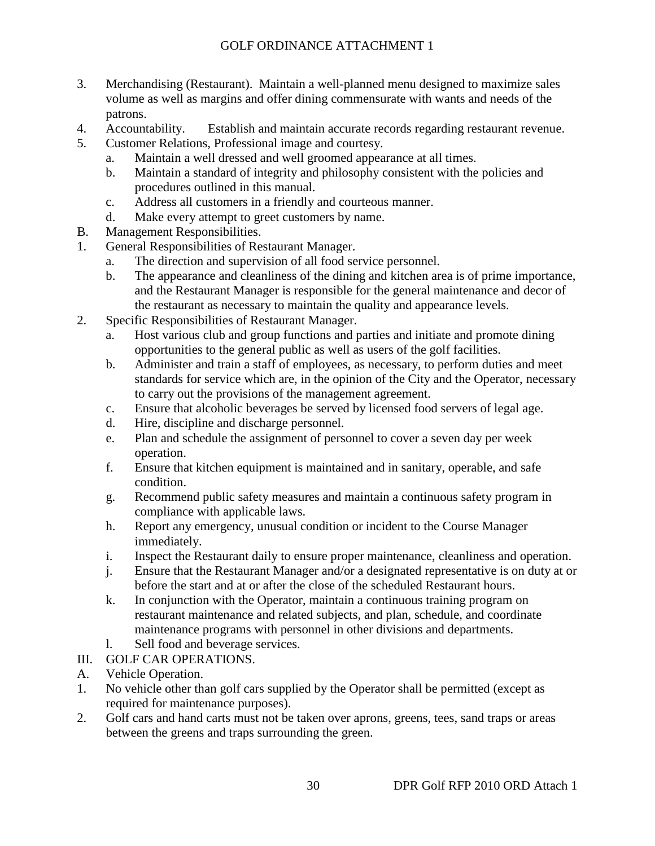- 3. Merchandising (Restaurant). Maintain a well-planned menu designed to maximize sales volume as well as margins and offer dining commensurate with wants and needs of the patrons.
- 4. Accountability. Establish and maintain accurate records regarding restaurant revenue.
- 5. Customer Relations, Professional image and courtesy.
	- a. Maintain a well dressed and well groomed appearance at all times.
	- b. Maintain a standard of integrity and philosophy consistent with the policies and procedures outlined in this manual.
	- c. Address all customers in a friendly and courteous manner.
	- d. Make every attempt to greet customers by name.
- B. Management Responsibilities.
- 1. General Responsibilities of Restaurant Manager.
	- a. The direction and supervision of all food service personnel.
	- b. The appearance and cleanliness of the dining and kitchen area is of prime importance, and the Restaurant Manager is responsible for the general maintenance and decor of the restaurant as necessary to maintain the quality and appearance levels.
- 2. Specific Responsibilities of Restaurant Manager.
	- a. Host various club and group functions and parties and initiate and promote dining opportunities to the general public as well as users of the golf facilities.
	- b. Administer and train a staff of employees, as necessary, to perform duties and meet standards for service which are, in the opinion of the City and the Operator, necessary to carry out the provisions of the management agreement.
	- c. Ensure that alcoholic beverages be served by licensed food servers of legal age.
	- d. Hire, discipline and discharge personnel.
	- e. Plan and schedule the assignment of personnel to cover a seven day per week operation.
	- f. Ensure that kitchen equipment is maintained and in sanitary, operable, and safe condition.
	- g. Recommend public safety measures and maintain a continuous safety program in compliance with applicable laws.
	- h. Report any emergency, unusual condition or incident to the Course Manager immediately.
	- i. Inspect the Restaurant daily to ensure proper maintenance, cleanliness and operation.
	- j. Ensure that the Restaurant Manager and/or a designated representative is on duty at or before the start and at or after the close of the scheduled Restaurant hours.
	- k. In conjunction with the Operator, maintain a continuous training program on restaurant maintenance and related subjects, and plan, schedule, and coordinate maintenance programs with personnel in other divisions and departments.
	- l. Sell food and beverage services.
- III. GOLF CAR OPERATIONS.
- A. Vehicle Operation.
- 1. No vehicle other than golf cars supplied by the Operator shall be permitted (except as required for maintenance purposes).
- 2. Golf cars and hand carts must not be taken over aprons, greens, tees, sand traps or areas between the greens and traps surrounding the green.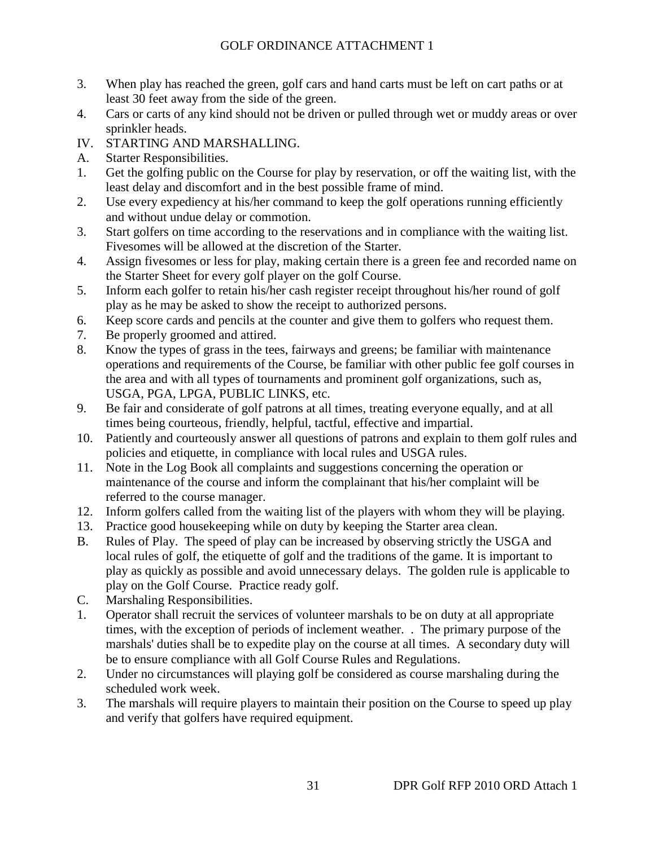- 3. When play has reached the green, golf cars and hand carts must be left on cart paths or at least 30 feet away from the side of the green.
- 4. Cars or carts of any kind should not be driven or pulled through wet or muddy areas or over sprinkler heads.
- IV. STARTING AND MARSHALLING.
- A. Starter Responsibilities.
- 1. Get the golfing public on the Course for play by reservation, or off the waiting list, with the least delay and discomfort and in the best possible frame of mind.
- 2. Use every expediency at his/her command to keep the golf operations running efficiently and without undue delay or commotion.
- 3. Start golfers on time according to the reservations and in compliance with the waiting list. Fivesomes will be allowed at the discretion of the Starter.
- 4. Assign fivesomes or less for play, making certain there is a green fee and recorded name on the Starter Sheet for every golf player on the golf Course.
- 5. Inform each golfer to retain his/her cash register receipt throughout his/her round of golf play as he may be asked to show the receipt to authorized persons.
- 6. Keep score cards and pencils at the counter and give them to golfers who request them.
- 7. Be properly groomed and attired.
- 8. Know the types of grass in the tees, fairways and greens; be familiar with maintenance operations and requirements of the Course, be familiar with other public fee golf courses in the area and with all types of tournaments and prominent golf organizations, such as, USGA, PGA, LPGA, PUBLIC LINKS, etc.
- 9. Be fair and considerate of golf patrons at all times, treating everyone equally, and at all times being courteous, friendly, helpful, tactful, effective and impartial.
- 10. Patiently and courteously answer all questions of patrons and explain to them golf rules and policies and etiquette, in compliance with local rules and USGA rules.
- 11. Note in the Log Book all complaints and suggestions concerning the operation or maintenance of the course and inform the complainant that his/her complaint will be referred to the course manager.
- 12. Inform golfers called from the waiting list of the players with whom they will be playing.
- 13. Practice good housekeeping while on duty by keeping the Starter area clean.
- B. Rules of Play. The speed of play can be increased by observing strictly the USGA and local rules of golf, the etiquette of golf and the traditions of the game. It is important to play as quickly as possible and avoid unnecessary delays. The golden rule is applicable to play on the Golf Course. Practice ready golf.
- C. Marshaling Responsibilities.
- 1. Operator shall recruit the services of volunteer marshals to be on duty at all appropriate times, with the exception of periods of inclement weather. . The primary purpose of the marshals' duties shall be to expedite play on the course at all times. A secondary duty will be to ensure compliance with all Golf Course Rules and Regulations.
- 2. Under no circumstances will playing golf be considered as course marshaling during the scheduled work week.
- 3. The marshals will require players to maintain their position on the Course to speed up play and verify that golfers have required equipment.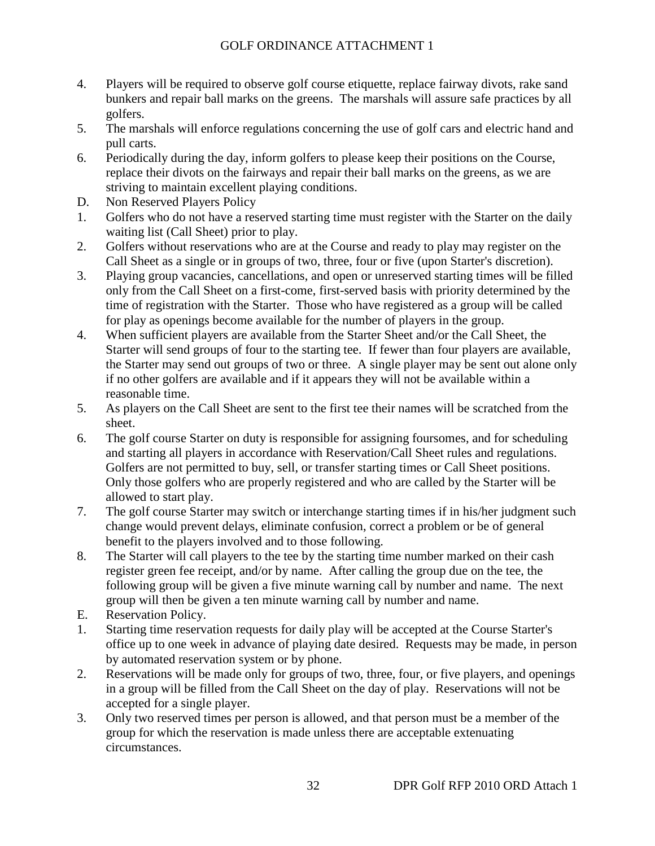- 4. Players will be required to observe golf course etiquette, replace fairway divots, rake sand bunkers and repair ball marks on the greens. The marshals will assure safe practices by all golfers.
- 5. The marshals will enforce regulations concerning the use of golf cars and electric hand and pull carts.
- 6. Periodically during the day, inform golfers to please keep their positions on the Course, replace their divots on the fairways and repair their ball marks on the greens, as we are striving to maintain excellent playing conditions.
- D. Non Reserved Players Policy
- 1. Golfers who do not have a reserved starting time must register with the Starter on the daily waiting list (Call Sheet) prior to play.
- 2. Golfers without reservations who are at the Course and ready to play may register on the Call Sheet as a single or in groups of two, three, four or five (upon Starter's discretion).
- 3. Playing group vacancies, cancellations, and open or unreserved starting times will be filled only from the Call Sheet on a first-come, first-served basis with priority determined by the time of registration with the Starter. Those who have registered as a group will be called for play as openings become available for the number of players in the group.
- 4. When sufficient players are available from the Starter Sheet and/or the Call Sheet, the Starter will send groups of four to the starting tee. If fewer than four players are available, the Starter may send out groups of two or three. A single player may be sent out alone only if no other golfers are available and if it appears they will not be available within a reasonable time.
- 5. As players on the Call Sheet are sent to the first tee their names will be scratched from the sheet.
- 6. The golf course Starter on duty is responsible for assigning foursomes, and for scheduling and starting all players in accordance with Reservation/Call Sheet rules and regulations. Golfers are not permitted to buy, sell, or transfer starting times or Call Sheet positions. Only those golfers who are properly registered and who are called by the Starter will be allowed to start play.
- 7. The golf course Starter may switch or interchange starting times if in his/her judgment such change would prevent delays, eliminate confusion, correct a problem or be of general benefit to the players involved and to those following.
- 8. The Starter will call players to the tee by the starting time number marked on their cash register green fee receipt, and/or by name. After calling the group due on the tee, the following group will be given a five minute warning call by number and name. The next group will then be given a ten minute warning call by number and name.
- E. Reservation Policy.
- 1. Starting time reservation requests for daily play will be accepted at the Course Starter's office up to one week in advance of playing date desired. Requests may be made, in person by automated reservation system or by phone.
- 2. Reservations will be made only for groups of two, three, four, or five players, and openings in a group will be filled from the Call Sheet on the day of play. Reservations will not be accepted for a single player.
- 3. Only two reserved times per person is allowed, and that person must be a member of the group for which the reservation is made unless there are acceptable extenuating circumstances.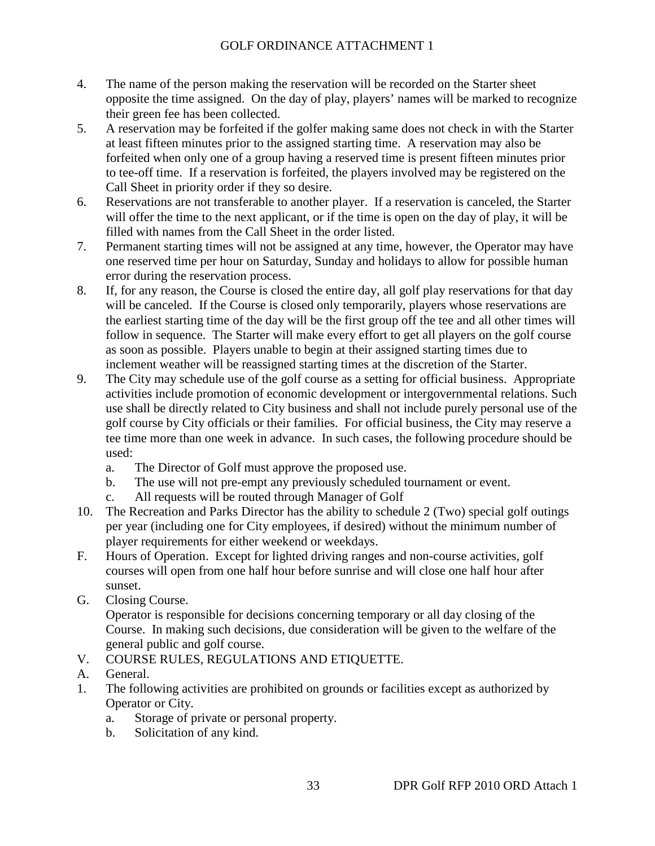- 4. The name of the person making the reservation will be recorded on the Starter sheet opposite the time assigned. On the day of play, players' names will be marked to recognize their green fee has been collected.
- 5. A reservation may be forfeited if the golfer making same does not check in with the Starter at least fifteen minutes prior to the assigned starting time. A reservation may also be forfeited when only one of a group having a reserved time is present fifteen minutes prior to tee-off time. If a reservation is forfeited, the players involved may be registered on the Call Sheet in priority order if they so desire.
- 6. Reservations are not transferable to another player. If a reservation is canceled, the Starter will offer the time to the next applicant, or if the time is open on the day of play, it will be filled with names from the Call Sheet in the order listed.
- 7. Permanent starting times will not be assigned at any time, however, the Operator may have one reserved time per hour on Saturday, Sunday and holidays to allow for possible human error during the reservation process.
- 8. If, for any reason, the Course is closed the entire day, all golf play reservations for that day will be canceled. If the Course is closed only temporarily, players whose reservations are the earliest starting time of the day will be the first group off the tee and all other times will follow in sequence. The Starter will make every effort to get all players on the golf course as soon as possible. Players unable to begin at their assigned starting times due to inclement weather will be reassigned starting times at the discretion of the Starter.
- 9. The City may schedule use of the golf course as a setting for official business. Appropriate activities include promotion of economic development or intergovernmental relations. Such use shall be directly related to City business and shall not include purely personal use of the golf course by City officials or their families. For official business, the City may reserve a tee time more than one week in advance. In such cases, the following procedure should be used:
	- a. The Director of Golf must approve the proposed use.
	- b. The use will not pre-empt any previously scheduled tournament or event.
	- c. All requests will be routed through Manager of Golf
- 10. The Recreation and Parks Director has the ability to schedule 2 (Two) special golf outings per year (including one for City employees, if desired) without the minimum number of player requirements for either weekend or weekdays.
- F. Hours of Operation. Except for lighted driving ranges and non-course activities, golf courses will open from one half hour before sunrise and will close one half hour after sunset.
- G. Closing Course.

Operator is responsible for decisions concerning temporary or all day closing of the Course. In making such decisions, due consideration will be given to the welfare of the general public and golf course.

- V. COURSE RULES, REGULATIONS AND ETIQUETTE.
- A. General.
- 1. The following activities are prohibited on grounds or facilities except as authorized by Operator or City.
	- a. Storage of private or personal property.
	- b. Solicitation of any kind.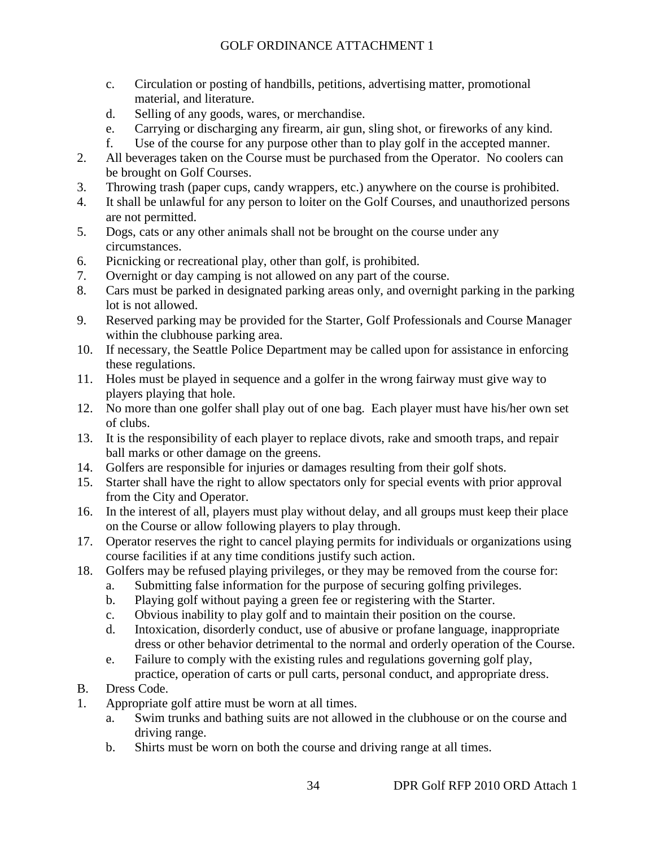- c. Circulation or posting of handbills, petitions, advertising matter, promotional material, and literature.
- d. Selling of any goods, wares, or merchandise.
- e. Carrying or discharging any firearm, air gun, sling shot, or fireworks of any kind.
- f. Use of the course for any purpose other than to play golf in the accepted manner.
- 2. All beverages taken on the Course must be purchased from the Operator. No coolers can be brought on Golf Courses.
- 3. Throwing trash (paper cups, candy wrappers, etc.) anywhere on the course is prohibited.
- 4. It shall be unlawful for any person to loiter on the Golf Courses, and unauthorized persons are not permitted.
- 5. Dogs, cats or any other animals shall not be brought on the course under any circumstances.
- 6. Picnicking or recreational play, other than golf, is prohibited.
- 7. Overnight or day camping is not allowed on any part of the course.
- 8. Cars must be parked in designated parking areas only, and overnight parking in the parking lot is not allowed.
- 9. Reserved parking may be provided for the Starter, Golf Professionals and Course Manager within the clubhouse parking area.
- 10. If necessary, the Seattle Police Department may be called upon for assistance in enforcing these regulations.
- 11. Holes must be played in sequence and a golfer in the wrong fairway must give way to players playing that hole.
- 12. No more than one golfer shall play out of one bag. Each player must have his/her own set of clubs.
- 13. It is the responsibility of each player to replace divots, rake and smooth traps, and repair ball marks or other damage on the greens.
- 14. Golfers are responsible for injuries or damages resulting from their golf shots.
- 15. Starter shall have the right to allow spectators only for special events with prior approval from the City and Operator.
- 16. In the interest of all, players must play without delay, and all groups must keep their place on the Course or allow following players to play through.
- 17. Operator reserves the right to cancel playing permits for individuals or organizations using course facilities if at any time conditions justify such action.
- 18. Golfers may be refused playing privileges, or they may be removed from the course for:
	- a. Submitting false information for the purpose of securing golfing privileges.
	- b. Playing golf without paying a green fee or registering with the Starter.
	- c. Obvious inability to play golf and to maintain their position on the course.
	- d. Intoxication, disorderly conduct, use of abusive or profane language, inappropriate dress or other behavior detrimental to the normal and orderly operation of the Course.
	- e. Failure to comply with the existing rules and regulations governing golf play, practice, operation of carts or pull carts, personal conduct, and appropriate dress.
- B. Dress Code.
- 1. Appropriate golf attire must be worn at all times.
	- a. Swim trunks and bathing suits are not allowed in the clubhouse or on the course and driving range.
	- b. Shirts must be worn on both the course and driving range at all times.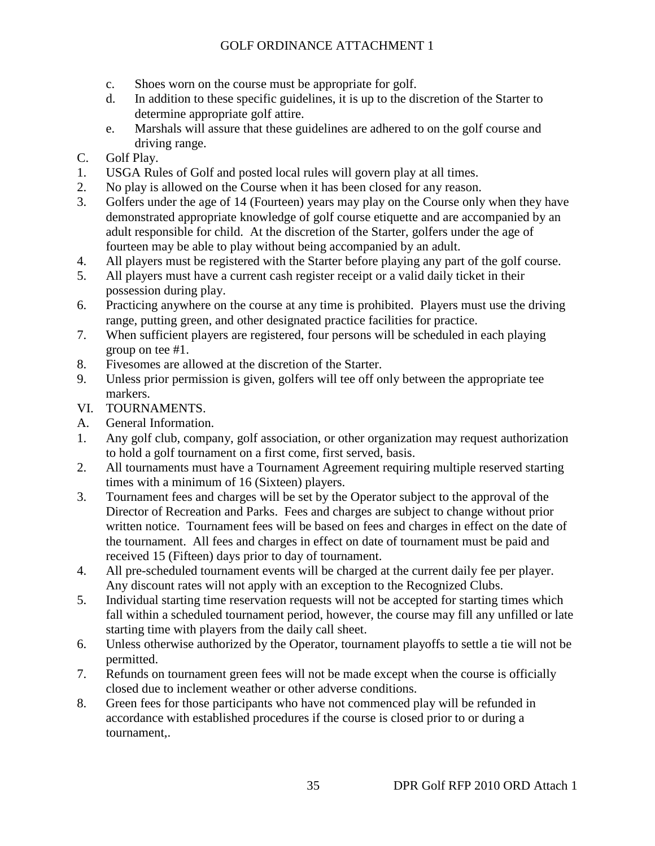- c. Shoes worn on the course must be appropriate for golf.
- d. In addition to these specific guidelines, it is up to the discretion of the Starter to determine appropriate golf attire.
- e. Marshals will assure that these guidelines are adhered to on the golf course and driving range.
- C. Golf Play.
- 1. USGA Rules of Golf and posted local rules will govern play at all times.
- 2. No play is allowed on the Course when it has been closed for any reason.
- 3. Golfers under the age of 14 (Fourteen) years may play on the Course only when they have demonstrated appropriate knowledge of golf course etiquette and are accompanied by an adult responsible for child. At the discretion of the Starter, golfers under the age of fourteen may be able to play without being accompanied by an adult.
- 4. All players must be registered with the Starter before playing any part of the golf course.
- 5. All players must have a current cash register receipt or a valid daily ticket in their possession during play.
- 6. Practicing anywhere on the course at any time is prohibited. Players must use the driving range, putting green, and other designated practice facilities for practice.
- 7. When sufficient players are registered, four persons will be scheduled in each playing group on tee #1.
- 8. Fivesomes are allowed at the discretion of the Starter.
- 9. Unless prior permission is given, golfers will tee off only between the appropriate tee markers.
- VI. TOURNAMENTS.
- A. General Information.
- 1. Any golf club, company, golf association, or other organization may request authorization to hold a golf tournament on a first come, first served, basis.
- 2. All tournaments must have a Tournament Agreement requiring multiple reserved starting times with a minimum of 16 (Sixteen) players.
- 3. Tournament fees and charges will be set by the Operator subject to the approval of the Director of Recreation and Parks. Fees and charges are subject to change without prior written notice. Tournament fees will be based on fees and charges in effect on the date of the tournament. All fees and charges in effect on date of tournament must be paid and received 15 (Fifteen) days prior to day of tournament.
- 4. All pre-scheduled tournament events will be charged at the current daily fee per player. Any discount rates will not apply with an exception to the Recognized Clubs.
- 5. Individual starting time reservation requests will not be accepted for starting times which fall within a scheduled tournament period, however, the course may fill any unfilled or late starting time with players from the daily call sheet.
- 6. Unless otherwise authorized by the Operator, tournament playoffs to settle a tie will not be permitted.
- 7. Refunds on tournament green fees will not be made except when the course is officially closed due to inclement weather or other adverse conditions.
- 8. Green fees for those participants who have not commenced play will be refunded in accordance with established procedures if the course is closed prior to or during a tournament,.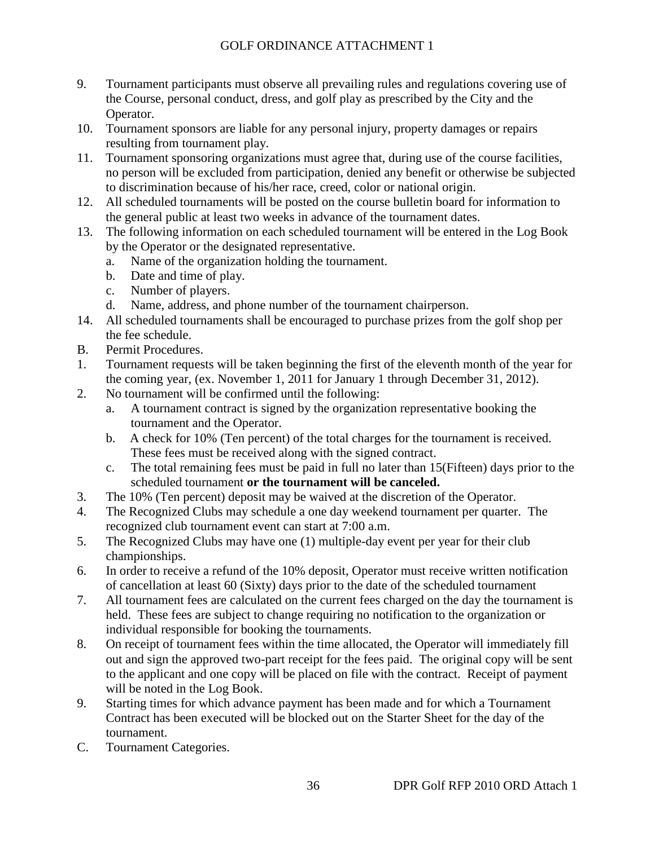- 9. Tournament participants must observe all prevailing rules and regulations covering use of the Course, personal conduct, dress, and golf play as prescribed by the City and the Operator.
- 10. Tournament sponsors are liable for any personal injury, property damages or repairs resulting from tournament play.
- 11. Tournament sponsoring organizations must agree that, during use of the course facilities, no person will be excluded from participation, denied any benefit or otherwise be subjected to discrimination because of his/her race, creed, color or national origin.
- 12. All scheduled tournaments will be posted on the course bulletin board for information to the general public at least two weeks in advance of the tournament dates.
- 13. The following information on each scheduled tournament will be entered in the Log Book by the Operator or the designated representative.
	- a. Name of the organization holding the tournament.
	- b. Date and time of play.
	- c. Number of players.
	- d. Name, address, and phone number of the tournament chairperson.
- 14. All scheduled tournaments shall be encouraged to purchase prizes from the golf shop per the fee schedule.
- B. Permit Procedures.
- 1. Tournament requests will be taken beginning the first of the eleventh month of the year for the coming year, (ex. November 1, 2011 for January 1 through December 31, 2012).
- 2. No tournament will be confirmed until the following:
	- a. A tournament contract is signed by the organization representative booking the tournament and the Operator.
	- b. A check for 10% (Ten percent) of the total charges for the tournament is received. These fees must be received along with the signed contract.
	- c. The total remaining fees must be paid in full no later than 15(Fifteen) days prior to the scheduled tournament **or the tournament will be canceled.**
- 3. The 10% (Ten percent) deposit may be waived at the discretion of the Operator.
- 4. The Recognized Clubs may schedule a one day weekend tournament per quarter. The recognized club tournament event can start at 7:00 a.m.
- 5. The Recognized Clubs may have one (1) multiple-day event per year for their club championships.
- 6. In order to receive a refund of the 10% deposit, Operator must receive written notification of cancellation at least 60 (Sixty) days prior to the date of the scheduled tournament
- 7. All tournament fees are calculated on the current fees charged on the day the tournament is held. These fees are subject to change requiring no notification to the organization or individual responsible for booking the tournaments.
- 8. On receipt of tournament fees within the time allocated, the Operator will immediately fill out and sign the approved two-part receipt for the fees paid. The original copy will be sent to the applicant and one copy will be placed on file with the contract. Receipt of payment will be noted in the Log Book.
- 9. Starting times for which advance payment has been made and for which a Tournament Contract has been executed will be blocked out on the Starter Sheet for the day of the tournament.
- C. Tournament Categories.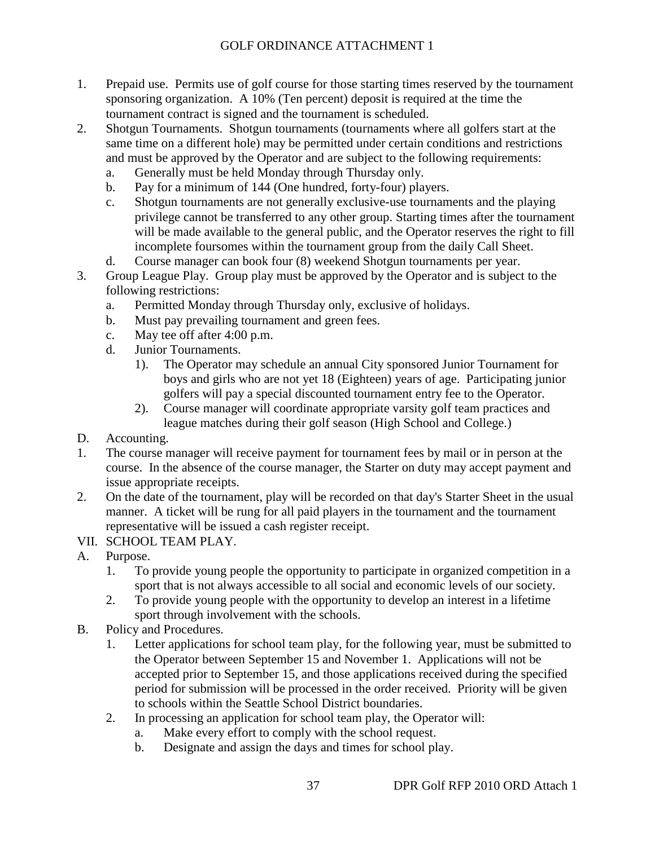- 1. Prepaid use. Permits use of golf course for those starting times reserved by the tournament sponsoring organization. A 10% (Ten percent) deposit is required at the time the tournament contract is signed and the tournament is scheduled.
- 2. Shotgun Tournaments. Shotgun tournaments (tournaments where all golfers start at the same time on a different hole) may be permitted under certain conditions and restrictions and must be approved by the Operator and are subject to the following requirements:
	- a. Generally must be held Monday through Thursday only.
	- b. Pay for a minimum of 144 (One hundred, forty-four) players.
	- c. Shotgun tournaments are not generally exclusive-use tournaments and the playing privilege cannot be transferred to any other group. Starting times after the tournament will be made available to the general public, and the Operator reserves the right to fill incomplete foursomes within the tournament group from the daily Call Sheet.
	- d. Course manager can book four (8) weekend Shotgun tournaments per year.
- 3. Group League Play. Group play must be approved by the Operator and is subject to the following restrictions:
	- a. Permitted Monday through Thursday only, exclusive of holidays.
	- b. Must pay prevailing tournament and green fees.
	- c. May tee off after 4:00 p.m.
	- d. Junior Tournaments.
		- 1). The Operator may schedule an annual City sponsored Junior Tournament for boys and girls who are not yet 18 (Eighteen) years of age. Participating junior golfers will pay a special discounted tournament entry fee to the Operator.
		- 2). Course manager will coordinate appropriate varsity golf team practices and league matches during their golf season (High School and College.)
- D. Accounting.
- 1. The course manager will receive payment for tournament fees by mail or in person at the course. In the absence of the course manager, the Starter on duty may accept payment and issue appropriate receipts.
- 2. On the date of the tournament, play will be recorded on that day's Starter Sheet in the usual manner. A ticket will be rung for all paid players in the tournament and the tournament representative will be issued a cash register receipt.
- VII. SCHOOL TEAM PLAY.
- A. Purpose.
	- 1. To provide young people the opportunity to participate in organized competition in a sport that is not always accessible to all social and economic levels of our society.
	- 2. To provide young people with the opportunity to develop an interest in a lifetime sport through involvement with the schools.
- B. Policy and Procedures.
	- 1. Letter applications for school team play, for the following year, must be submitted to the Operator between September 15 and November 1. Applications will not be accepted prior to September 15, and those applications received during the specified period for submission will be processed in the order received. Priority will be given to schools within the Seattle School District boundaries.
	- 2. In processing an application for school team play, the Operator will:
		- a. Make every effort to comply with the school request.
		- b. Designate and assign the days and times for school play.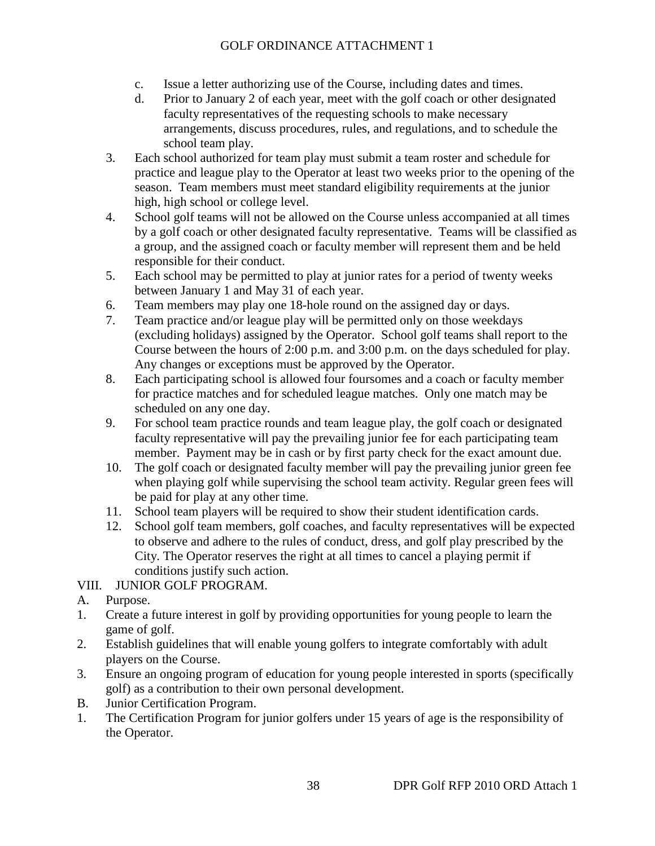- c. Issue a letter authorizing use of the Course, including dates and times.
- d. Prior to January 2 of each year, meet with the golf coach or other designated faculty representatives of the requesting schools to make necessary arrangements, discuss procedures, rules, and regulations, and to schedule the school team play.
- 3. Each school authorized for team play must submit a team roster and schedule for practice and league play to the Operator at least two weeks prior to the opening of the season. Team members must meet standard eligibility requirements at the junior high, high school or college level.
- 4. School golf teams will not be allowed on the Course unless accompanied at all times by a golf coach or other designated faculty representative. Teams will be classified as a group, and the assigned coach or faculty member will represent them and be held responsible for their conduct.
- 5. Each school may be permitted to play at junior rates for a period of twenty weeks between January 1 and May 31 of each year.
- 6. Team members may play one 18-hole round on the assigned day or days.
- 7. Team practice and/or league play will be permitted only on those weekdays (excluding holidays) assigned by the Operator. School golf teams shall report to the Course between the hours of 2:00 p.m. and 3:00 p.m. on the days scheduled for play. Any changes or exceptions must be approved by the Operator.
- 8. Each participating school is allowed four foursomes and a coach or faculty member for practice matches and for scheduled league matches. Only one match may be scheduled on any one day.
- 9. For school team practice rounds and team league play, the golf coach or designated faculty representative will pay the prevailing junior fee for each participating team member. Payment may be in cash or by first party check for the exact amount due.
- 10. The golf coach or designated faculty member will pay the prevailing junior green fee when playing golf while supervising the school team activity. Regular green fees will be paid for play at any other time.
- 11. School team players will be required to show their student identification cards.
- 12. School golf team members, golf coaches, and faculty representatives will be expected to observe and adhere to the rules of conduct, dress, and golf play prescribed by the City. The Operator reserves the right at all times to cancel a playing permit if conditions justify such action.
- VIII. JUNIOR GOLF PROGRAM.
- A. Purpose.
- 1. Create a future interest in golf by providing opportunities for young people to learn the game of golf.
- 2. Establish guidelines that will enable young golfers to integrate comfortably with adult players on the Course.
- 3. Ensure an ongoing program of education for young people interested in sports (specifically golf) as a contribution to their own personal development.
- B. Junior Certification Program.
- 1. The Certification Program for junior golfers under 15 years of age is the responsibility of the Operator.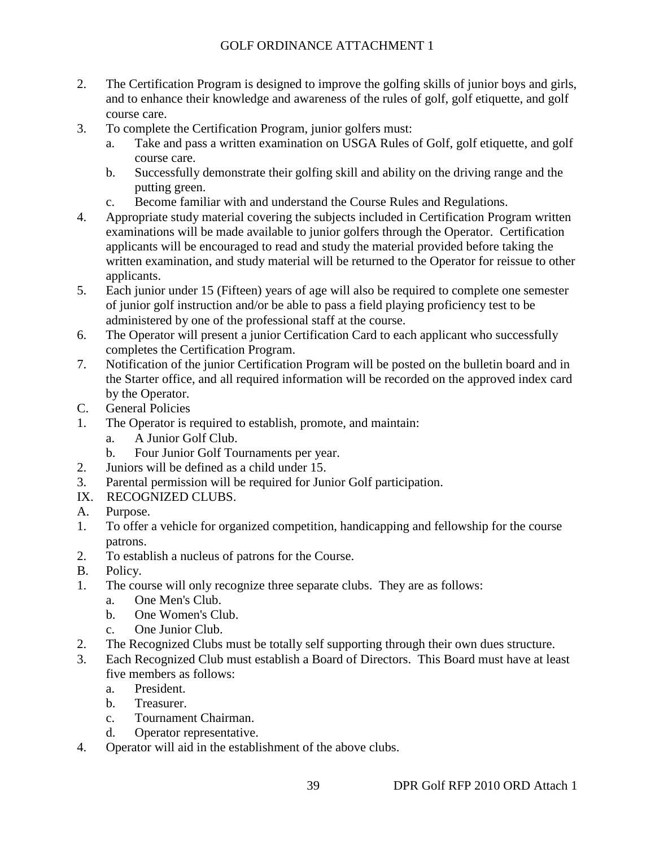- 2. The Certification Program is designed to improve the golfing skills of junior boys and girls, and to enhance their knowledge and awareness of the rules of golf, golf etiquette, and golf course care.
- 3. To complete the Certification Program, junior golfers must:
	- a. Take and pass a written examination on USGA Rules of Golf, golf etiquette, and golf course care.
	- b. Successfully demonstrate their golfing skill and ability on the driving range and the putting green.
	- c. Become familiar with and understand the Course Rules and Regulations.
- 4. Appropriate study material covering the subjects included in Certification Program written examinations will be made available to junior golfers through the Operator. Certification applicants will be encouraged to read and study the material provided before taking the written examination, and study material will be returned to the Operator for reissue to other applicants.
- 5. Each junior under 15 (Fifteen) years of age will also be required to complete one semester of junior golf instruction and/or be able to pass a field playing proficiency test to be administered by one of the professional staff at the course.
- 6. The Operator will present a junior Certification Card to each applicant who successfully completes the Certification Program.
- 7. Notification of the junior Certification Program will be posted on the bulletin board and in the Starter office, and all required information will be recorded on the approved index card by the Operator.
- C. General Policies
- 1. The Operator is required to establish, promote, and maintain:
	- a. A Junior Golf Club.
	- b. Four Junior Golf Tournaments per year.
- 2. Juniors will be defined as a child under 15.
- 3. Parental permission will be required for Junior Golf participation.
- IX. RECOGNIZED CLUBS.
- A. Purpose.
- 1. To offer a vehicle for organized competition, handicapping and fellowship for the course patrons.
- 2. To establish a nucleus of patrons for the Course.
- B. Policy.
- 1. The course will only recognize three separate clubs. They are as follows:
	- a. One Men's Club.
	- b. One Women's Club.
	- c. One Junior Club.
- 2. The Recognized Clubs must be totally self supporting through their own dues structure.
- 3. Each Recognized Club must establish a Board of Directors. This Board must have at least five members as follows:
	- a. President.
	- b. Treasurer.
	- c. Tournament Chairman.
	- d. Operator representative.
- 4. Operator will aid in the establishment of the above clubs.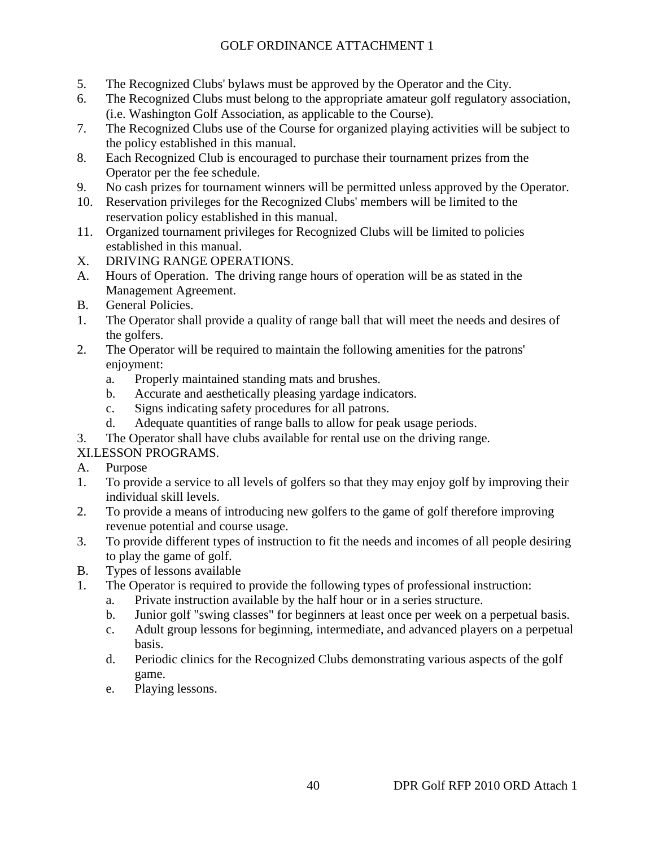- 5. The Recognized Clubs' bylaws must be approved by the Operator and the City.
- 6. The Recognized Clubs must belong to the appropriate amateur golf regulatory association, (i.e. Washington Golf Association, as applicable to the Course).
- 7. The Recognized Clubs use of the Course for organized playing activities will be subject to the policy established in this manual.
- 8. Each Recognized Club is encouraged to purchase their tournament prizes from the Operator per the fee schedule.
- 9. No cash prizes for tournament winners will be permitted unless approved by the Operator.
- 10. Reservation privileges for the Recognized Clubs' members will be limited to the reservation policy established in this manual.
- 11. Organized tournament privileges for Recognized Clubs will be limited to policies established in this manual.
- X. DRIVING RANGE OPERATIONS.
- A. Hours of Operation. The driving range hours of operation will be as stated in the Management Agreement.
- B. General Policies.
- 1. The Operator shall provide a quality of range ball that will meet the needs and desires of the golfers.
- 2. The Operator will be required to maintain the following amenities for the patrons' enjoyment:
	- a. Properly maintained standing mats and brushes.
	- b. Accurate and aesthetically pleasing yardage indicators.
	- c. Signs indicating safety procedures for all patrons.
	- d. Adequate quantities of range balls to allow for peak usage periods.
- 3. The Operator shall have clubs available for rental use on the driving range.

## XI.LESSON PROGRAMS.

- A. Purpose
- 1. To provide a service to all levels of golfers so that they may enjoy golf by improving their individual skill levels.
- 2. To provide a means of introducing new golfers to the game of golf therefore improving revenue potential and course usage.
- 3. To provide different types of instruction to fit the needs and incomes of all people desiring to play the game of golf.
- B. Types of lessons available
- 1. The Operator is required to provide the following types of professional instruction:
	- a. Private instruction available by the half hour or in a series structure.
	- b. Junior golf "swing classes" for beginners at least once per week on a perpetual basis.
	- c. Adult group lessons for beginning, intermediate, and advanced players on a perpetual basis.
	- d. Periodic clinics for the Recognized Clubs demonstrating various aspects of the golf game.
	- e. Playing lessons.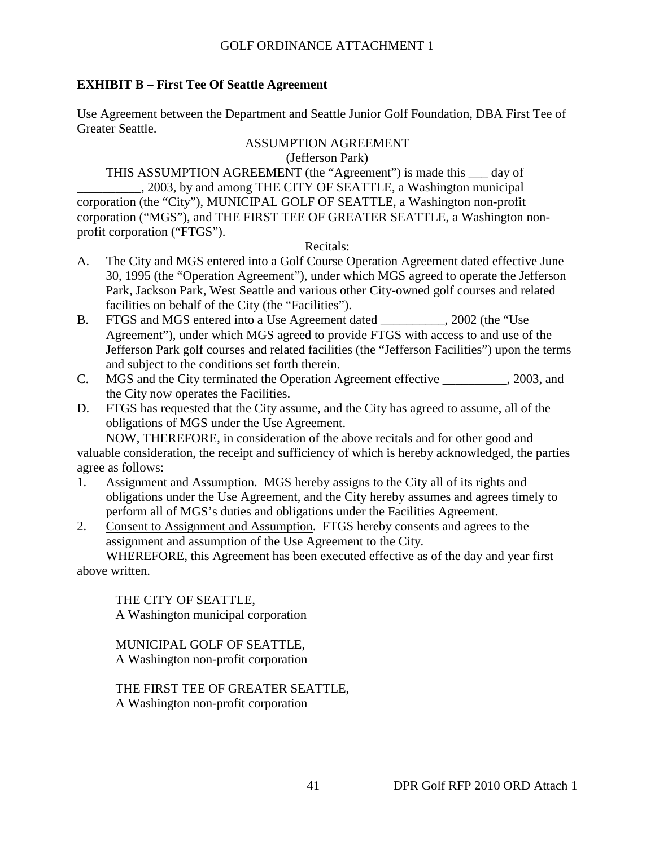## **EXHIBIT B – First Tee Of Seattle Agreement**

Use Agreement between the Department and Seattle Junior Golf Foundation, DBA First Tee of Greater Seattle.

## ASSUMPTION AGREEMENT

(Jefferson Park)

THIS ASSUMPTION AGREEMENT (the "Agreement") is made this \_\_\_ day of \_\_\_\_\_\_\_\_\_\_, 2003, by and among THE CITY OF SEATTLE, a Washington municipal corporation (the "City"), MUNICIPAL GOLF OF SEATTLE, a Washington non-profit corporation ("MGS"), and THE FIRST TEE OF GREATER SEATTLE, a Washington nonprofit corporation ("FTGS").

#### Recitals:

- A. The City and MGS entered into a Golf Course Operation Agreement dated effective June 30, 1995 (the "Operation Agreement"), under which MGS agreed to operate the Jefferson Park, Jackson Park, West Seattle and various other City-owned golf courses and related facilities on behalf of the City (the "Facilities").
- B. FTGS and MGS entered into a Use Agreement dated \_\_\_\_\_\_\_\_\_\_, 2002 (the "Use Agreement"), under which MGS agreed to provide FTGS with access to and use of the Jefferson Park golf courses and related facilities (the "Jefferson Facilities") upon the terms and subject to the conditions set forth therein.
- C. MGS and the City terminated the Operation Agreement effective \_\_\_\_\_\_\_\_\_\_, 2003, and the City now operates the Facilities.
- D. FTGS has requested that the City assume, and the City has agreed to assume, all of the obligations of MGS under the Use Agreement.

NOW, THEREFORE, in consideration of the above recitals and for other good and valuable consideration, the receipt and sufficiency of which is hereby acknowledged, the parties agree as follows:

- 1. Assignment and Assumption. MGS hereby assigns to the City all of its rights and obligations under the Use Agreement, and the City hereby assumes and agrees timely to perform all of MGS's duties and obligations under the Facilities Agreement.
- 2. Consent to Assignment and Assumption. FTGS hereby consents and agrees to the assignment and assumption of the Use Agreement to the City.

WHEREFORE, this Agreement has been executed effective as of the day and year first above written.

THE CITY OF SEATTLE, A Washington municipal corporation

MUNICIPAL GOLF OF SEATTLE, A Washington non-profit corporation

THE FIRST TEE OF GREATER SEATTLE, A Washington non-profit corporation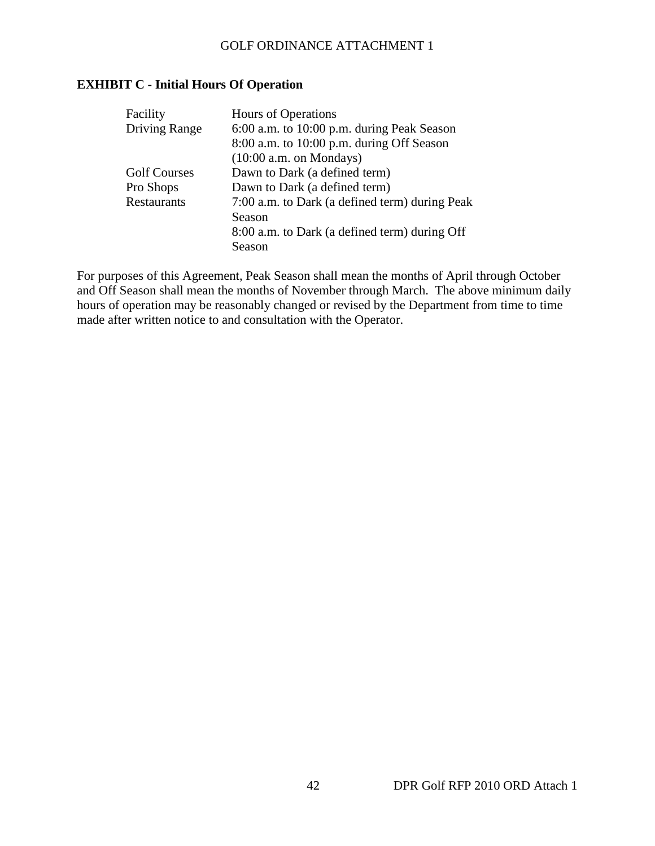## **EXHIBIT C - Initial Hours Of Operation**

| Facility            | <b>Hours of Operations</b>                     |
|---------------------|------------------------------------------------|
| Driving Range       | 6:00 a.m. to 10:00 p.m. during Peak Season     |
|                     | 8:00 a.m. to 10:00 p.m. during Off Season      |
|                     | $(10:00$ a.m. on Mondays)                      |
| <b>Golf Courses</b> | Dawn to Dark (a defined term)                  |
| Pro Shops           | Dawn to Dark (a defined term)                  |
| Restaurants         | 7:00 a.m. to Dark (a defined term) during Peak |
|                     | Season                                         |
|                     | 8:00 a.m. to Dark (a defined term) during Off  |
|                     | Season                                         |

For purposes of this Agreement, Peak Season shall mean the months of April through October and Off Season shall mean the months of November through March. The above minimum daily hours of operation may be reasonably changed or revised by the Department from time to time made after written notice to and consultation with the Operator.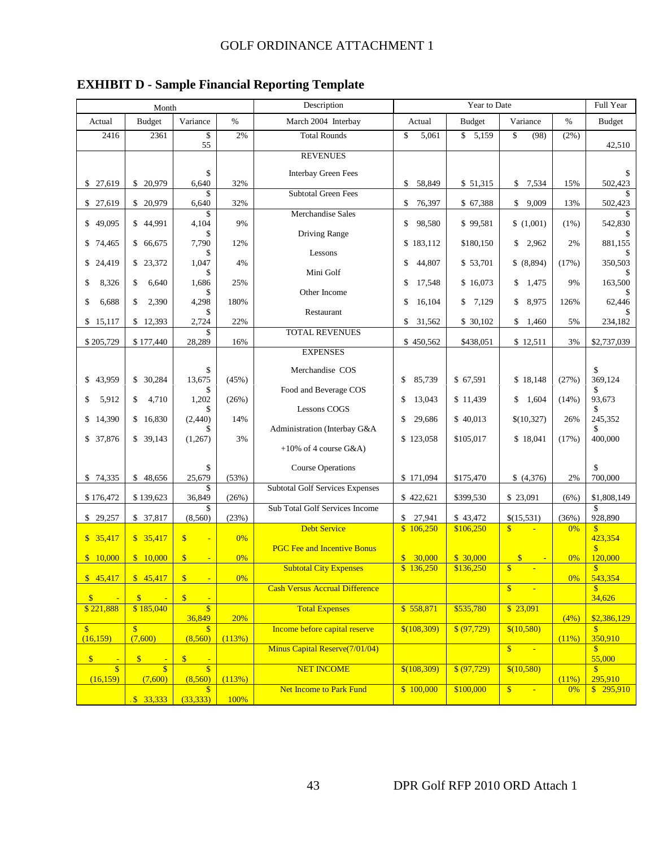|                                      | Month                              |                                    |        | Description                            | Year to Date            |               |                         |         | Full Year                            |
|--------------------------------------|------------------------------------|------------------------------------|--------|----------------------------------------|-------------------------|---------------|-------------------------|---------|--------------------------------------|
| Actual                               | <b>Budget</b>                      | Variance                           | $\%$   | March 2004 Interbay                    | Actual                  | <b>Budget</b> | Variance                | $\%$    | <b>Budget</b>                        |
| 2416                                 | 2361                               | \$<br>55                           | 2%     | <b>Total Rounds</b>                    | \$<br>5,061             | \$5,159       | \$<br>(98)              | $(2\%)$ | 42,510                               |
|                                      |                                    |                                    |        | <b>REVENUES</b>                        |                         |               |                         |         |                                      |
| \$27,619                             | \$20,979                           | \$<br>6,640                        | 32%    | Interbay Green Fees                    | \$<br>58,849            | \$51,315      | \$7,534                 | 15%     | S.<br>502,423                        |
| \$27,619                             | \$ 20,979                          | \$<br>6,640                        | 32%    | <b>Subtotal Green Fees</b>             | \$<br>76,397            | \$67,388      | \$9,009                 | 13%     | 502,423                              |
| \$49,095                             | \$44,991                           | \$<br>4,104                        | 9%     | Merchandise Sales                      | 98,580<br>\$            | \$99,581      | \$(1,001)               | $(1\%)$ | \$.<br>542,830                       |
| \$74,465                             | \$66,675                           | \$<br>7,790                        | 12%    | Driving Range                          | \$183,112               | \$180,150     | 2,962<br>\$             | 2%      | 881,155                              |
| 24,419<br>\$                         | \$ 23,372                          | \$<br>1,047                        | 4%     | Lessons                                | 44,807<br>\$            | \$53,701      | \$ (8,894)              | (17%)   | \$<br>350,503                        |
| \$<br>8,326                          | 6,640<br>\$                        | S<br>1,686                         | 25%    | Mini Golf                              | \$<br>17,548            | \$16,073      | \$<br>1,475             | 9%      | 163,500                              |
| 6,688<br>\$                          | \$<br>2,390                        | \$<br>4,298                        | 180%   | Other Income                           | 16,104<br>\$            | 7,129<br>\$   | \$<br>8,975             | 126%    | 62,446                               |
| 15,117<br>\$                         | \$12,393                           | 2,724                              | 22%    | Restaurant                             | 31,562<br>\$            | \$ 30,102     | \$<br>1,460             | 5%      | 234,182                              |
| \$205,729                            | \$177,440                          | \$<br>28,289                       | 16%    | <b>TOTAL REVENUES</b>                  | \$450,562               | \$438,051     | \$12,511                | 3%      | \$2,737,039                          |
|                                      |                                    |                                    |        | <b>EXPENSES</b>                        |                         |               |                         |         |                                      |
| 43,959<br>S.                         | \$ 30,284                          | \$<br>13,675                       | (45%)  | Merchandise COS                        | \$<br>85,739            | \$67,591      | \$18,148                | (27%)   | \$<br>369,124                        |
| 5,912<br>\$                          | 4,710<br>\$                        | S<br>1,202                         | (26%)  | Food and Beverage COS                  | \$<br>13,043            | \$11,439      | \$1,604                 | (14%)   | S<br>93,673                          |
| 14,390                               | \$16,830                           | S<br>(2,440)                       | 14%    | Lessons COGS                           | 29,686<br>\$            | \$40,013      | \$(10,327)              | 26%     | \$<br>245,352                        |
| \$ 37,876                            | \$39,143                           | (1,267)                            | 3%     | Administration (Interbay G&A           | \$123,058               | \$105,017     | \$18,041                | (17%)   | \$<br>400,000                        |
|                                      |                                    |                                    |        | $+10\%$ of 4 course G&A)               |                         |               |                         |         |                                      |
| \$74,335                             | \$48,656                           | \$<br>25,679                       | (53%)  | <b>Course Operations</b>               | \$171,094               | \$175,470     | (4,376)                 | 2%      | \$<br>700,000                        |
| \$176,472                            | \$139,623                          | 36,849                             | (26%)  | <b>Subtotal Golf Services Expenses</b> | \$422,621               | \$399,530     | \$23,091                | (6%)    | \$1,808,149                          |
| \$29,257                             | \$ 37,817                          | \$<br>(8,560)                      | (23%)  | Sub Total Golf Services Income         | 27,941<br>\$            | \$43,472      | \$(15,531)              | (36%)   | \$<br>928,890                        |
| \$35,417                             | \$35,417                           | \$                                 | 0%     | <b>Debt Service</b>                    | \$106,250               | \$106,250     | $\mathbf{\hat{s}}$      | 0%      | <sup>\$</sup><br>423,354             |
| \$10,000                             | \$10,000                           | $\sqrt[6]{3}$                      | 0%     | <b>PGC Fee and Incentive Bonus</b>     | $\mathbf{\$}$<br>30,000 | \$30,000      | $\sqrt{3}$              | 0%      | $\mathbf{s}$<br>120,000              |
|                                      |                                    | $\mathbb{S}$                       | 0%     | <b>Subtotal City Expenses</b>          | \$136,250               | \$136,250     | $\mathbb{S}$            | 0%      | $\boldsymbol{\mathsf{S}}$<br>543,354 |
| $\mathbb{S}$                         | \$                                 | $\sqrt[6]{3}$                      |        | <b>Cash Versus Accrual Difference</b>  |                         |               | \$                      |         | $\mathbf{\$}$<br>34,626              |
| \$221,888                            | \$185,040                          | $\overline{\mathbb{S}}$<br>36,849  | 20%    | <b>Total Expenses</b>                  | \$558,871               | \$535,780     | \$23,091                | (4%)    | \$2,386,129                          |
| $\mathbb{S}$<br>(16, 159)            | $\mathbb{S}$<br>(7,600)            | \$<br>(8,560)                      | (113%) | Income before capital reserve          | \$(108, 309)            | \$ (97, 729)  | \$(10,580)              | (11%)   | $\mathbf{s}$<br>350,910              |
| $\frac{1}{2}$<br>$\equiv$            | $\sqrt[6]{3}$                      | $\sqrt[6]{3}$                      |        | Minus Capital Reserve(7/01/04)         |                         |               | $\sqrt{\frac{1}{2}}$    |         | $\mathbb{S}$<br>55,000               |
| $\overline{\mathbf{s}}$<br>(16, 159) | $\overline{\mathbf{s}}$<br>(7,600) | $\overline{\mathbf{s}}$<br>(8,560) | (113%) | <b>NET INCOME</b>                      | \$(108, 309)            | \$ (97, 729)  | \$(10,580)              | (11%)   | $\mathbf{s}$<br>295,910              |
|                                      | $.$ \$ 33,333                      | (33, 333)                          | 100%   | <b>Net Income to Park Fund</b>         | \$100,000               | \$100,000     | $\sqrt[3]{\frac{1}{2}}$ | 0%      | \$295,910                            |

## **EXHIBIT D - Sample Financial Reporting Template**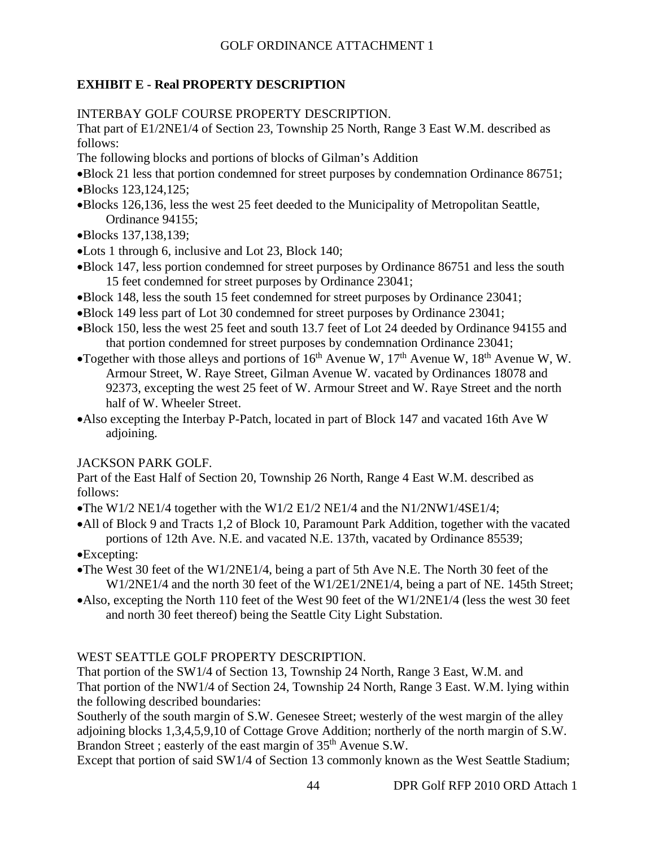## **EXHIBIT E - Real PROPERTY DESCRIPTION**

INTERBAY GOLF COURSE PROPERTY DESCRIPTION.

That part of E1/2NE1/4 of Section 23, Township 25 North, Range 3 East W.M. described as follows:

The following blocks and portions of blocks of Gilman's Addition

•Block 21 less that portion condemned for street purposes by condemnation Ordinance 86751;

- •Blocks 123,124,125;
- •Blocks 126,136, less the west 25 feet deeded to the Municipality of Metropolitan Seattle, Ordinance 94155;
- •Blocks 137,138,139;
- •Lots 1 through 6, inclusive and Lot 23, Block 140;
- •Block 147, less portion condemned for street purposes by Ordinance 86751 and less the south 15 feet condemned for street purposes by Ordinance 23041;
- •Block 148, less the south 15 feet condemned for street purposes by Ordinance 23041;
- •Block 149 less part of Lot 30 condemned for street purposes by Ordinance 23041;
- •Block 150, less the west 25 feet and south 13.7 feet of Lot 24 deeded by Ordinance 94155 and that portion condemned for street purposes by condemnation Ordinance 23041;
- •Together with those alleys and portions of  $16<sup>th</sup>$  Avenue W,  $17<sup>th</sup>$  Avenue W, 18<sup>th</sup> Avenue W, W. Armour Street, W. Raye Street, Gilman Avenue W. vacated by Ordinances 18078 and 92373, excepting the west 25 feet of W. Armour Street and W. Raye Street and the north half of W. Wheeler Street.
- •Also excepting the Interbay P-Patch, located in part of Block 147 and vacated 16th Ave W adjoining.

## JACKSON PARK GOLF.

Part of the East Half of Section 20, Township 26 North, Range 4 East W.M. described as follows:

- •The W1/2 NE1/4 together with the W1/2 E1/2 NE1/4 and the N1/2NW1/4SE1/4;
- •All of Block 9 and Tracts 1,2 of Block 10, Paramount Park Addition, together with the vacated portions of 12th Ave. N.E. and vacated N.E. 137th, vacated by Ordinance 85539;
- •Excepting:
- •The West 30 feet of the W1/2NE1/4, being a part of 5th Ave N.E. The North 30 feet of the W1/2NE1/4 and the north 30 feet of the W1/2E1/2NE1/4, being a part of NE. 145th Street;
- •Also, excepting the North 110 feet of the West 90 feet of the W1/2NE1/4 (less the west 30 feet and north 30 feet thereof) being the Seattle City Light Substation.

## WEST SEATTLE GOLF PROPERTY DESCRIPTION.

That portion of the SW1/4 of Section 13, Township 24 North, Range 3 East, W.M. and That portion of the NW1/4 of Section 24, Township 24 North, Range 3 East. W.M. lying within the following described boundaries:

Southerly of the south margin of S.W. Genesee Street; westerly of the west margin of the alley adjoining blocks 1,3,4,5,9,10 of Cottage Grove Addition; northerly of the north margin of S.W. Brandon Street; easterly of the east margin of 35<sup>th</sup> Avenue S.W.

Except that portion of said SW1/4 of Section 13 commonly known as the West Seattle Stadium;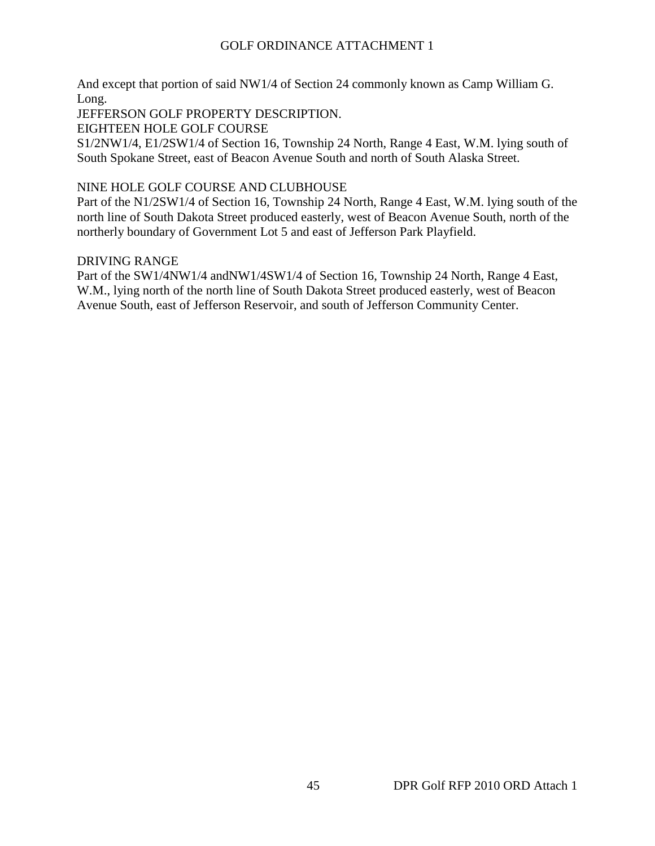And except that portion of said NW1/4 of Section 24 commonly known as Camp William G. Long.

JEFFERSON GOLF PROPERTY DESCRIPTION.

EIGHTEEN HOLE GOLF COURSE

S1/2NW1/4, E1/2SW1/4 of Section 16, Township 24 North, Range 4 East, W.M. lying south of South Spokane Street, east of Beacon Avenue South and north of South Alaska Street.

## NINE HOLE GOLF COURSE AND CLUBHOUSE

Part of the N1/2SW1/4 of Section 16, Township 24 North, Range 4 East, W.M. lying south of the north line of South Dakota Street produced easterly, west of Beacon Avenue South, north of the northerly boundary of Government Lot 5 and east of Jefferson Park Playfield.

DRIVING RANGE

Part of the SW1/4NW1/4 andNW1/4SW1/4 of Section 16, Township 24 North, Range 4 East, W.M., lying north of the north line of South Dakota Street produced easterly, west of Beacon Avenue South, east of Jefferson Reservoir, and south of Jefferson Community Center.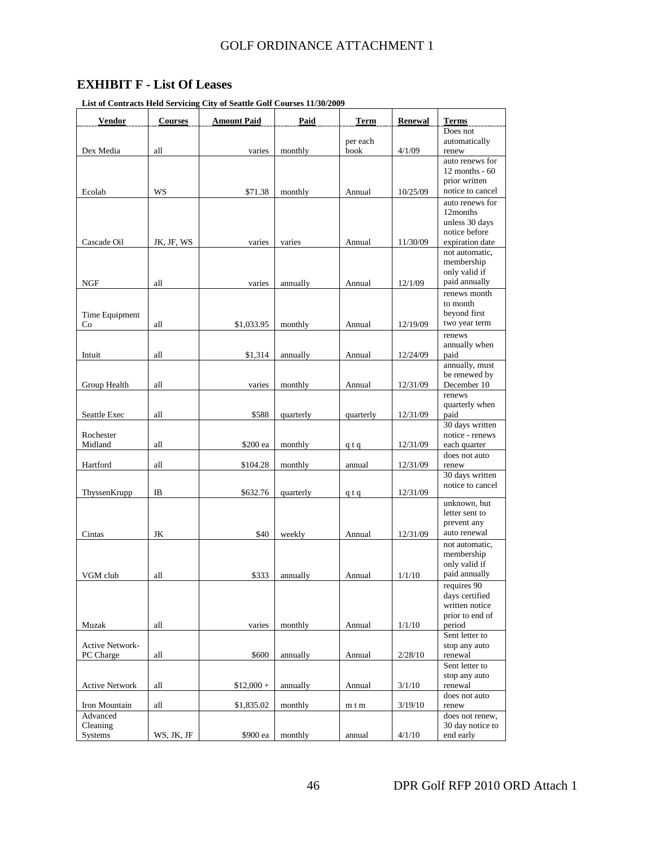## **EXHIBIT F - List Of Leases**

**List of Contracts Held Servicing City of Seattle Golf Courses 11/30/2009**

| <b>Vendor</b>          | <b>Courses</b> | <b>Amount Paid</b> | Paid      | <b>Term</b> | <b>Renewal</b> | <b>Terms</b>                        |
|------------------------|----------------|--------------------|-----------|-------------|----------------|-------------------------------------|
|                        |                |                    |           |             |                | Does not                            |
|                        |                |                    |           | per each    |                | automatically                       |
| Dex Media              | all            | varies             | monthly   | book        | 4/1/09         | renew<br>auto renews for            |
|                        |                |                    |           |             |                | $12$ months - $60$                  |
|                        |                |                    |           |             |                | prior written                       |
| Ecolab                 | WS             | \$71.38            | monthly   | Annual      | 10/25/09       | notice to cancel                    |
|                        |                |                    |           |             |                | auto renews for                     |
|                        |                |                    |           |             |                | 12months                            |
|                        |                |                    |           |             |                | unless 30 days                      |
| Cascade Oil            | JK, JF, WS     | varies             | varies    | Annual      | 11/30/09       | notice before<br>expiration date    |
|                        |                |                    |           |             |                | not automatic,                      |
|                        |                |                    |           |             |                | membership                          |
|                        |                |                    |           |             |                | only valid if                       |
| <b>NGF</b>             | all            | varies             | annually  | Annual      | 12/1/09        | paid annually                       |
|                        |                |                    |           |             |                | renews month                        |
|                        |                |                    |           |             |                | to month                            |
| Time Equipment         |                |                    |           |             |                | beyond first<br>two year term       |
| Co                     | all            | \$1,033.95         | monthly   | Annual      | 12/19/09       | renews                              |
|                        |                |                    |           |             |                | annually when                       |
| Intuit                 | all            | \$1,314            | annually  | Annual      | 12/24/09       | paid                                |
|                        |                |                    |           |             |                | annually, must                      |
|                        |                |                    |           |             |                | be renewed by                       |
| Group Health           | all            | varies             | monthly   | Annual      | 12/31/09       | December 10                         |
|                        |                |                    |           |             |                | renews                              |
| <b>Seattle Exec</b>    | all            | \$588              | quarterly | quarterly   | 12/31/09       | quarterly when<br>paid              |
|                        |                |                    |           |             |                | 30 days written                     |
| Rochester              |                |                    |           |             |                | notice - renews                     |
| Midland                | all            | \$200 ea           | monthly   | qtq         | 12/31/09       | each quarter                        |
|                        |                |                    |           |             |                | does not auto                       |
| Hartford               | all            | \$104.28           | monthly   | annual      | 12/31/09       | renew                               |
|                        |                |                    |           |             |                | 30 days written<br>notice to cancel |
| ThyssenKrupp           | $_{\text{IB}}$ | \$632.76           | quarterly | qtq         | 12/31/09       |                                     |
|                        |                |                    |           |             |                | unknown, but                        |
|                        |                |                    |           |             |                | letter sent to                      |
| Cintas                 | JK             | \$40               | weekly    | Annual      | 12/31/09       | prevent any<br>auto renewal         |
|                        |                |                    |           |             |                | not automatic,                      |
|                        |                |                    |           |             |                | membership                          |
|                        |                |                    |           |             |                | only valid if                       |
| VGM club               | all            | \$333              | annually  | Annual      | 1/1/10         | paid annually                       |
|                        |                |                    |           |             |                | requires 90                         |
|                        |                |                    |           |             |                | days certified                      |
|                        |                |                    |           |             |                | written notice<br>prior to end of   |
| Muzak                  | all            | varies             | monthly   | Annual      | 1/1/10         | period                              |
|                        |                |                    |           |             |                | Sent letter to                      |
| <b>Active Network-</b> |                |                    |           |             |                | stop any auto                       |
| PC Charge              | all            | \$600              | annually  | Annual      | 2/28/10        | renewal                             |
|                        |                |                    |           |             |                | Sent letter to                      |
| <b>Active Network</b>  | all            | $$12,000 +$        | annually  | Annual      | 3/1/10         | stop any auto<br>renewal            |
|                        |                |                    |           |             |                | does not auto                       |
| Iron Mountain          | all            | \$1,835.02         | monthly   | m t m       | 3/19/10        | renew                               |
| Advanced               |                |                    |           |             |                | does not renew,                     |
| Cleaning               |                |                    |           |             |                | 30 day notice to                    |
| Systems                | WS, JK, JF     | \$900 ea           | monthly   | annual      | 4/1/10         | end early                           |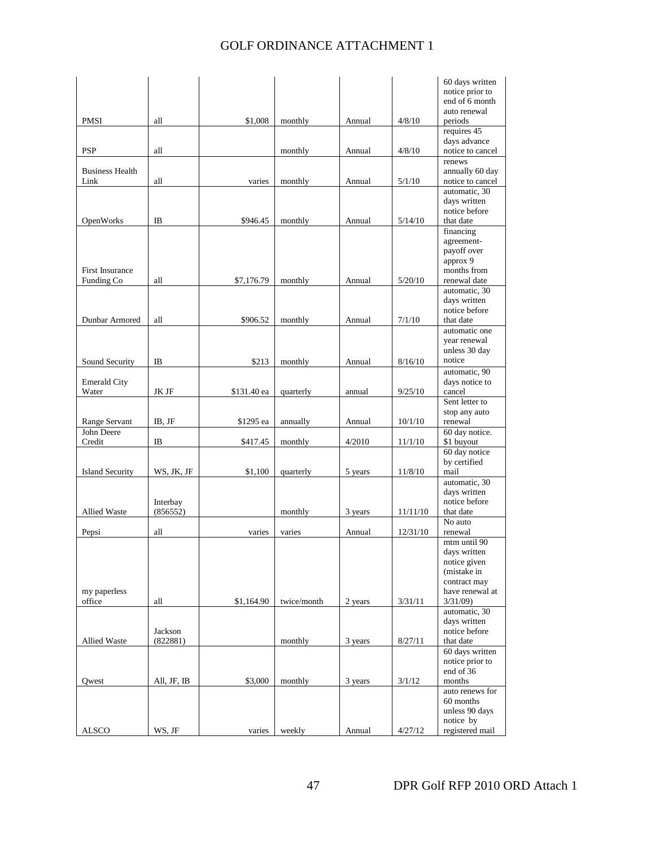|                        |             |             |             |         |          | 60 days written                    |
|------------------------|-------------|-------------|-------------|---------|----------|------------------------------------|
|                        |             |             |             |         |          | notice prior to                    |
|                        |             |             |             |         |          | end of 6 month<br>auto renewal     |
| <b>PMSI</b>            | all         | \$1,008     | monthly     | Annual  | 4/8/10   | periods                            |
|                        |             |             |             |         |          | requires 45                        |
|                        |             |             |             |         |          | days advance                       |
| <b>PSP</b>             | all         |             | monthly     | Annual  | 4/8/10   | notice to cancel                   |
|                        |             |             |             |         |          | renews                             |
| <b>Business Health</b> |             |             |             |         |          | annually 60 day                    |
| Link                   | all         | varies      | monthly     | Annual  | 5/1/10   | notice to cancel                   |
|                        |             |             |             |         |          | automatic, 30                      |
|                        |             |             |             |         |          | days written<br>notice before      |
| OpenWorks              | $_{\rm IB}$ | \$946.45    | monthly     | Annual  | 5/14/10  | that date                          |
|                        |             |             |             |         |          | financing                          |
|                        |             |             |             |         |          | agreement-                         |
|                        |             |             |             |         |          | payoff over                        |
|                        |             |             |             |         |          | approx 9                           |
| <b>First Insurance</b> |             |             |             |         |          | months from                        |
| Funding Co             | all         | \$7,176.79  | monthly     | Annual  | 5/20/10  | renewal date                       |
|                        |             |             |             |         |          | automatic, 30                      |
|                        |             |             |             |         |          | days written<br>notice before      |
| Dunbar Armored         | all         | \$906.52    | monthly     | Annual  | 7/1/10   | that date                          |
|                        |             |             |             |         |          | automatic one                      |
|                        |             |             |             |         |          | year renewal                       |
|                        |             |             |             |         |          | unless 30 day                      |
| Sound Security         | IB          | \$213       | monthly     | Annual  | 8/16/10  | notice                             |
|                        |             |             |             |         |          | automatic, 90                      |
| <b>Emerald City</b>    |             |             |             |         |          | days notice to                     |
| Water                  | JK JF       | \$131.40 ea | quarterly   | annual  | 9/25/10  | cancel                             |
|                        |             |             |             |         |          | Sent letter to                     |
|                        |             |             |             |         |          | stop any auto                      |
| Range Servant          | IB, JF      | \$1295 ea   | annually    | Annual  | 10/1/10  | renewal                            |
| John Deere<br>Credit   | IB          | \$417.45    | monthly     | 4/2010  | 11/1/10  | 60 day notice.<br>\$1 buyout       |
|                        |             |             |             |         |          | 60 day notice                      |
|                        |             |             |             |         |          | by certified                       |
| <b>Island Security</b> | WS, JK, JF  | \$1,100     | quarterly   | 5 years | 11/8/10  | mail                               |
|                        |             |             |             |         |          | automatic, 30                      |
|                        |             |             |             |         |          | days written                       |
|                        | Interbay    |             |             |         |          | notice before                      |
| <b>Allied Waste</b>    | (856552)    |             | monthly     | 3 years | 11/11/10 | that date                          |
|                        |             |             |             |         |          | No auto                            |
| Pepsi                  | all         | varies      | varies      | Annual  | 12/31/10 | renewal                            |
|                        |             |             |             |         |          | mtm until 90<br>days written       |
|                        |             |             |             |         |          | notice given                       |
|                        |             |             |             |         |          | (mistake in                        |
|                        |             |             |             |         |          | contract may                       |
| my paperless           |             |             |             |         |          | have renewal at                    |
| office                 | all         | \$1,164.90  | twice/month | 2 years | 3/31/11  | 3/31/09                            |
|                        |             |             |             |         |          | automatic, 30                      |
|                        |             |             |             |         |          | days written                       |
|                        | Jackson     |             |             |         |          | notice before                      |
| Allied Waste           | (822881)    |             | monthly     | 3 years | 8/27/11  | that date                          |
|                        |             |             |             |         |          | 60 days written<br>notice prior to |
|                        |             |             |             |         |          | end of 36                          |
| Qwest                  | All, JF, IB | \$3,000     | monthly     | 3 years | 3/1/12   | months                             |
|                        |             |             |             |         |          | auto renews for                    |
|                        |             |             |             |         |          | 60 months                          |
|                        |             |             |             |         |          | unless 90 days                     |
|                        |             |             |             |         |          | notice by                          |
| <b>ALSCO</b>           | WS, JF      | varies      | weekly      | Annual  | 4/27/12  | registered mail                    |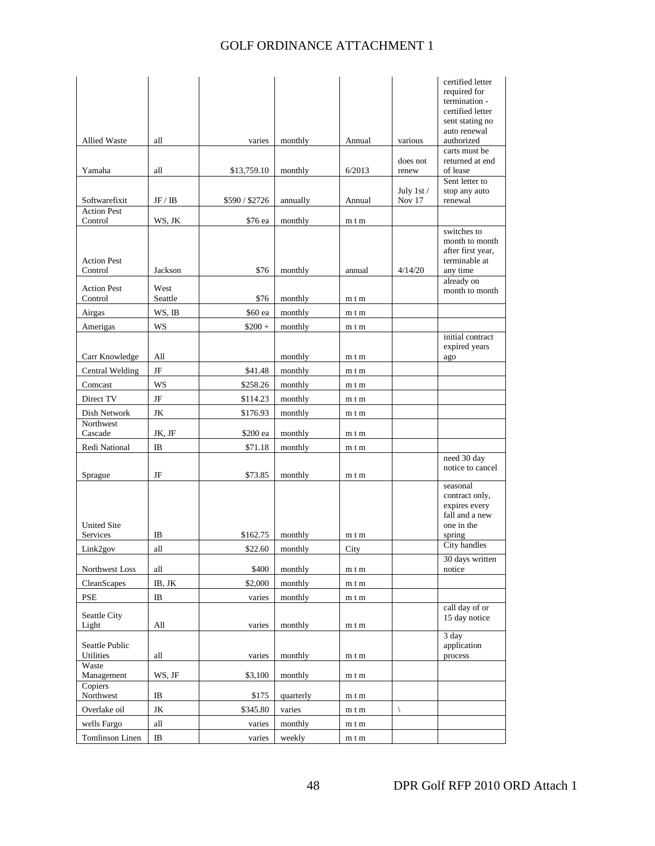|                                |                 |                |           |        |                        | certified letter<br>required for<br>termination -<br>certified letter<br>sent stating no<br>auto renewal |
|--------------------------------|-----------------|----------------|-----------|--------|------------------------|----------------------------------------------------------------------------------------------------------|
| <b>Allied Waste</b>            | all             | varies         | monthly   | Annual | various                | authorized<br>carts must be                                                                              |
| Yamaha                         | all             | \$13,759.10    | monthly   | 6/2013 | does not<br>renew      | returned at end<br>of lease                                                                              |
| Softwarefixit                  | JF / IB         | \$590 / \$2726 | annually  | Annual | July 1st $/$<br>Nov 17 | Sent letter to<br>stop any auto<br>renewal                                                               |
| <b>Action Pest</b><br>Control  | WS, JK          | \$76 ea        | monthly   | mtm    |                        |                                                                                                          |
| <b>Action Pest</b><br>Control  | Jackson         | \$76           | monthly   | annual | 4/14/20                | switches to<br>month to month<br>after first year,<br>terminable at<br>any time                          |
| <b>Action Pest</b><br>Control  | West<br>Seattle | \$76           | monthly   | mtm    |                        | already on<br>month to month                                                                             |
| Airgas                         | WS, IB          | \$60 ea        | monthly   | mtm    |                        |                                                                                                          |
| Amerigas                       | WS              | $$200 +$       | monthly   | mtm    |                        |                                                                                                          |
| Carr Knowledge                 | All             |                | monthly   | m t m  |                        | initial contract<br>expired years<br>ago                                                                 |
| <b>Central Welding</b>         | JF              | \$41.48        | monthly   | mtm    |                        |                                                                                                          |
| Comcast                        | WS              | \$258.26       | monthly   | mtm    |                        |                                                                                                          |
| Direct TV                      | JF              | \$114.23       | monthly   | mtm    |                        |                                                                                                          |
| Dish Network                   | JK              | \$176.93       | monthly   | mtm    |                        |                                                                                                          |
| Northwest<br>Cascade           | JK, JF          | \$200 ea       | monthly   | mtm    |                        |                                                                                                          |
| Redi National                  | IB              | \$71.18        | monthly   | mtm    |                        |                                                                                                          |
| Sprague                        | JF              | \$73.85        | monthly   | mtm    |                        | need 30 day<br>notice to cancel                                                                          |
| <b>United Site</b><br>Services | IB              | \$162.75       | monthly   | mtm    |                        | seasonal<br>contract only,<br>expires every<br>fall and a new<br>one in the<br>spring                    |
| Link2gov                       | all             | \$22.60        | monthly   | City   |                        | City handles                                                                                             |
| Northwest Loss                 | all             | \$400          | monthly   | mtm    |                        | 30 days written<br>notice                                                                                |
| <b>CleanScapes</b>             | IB, JK          | \$2,000        | monthly   | m t m  |                        |                                                                                                          |
| <b>PSE</b>                     | $\rm IB$        | varies         | monthly   | m t m  |                        |                                                                                                          |
| Seattle City<br>Light          | All             | varies         | monthly   | mtm    |                        | call day of or<br>15 day notice                                                                          |
| Seattle Public<br>Utilities    | all             | varies         | monthly   | mtm    |                        | 3 day<br>application<br>process                                                                          |
| Waste<br>Management            | WS, JF          | \$3,100        | monthly   | mtm    |                        |                                                                                                          |
| Copiers<br>Northwest           | IB              | \$175          | quarterly | mtm    |                        |                                                                                                          |
| Overlake oil                   | JK              | \$345.80       | varies    | m t m  |                        |                                                                                                          |
| wells Fargo                    | all             | varies         | monthly   | m t m  |                        |                                                                                                          |
| Tomlinson Linen                | $\rm IB$        | varies         | weekly    | mtm    |                        |                                                                                                          |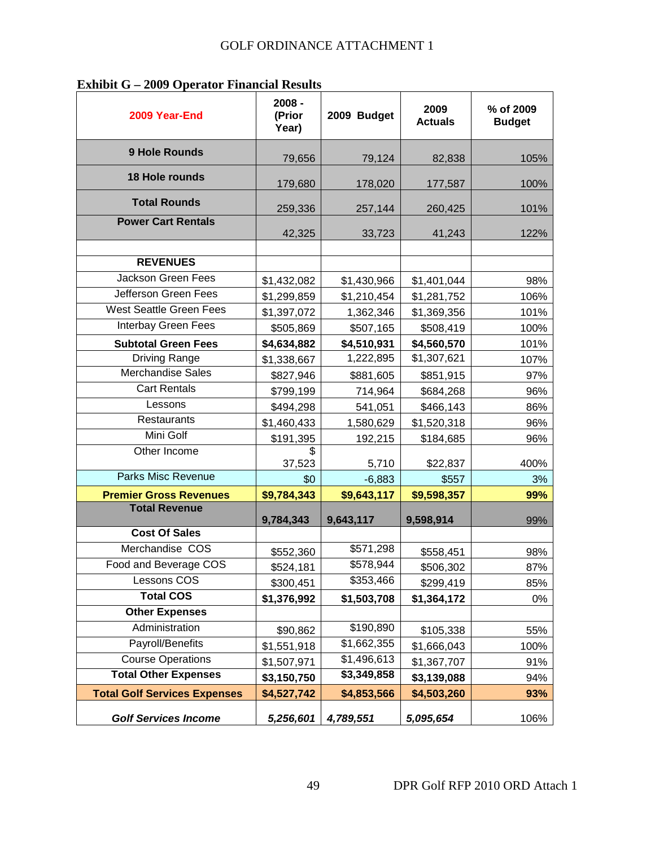| 2009 Year-End                       | $2008 -$<br>(Prior<br>Year) | 2009 Budget | 2009<br><b>Actuals</b> | % of 2009<br><b>Budget</b> |
|-------------------------------------|-----------------------------|-------------|------------------------|----------------------------|
| <b>9 Hole Rounds</b>                | 79,656                      | 79,124      | 82,838                 | 105%                       |
| <b>18 Hole rounds</b>               | 179,680                     | 178,020     | 177,587                | 100%                       |
| <b>Total Rounds</b>                 | 259,336                     | 257,144     | 260,425                | 101%                       |
| <b>Power Cart Rentals</b>           | 42,325                      | 33,723      | 41,243                 | 122%                       |
|                                     |                             |             |                        |                            |
| <b>REVENUES</b>                     |                             |             |                        |                            |
| Jackson Green Fees                  | \$1,432,082                 | \$1,430,966 | \$1,401,044            | 98%                        |
| Jefferson Green Fees                | \$1,299,859                 | \$1,210,454 | \$1,281,752            | 106%                       |
| <b>West Seattle Green Fees</b>      | \$1,397,072                 | 1,362,346   | \$1,369,356            | 101%                       |
| Interbay Green Fees                 | \$505,869                   | \$507,165   | \$508,419              | 100%                       |
| <b>Subtotal Green Fees</b>          | \$4,634,882                 | \$4,510,931 | \$4,560,570            | 101%                       |
| <b>Driving Range</b>                | \$1,338,667                 | 1,222,895   | \$1,307,621            | 107%                       |
| <b>Merchandise Sales</b>            | \$827,946                   | \$881,605   | \$851,915              | 97%                        |
| <b>Cart Rentals</b>                 | \$799,199                   | 714,964     | \$684,268              | 96%                        |
| Lessons                             | \$494,298                   | 541,051     | \$466,143              | 86%                        |
| Restaurants                         | \$1,460,433                 | 1,580,629   | \$1,520,318            | 96%                        |
| Mini Golf                           | \$191,395                   | 192,215     | \$184,685              | 96%                        |
| Other Income                        | \$<br>37,523                | 5,710       | \$22,837               | 400%                       |
| <b>Parks Misc Revenue</b>           | \$0                         | $-6,883$    | \$557                  | 3%                         |
| <b>Premier Gross Revenues</b>       | \$9,784,343                 | \$9,643,117 | \$9,598,357            | 99%                        |
| <b>Total Revenue</b>                | 9,784,343                   | 9,643,117   | 9,598,914              | 99%                        |
| <b>Cost Of Sales</b>                |                             |             |                        |                            |
| Merchandise COS                     | \$552,360                   | \$571,298   | \$558,451              | 98%                        |
| Food and Beverage COS               | \$524,181                   | \$578,944   | \$506,302              | 87%                        |
| Lessons COS                         | \$300,451                   | \$353,466   | \$299,419              | 85%                        |
| <b>Total COS</b>                    | \$1,376,992                 | \$1,503,708 | \$1,364,172            | 0%                         |
| <b>Other Expenses</b>               |                             |             |                        |                            |
| Administration                      | \$90,862                    | \$190,890   | \$105,338              | 55%                        |
| Payroll/Benefits                    | \$1,551,918                 | \$1,662,355 | \$1,666,043            | 100%                       |
| <b>Course Operations</b>            | \$1,507,971                 | \$1,496,613 | \$1,367,707            | 91%                        |
| <b>Total Other Expenses</b>         | \$3,150,750                 | \$3,349,858 | \$3,139,088            | 94%                        |
| <b>Total Golf Services Expenses</b> | \$4,527,742                 | \$4,853,566 | \$4,503,260            | 93%                        |
| <b>Golf Services Income</b>         | 5,256,601                   | 4,789,551   | 5,095,654              | 106%                       |

**Exhibit G – 2009 Operator Financial Results**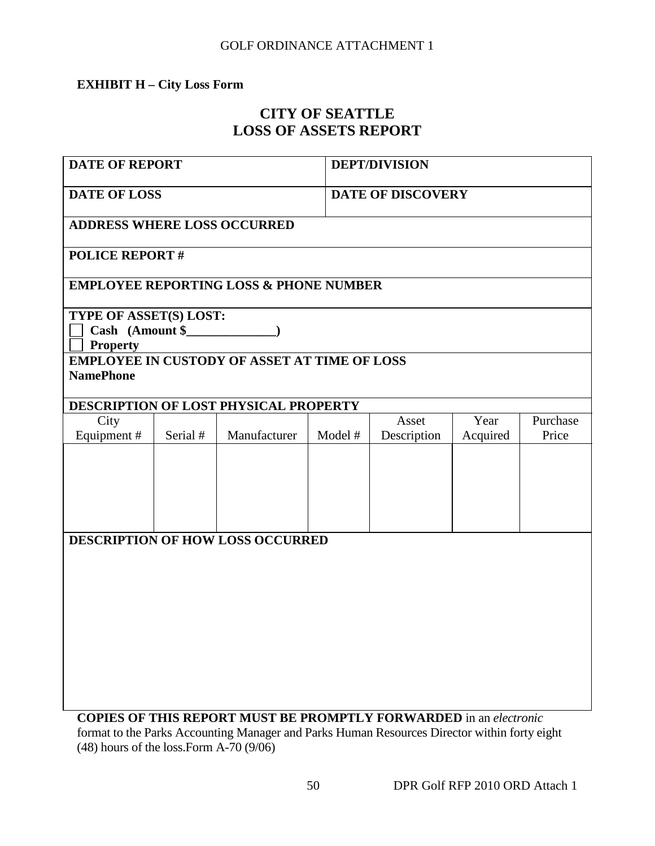## **EXHIBIT H – City Loss Form**

## **CITY OF SEATTLE LOSS OF ASSETS REPORT**

| <b>DATE OF REPORT</b>                           |          |                                                                                                                                                                                                                                                                                      |         | <b>DEPT/DIVISION</b> |          |          |
|-------------------------------------------------|----------|--------------------------------------------------------------------------------------------------------------------------------------------------------------------------------------------------------------------------------------------------------------------------------------|---------|----------------------|----------|----------|
| <b>DATE OF LOSS</b><br><b>DATE OF DISCOVERY</b> |          |                                                                                                                                                                                                                                                                                      |         |                      |          |          |
| <b>ADDRESS WHERE LOSS OCCURRED</b>              |          |                                                                                                                                                                                                                                                                                      |         |                      |          |          |
| <b>POLICE REPORT#</b>                           |          |                                                                                                                                                                                                                                                                                      |         |                      |          |          |
|                                                 |          | <b>EMPLOYEE REPORTING LOSS &amp; PHONE NUMBER</b>                                                                                                                                                                                                                                    |         |                      |          |          |
| TYPE OF ASSET(S) LOST:                          |          |                                                                                                                                                                                                                                                                                      |         |                      |          |          |
|                                                 |          | Cash (Amount \$                                                                                                                                                                                                                                                                      |         |                      |          |          |
| <b>Property</b>                                 |          |                                                                                                                                                                                                                                                                                      |         |                      |          |          |
|                                                 |          | <b>EMPLOYEE IN CUSTODY OF ASSET AT TIME OF LOSS</b>                                                                                                                                                                                                                                  |         |                      |          |          |
| <b>NamePhone</b>                                |          |                                                                                                                                                                                                                                                                                      |         |                      |          |          |
|                                                 |          | DESCRIPTION OF LOST PHYSICAL PROPERTY                                                                                                                                                                                                                                                |         |                      |          |          |
| City                                            |          |                                                                                                                                                                                                                                                                                      |         | Asset                | Year     | Purchase |
| Equipment #                                     | Serial # | Manufacturer                                                                                                                                                                                                                                                                         | Model # | Description          | Acquired | Price    |
|                                                 |          |                                                                                                                                                                                                                                                                                      |         |                      |          |          |
|                                                 |          |                                                                                                                                                                                                                                                                                      |         |                      |          |          |
|                                                 |          |                                                                                                                                                                                                                                                                                      |         |                      |          |          |
|                                                 |          |                                                                                                                                                                                                                                                                                      |         |                      |          |          |
|                                                 |          |                                                                                                                                                                                                                                                                                      |         |                      |          |          |
|                                                 |          | <b>DESCRIPTION OF HOW LOSS OCCURRED</b>                                                                                                                                                                                                                                              |         |                      |          |          |
|                                                 |          |                                                                                                                                                                                                                                                                                      |         |                      |          |          |
|                                                 |          |                                                                                                                                                                                                                                                                                      |         |                      |          |          |
|                                                 |          |                                                                                                                                                                                                                                                                                      |         |                      |          |          |
|                                                 |          |                                                                                                                                                                                                                                                                                      |         |                      |          |          |
|                                                 |          |                                                                                                                                                                                                                                                                                      |         |                      |          |          |
|                                                 |          |                                                                                                                                                                                                                                                                                      |         |                      |          |          |
|                                                 |          |                                                                                                                                                                                                                                                                                      |         |                      |          |          |
|                                                 |          |                                                                                                                                                                                                                                                                                      |         |                      |          |          |
|                                                 |          |                                                                                                                                                                                                                                                                                      |         |                      |          |          |
|                                                 |          | $\boldsymbol{C}\boldsymbol{\Lambda}$ dieg $\boldsymbol{\Lambda}\mathbf{\Gamma}$ thig ded $\boldsymbol{\Lambda}\mathbf{D}\boldsymbol{\Lambda}\mathbf{D}\boldsymbol{\Lambda}$ is the dedeptivity of $\boldsymbol{\Lambda}\mathbf{D}\boldsymbol{\Lambda}\mathbf{D}\boldsymbol{\Lambda}$ |         |                      |          |          |

**COPIES OF THIS REPORT MUST BE PROMPTLY FORWARDED** in an *electronic* format to the Parks Accounting Manager and Parks Human Resources Director within forty eight (48) hours of the loss.Form A-70 (9/06)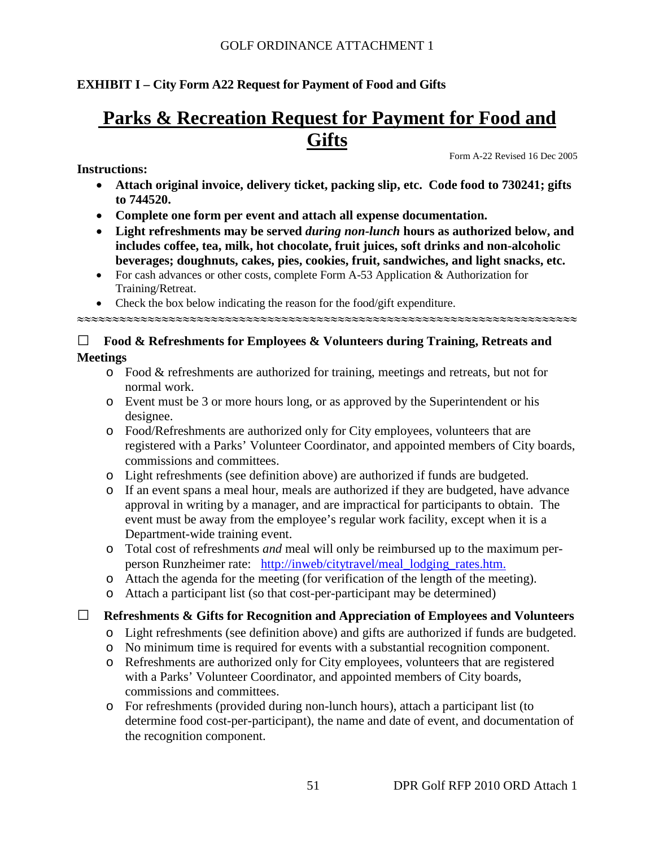## **EXHIBIT I – City Form A22 Request for Payment of Food and Gifts**

# **Parks & Recreation Request for Payment for Food and Gifts**

**Instructions:**

Form A-22 Revised 16 Dec 2005

- **Attach original invoice, delivery ticket, packing slip, etc. Code food to 730241; gifts to 744520.**
- **Complete one form per event and attach all expense documentation.**
- **Light refreshments may be served** *during non-lunch* **hours as authorized below, and includes coffee, tea, milk, hot chocolate, fruit juices, soft drinks and non-alcoholic beverages; doughnuts, cakes, pies, cookies, fruit, sandwiches, and light snacks, etc.**
- For cash advances or other costs, complete Form A-53 Application & Authorization for Training/Retreat.
- Check the box below indicating the reason for the food/gift expenditure.

≈≈≈≈≈≈≈≈≈≈≈≈≈≈≈≈≈≈≈≈≈≈≈≈≈≈≈≈≈≈≈≈≈≈≈≈≈≈≈≈≈≈≈≈≈≈≈≈≈≈≈≈≈≈≈≈≈≈≈≈≈≈≈≈≈≈≈≈≈≈≈

## □ **Food & Refreshments for Employees & Volunteers during Training, Retreats and Meetings**

- o Food & refreshments are authorized for training, meetings and retreats, but not for normal work.
- o Event must be 3 or more hours long, or as approved by the Superintendent or his designee.
- o Food/Refreshments are authorized only for City employees, volunteers that are registered with a Parks' Volunteer Coordinator, and appointed members of City boards, commissions and committees.
- o Light refreshments (see definition above) are authorized if funds are budgeted.
- o If an event spans a meal hour, meals are authorized if they are budgeted, have advance approval in writing by a manager, and are impractical for participants to obtain. The event must be away from the employee's regular work facility, except when it is a Department-wide training event.
- o Total cost of refreshments *and* meal will only be reimbursed up to the maximum perperson Runzheimer rate: [http://inweb/citytravel/meal\\_lodging\\_rates.htm.](http://inweb/citytravel/meal_lodging_rates.htm)
- o Attach the agenda for the meeting (for verification of the length of the meeting).
- o Attach a participant list (so that cost-per-participant may be determined)

## □ **Refreshments & Gifts for Recognition and Appreciation of Employees and Volunteers**

- o Light refreshments (see definition above) and gifts are authorized if funds are budgeted.
- o No minimum time is required for events with a substantial recognition component.
- o Refreshments are authorized only for City employees, volunteers that are registered with a Parks' Volunteer Coordinator, and appointed members of City boards, commissions and committees.
- o For refreshments (provided during non-lunch hours), attach a participant list (to determine food cost-per-participant), the name and date of event, and documentation of the recognition component.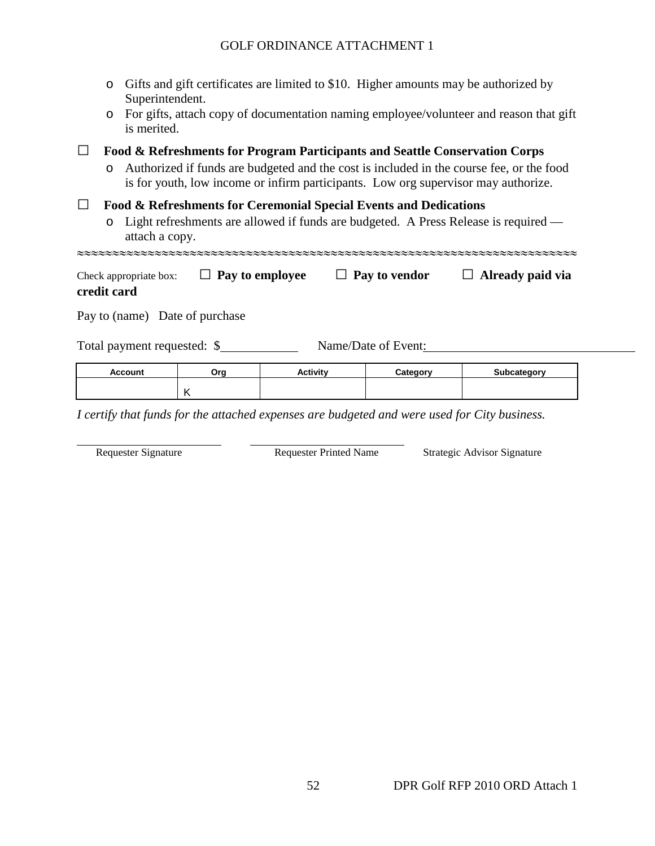|             |         | <b>Account</b>         | Org                                                               | <b>Activity</b>      | Category            | Subcategory                                                                                                                                                                                                                                                   |  |
|-------------|---------|------------------------|-------------------------------------------------------------------|----------------------|---------------------|---------------------------------------------------------------------------------------------------------------------------------------------------------------------------------------------------------------------------------------------------------------|--|
|             |         |                        | Total payment requested: \$                                       |                      | Name/Date of Event: |                                                                                                                                                                                                                                                               |  |
|             |         |                        | Pay to (name) Date of purchase                                    |                      |                     |                                                                                                                                                                                                                                                               |  |
| credit card |         | Check appropriate box: | $\Box$ Pay to employee                                            |                      | Pay to vendor       | $\Box$ Already paid via                                                                                                                                                                                                                                       |  |
| $\Box$      | O       | attach a copy.         | Food & Refreshments for Ceremonial Special Events and Dedications | 22222222222222222222 |                     | Light refreshments are allowed if funds are budgeted. A Press Release is required —                                                                                                                                                                           |  |
| $\Box$      | $\circ$ |                        |                                                                   |                      |                     | Food & Refreshments for Program Participants and Seattle Conservation Corps<br>Authorized if funds are budgeted and the cost is included in the course fee, or the food<br>is for youth, low income or infirm participants. Low org supervisor may authorize. |  |
|             | $\circ$ | is merited.            |                                                                   |                      |                     | For gifts, attach copy of documentation naming employee/volunteer and reason that gift                                                                                                                                                                        |  |
|             | $\circ$ | Superintendent.        |                                                                   |                      |                     | Gifts and gift certificates are limited to \$10. Higher amounts may be authorized by                                                                                                                                                                          |  |

K

*I certify that funds for the attached expenses are budgeted and were used for City business.*

Requester Signature Requester Printed Name Strategic Advisor Signature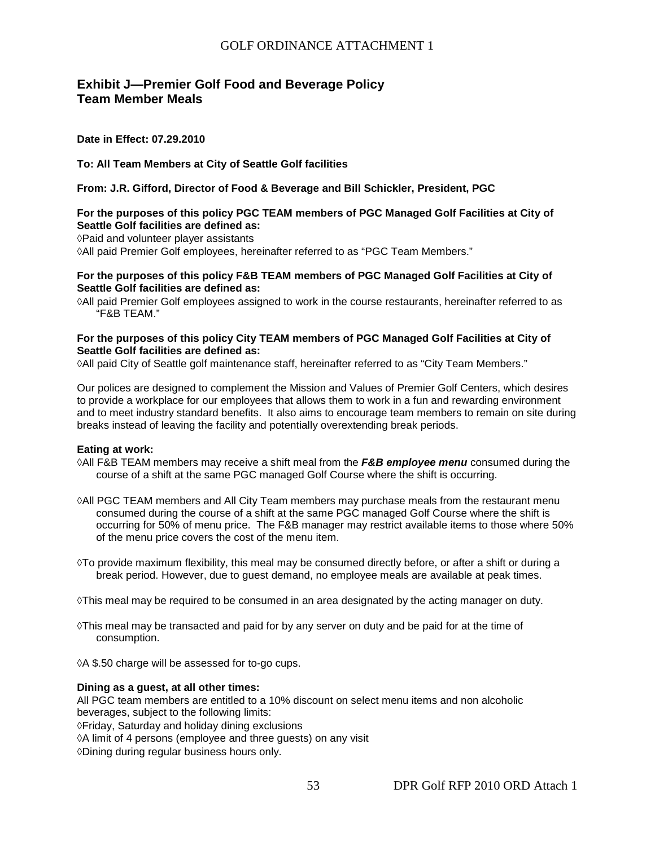## **Exhibit J—Premier Golf Food and Beverage Policy Team Member Meals**

**Date in Effect: 07.29.2010**

**To: All Team Members at City of Seattle Golf facilities**

**From: J.R. Gifford, Director of Food & Beverage and Bill Schickler, President, PGC**

#### **For the purposes of this policy PGC TEAM members of PGC Managed Golf Facilities at City of Seattle Golf facilities are defined as:**

◊Paid and volunteer player assistants

◊All paid Premier Golf employees, hereinafter referred to as "PGC Team Members."

#### **For the purposes of this policy F&B TEAM members of PGC Managed Golf Facilities at City of Seattle Golf facilities are defined as:**

◊All paid Premier Golf employees assigned to work in the course restaurants, hereinafter referred to as "F&B TEAM."

#### **For the purposes of this policy City TEAM members of PGC Managed Golf Facilities at City of Seattle Golf facilities are defined as:**

◊All paid City of Seattle golf maintenance staff, hereinafter referred to as "City Team Members."

Our polices are designed to complement the Mission and Values of Premier Golf Centers, which desires to provide a workplace for our employees that allows them to work in a fun and rewarding environment and to meet industry standard benefits. It also aims to encourage team members to remain on site during breaks instead of leaving the facility and potentially overextending break periods.

#### **Eating at work:**

- ◊All F&B TEAM members may receive a shift meal from the *F&B employee menu* consumed during the course of a shift at the same PGC managed Golf Course where the shift is occurring.
- ◊All PGC TEAM members and All City Team members may purchase meals from the restaurant menu consumed during the course of a shift at the same PGC managed Golf Course where the shift is occurring for 50% of menu price. The F&B manager may restrict available items to those where 50% of the menu price covers the cost of the menu item.
- ◊To provide maximum flexibility, this meal may be consumed directly before, or after a shift or during a break period. However, due to guest demand, no employee meals are available at peak times.
- ◊This meal may be required to be consumed in an area designated by the acting manager on duty.
- ◊This meal may be transacted and paid for by any server on duty and be paid for at the time of consumption.
- ◊A \$.50 charge will be assessed for to-go cups.

#### **Dining as a guest, at all other times:**

All PGC team members are entitled to a 10% discount on select menu items and non alcoholic beverages, subject to the following limits:

◊Friday, Saturday and holiday dining exclusions

◊A limit of 4 persons (employee and three guests) on any visit

◊Dining during regular business hours only.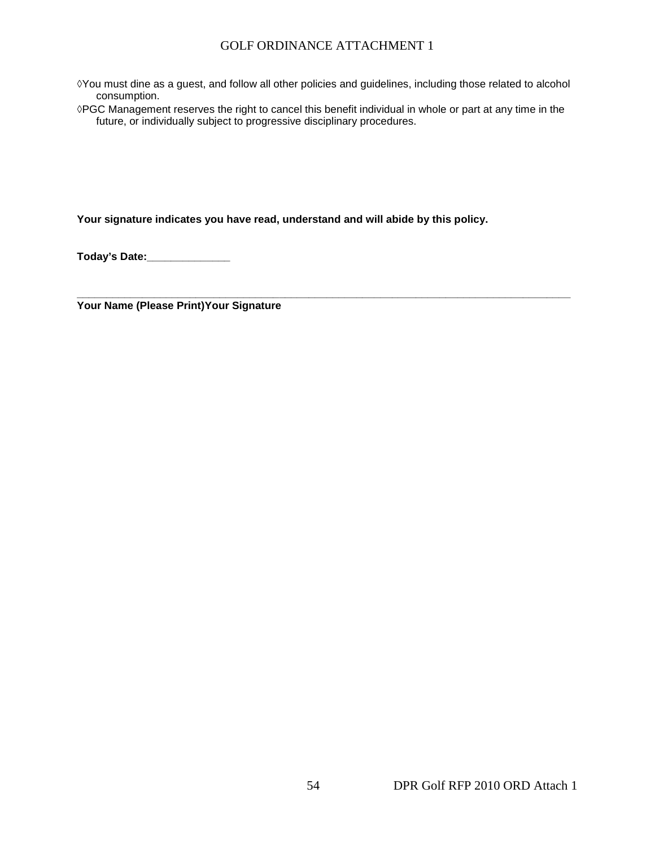◊You must dine as a guest, and follow all other policies and guidelines, including those related to alcohol consumption.

◊PGC Management reserves the right to cancel this benefit individual in whole or part at any time in the future, or individually subject to progressive disciplinary procedures.

**Your signature indicates you have read, understand and will abide by this policy.**

**Today's Date:\_\_\_\_\_\_\_\_\_\_\_\_\_\_**

**\_\_\_\_\_\_\_\_\_\_\_\_\_\_\_\_\_\_\_\_\_\_\_\_\_\_\_\_\_\_\_\_\_\_\_\_\_\_\_\_\_\_\_\_\_\_\_\_\_\_\_\_\_\_\_\_\_\_\_\_\_\_\_\_\_\_\_\_\_\_\_\_\_\_\_\_\_\_\_\_\_\_\_ Your Name (Please Print)Your Signature**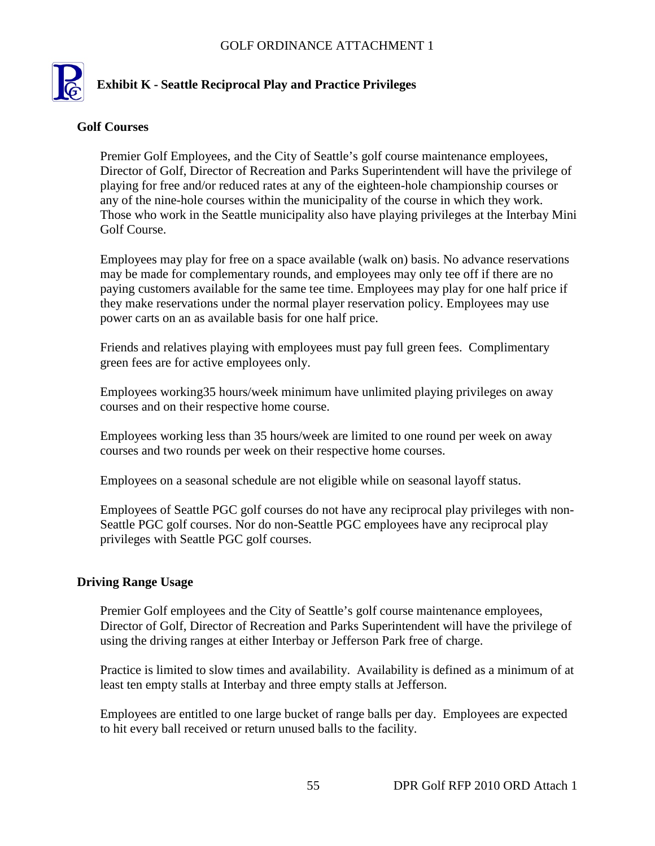# **Exhibit K - Seattle Reciprocal Play and Practice Privileges**

## **Golf Courses**

Premier Golf Employees, and the City of Seattle's golf course maintenance employees, Director of Golf, Director of Recreation and Parks Superintendent will have the privilege of playing for free and/or reduced rates at any of the eighteen-hole championship courses or any of the nine-hole courses within the municipality of the course in which they work. Those who work in the Seattle municipality also have playing privileges at the Interbay Mini Golf Course.

Employees may play for free on a space available (walk on) basis. No advance reservations may be made for complementary rounds, and employees may only tee off if there are no paying customers available for the same tee time. Employees may play for one half price if they make reservations under the normal player reservation policy. Employees may use power carts on an as available basis for one half price.

Friends and relatives playing with employees must pay full green fees. Complimentary green fees are for active employees only.

Employees working35 hours/week minimum have unlimited playing privileges on away courses and on their respective home course.

Employees working less than 35 hours/week are limited to one round per week on away courses and two rounds per week on their respective home courses.

Employees on a seasonal schedule are not eligible while on seasonal layoff status.

Employees of Seattle PGC golf courses do not have any reciprocal play privileges with non-Seattle PGC golf courses. Nor do non-Seattle PGC employees have any reciprocal play privileges with Seattle PGC golf courses.

## **Driving Range Usage**

Premier Golf employees and the City of Seattle's golf course maintenance employees, Director of Golf, Director of Recreation and Parks Superintendent will have the privilege of using the driving ranges at either Interbay or Jefferson Park free of charge.

Practice is limited to slow times and availability. Availability is defined as a minimum of at least ten empty stalls at Interbay and three empty stalls at Jefferson.

Employees are entitled to one large bucket of range balls per day. Employees are expected to hit every ball received or return unused balls to the facility.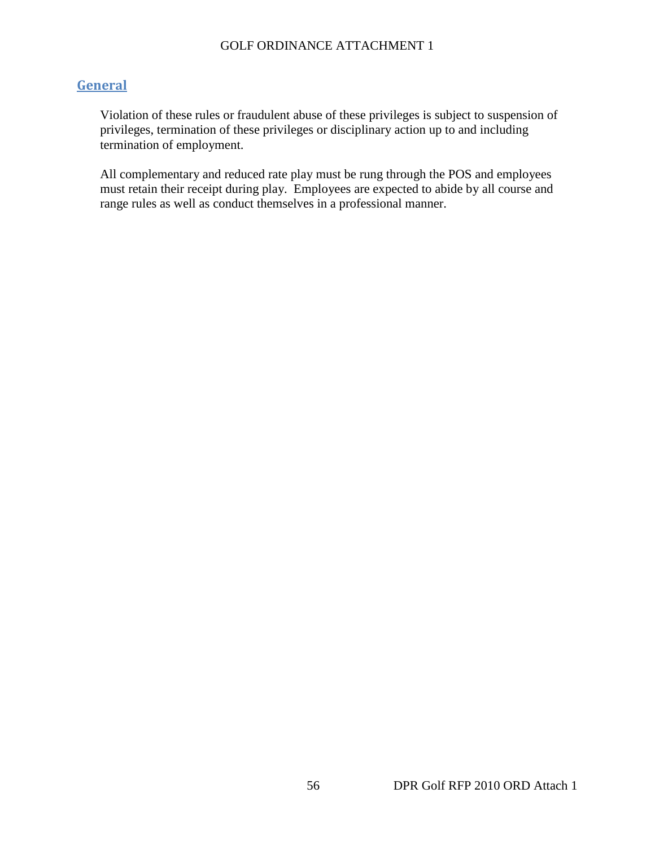## **General**

Violation of these rules or fraudulent abuse of these privileges is subject to suspension of privileges, termination of these privileges or disciplinary action up to and including termination of employment.

All complementary and reduced rate play must be rung through the POS and employees must retain their receipt during play. Employees are expected to abide by all course and range rules as well as conduct themselves in a professional manner.